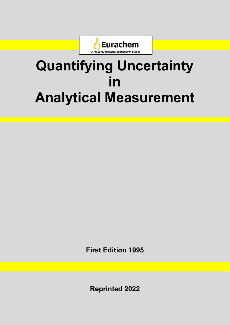

# **Quantifying Uncertainty in Analytical Measurement**

**First Edition 1995** 

**Reprinted 2022**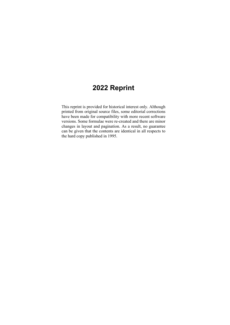# **2022 Reprint**

This reprint is provided for historical interest only. Although printed from original source files, some editorial corrections have been made for compatibility with more recent software versions. Some formulae were re-created and there are minor changes in layout and pagination. As a result, no guarantee can be given that the contents are identical in all respects to the hard copy published in 1995.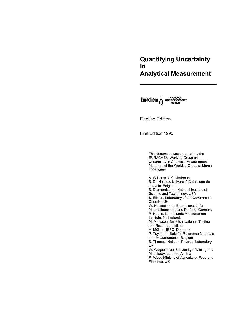# **Quantifying Uncertainty in Analytical Measurement**

**Eurachem** MARIATION A FOCUS FOR

English Edition

First Edition 1995

This document was prepared by the EURACHEM Working Group on Uncertainty in Chemical Measurement. Members of the Working Group at March 1995 were:

A. Williams, UK, Chairman B. De Halleux, Université Catholique de Louvain, Belgium B. Diamondstone, National Institute of Science and Technology, USA S. Ellison, Laboratory of the Government Chemist, UK W. Haesselbarth, Bundesanstalt fur Materialforschung und Prufung, Germany R. Kaarls, Netherlands Measurement Institute, Netherlands M. Mansson, Swedish National Testing and Research Institute H. Möller, NEFO, Denmark P. Taylor, Institute for Reference Materials and Measurements, Belgium B. Thomas, National Physical Laboratory, UK W. Wegscheider, University of Mining and Metallurgy, Leoben, Austria R. Wood,Ministry of Agriculture, Food and Fisheries, UK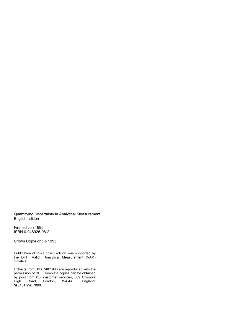Quantifying Uncertainty in Analytical Measurement English edition

First edition 1995 ISBN 0-948926-08-2

Crown Copyright © 1995

Publication of this English edition was supported by the DTI Valid Analytical Measurement (VAM) initiative

Extracts from BS 6748:1986 are reproduced with the permission of BSI. Complete copies can be obtained by post from BSI customer services, 389 Chiswick High Road, London, W4 4AL, England. **■0181 996 7000.**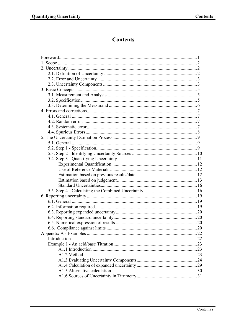# **Contents**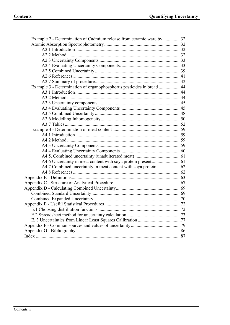| Example 2 - Determination of Cadmium release from ceramic ware by 32 |  |
|----------------------------------------------------------------------|--|
|                                                                      |  |
|                                                                      |  |
|                                                                      |  |
|                                                                      |  |
|                                                                      |  |
|                                                                      |  |
|                                                                      |  |
|                                                                      |  |
| Example 3 - Determination of organophosphorus pesticides in bread 44 |  |
|                                                                      |  |
|                                                                      |  |
|                                                                      |  |
|                                                                      |  |
|                                                                      |  |
|                                                                      |  |
|                                                                      |  |
|                                                                      |  |
|                                                                      |  |
|                                                                      |  |
|                                                                      |  |
|                                                                      |  |
|                                                                      |  |
|                                                                      |  |
|                                                                      |  |
|                                                                      |  |
|                                                                      |  |
|                                                                      |  |
|                                                                      |  |
|                                                                      |  |
|                                                                      |  |
|                                                                      |  |
|                                                                      |  |
|                                                                      |  |
|                                                                      |  |
|                                                                      |  |
|                                                                      |  |
|                                                                      |  |
|                                                                      |  |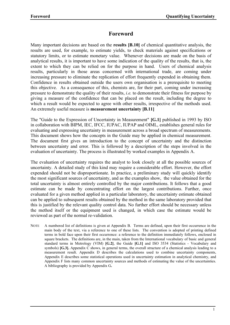## **Foreword**

Many important decisions are based on the **results [B.10]** of chemical quantitative analysis, the results are used, for example, to estimate yields, to check materials against specifications or statutory limits, or to estimate monetary value. Whenever decisions are made on the basis of analytical results, it is important to have some indication of the quality of the results, that is, the extent to which they can be relied on for the purpose in hand. Users of chemical analysis results, particularly in those areas concerned with international trade, are coming under increasing pressure to eliminate the replication of effort frequently expended in obtaining them. Confidence in results obtained outside the users own organisation is a prerequisite to meeting this objective. As a consequence of this, chemists are, for their part, coming under increasing pressure to demonstrate the quality of their results, *i.e.* to demonstrate their fitness for purpose by giving a measure of the confidence that can be placed on the result, including the degree to which a result would be expected to agree with other results, irrespective of the methods used. An extremely useful measure is **measurement uncertainty [B.11]**

The "Guide to the Expression of Uncertainty in Measurement" **[G.1]** published in 1993 by ISO in collaboration with BIPM, IEC, IFCC, IUPAC, IUPAP and OIML, establishes general rules for evaluating and expressing uncertainty in measurement across a broad spectrum of measurements. This document shows how the concepts in the Guide may be applied in chemical measurement. The document first gives an introduction to the concept of uncertainty and the distinction between uncertainty and error. This is followed by a description of the steps involved in the evaluation of uncertainty. The process is illustrated by worked examples in Appendix A.

The evaluation of uncertainty requires the analyst to look closely at all the possible sources of uncertainty. A detailed study of this kind may require a considerable effort. However, the effort expended should not be disproportionate. In practice, a preliminary study will quickly identify the most significant sources of uncertainty, and as the examples show, the value obtained for the total uncertainty is almost entirely controlled by the major contributions. It follows that a good estimate can be made by concentrating effort on the largest contributions. Further, once evaluated for a given method applied in a particular laboratory, the uncertainty estimate obtained can be applied to subsequent results obtained by the method in the same laboratory provided that this is justified by the relevant quality control data. No further effort should be necessary unless the method itself or the equipment used is changed, in which case the estimate would be reviewed as part of the normal re-validation.

NOTE A numbered list of definitions is given at Appendix B. Terms are defined, upon their first occurrence in the main body of the text, via a reference to one of these lists. The convention is adopted of printing defined terms in bold face upon their first occurrence: a reference to the definition immediately follows, enclosed in square brackets. The definitions are, in the main, taken from the International vocabulary of basic and general standard terms in Metrology (VIM) **[G.2]**, the Guide **[G.1]** and ISO 3534 (Statistics - Vocabulary and symbols) **[G.3].** Appendix C shows, in general terms, the overall structure of a chemical analysis leading to a measurement result. Appendix D describes the calculations used to combine uncertainty components, Appendix E describes some statistical operations used in uncertainty estimation in analytical chemistry, and Appendix F lists many common uncertainty sources and methods of estimating the value of the uncertainties. A bibliography is provided by Appendix G**.**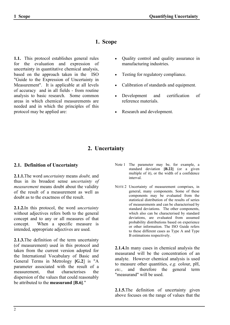# **1. Scope**

**1.1.** This protocol establishes general rules for the evaluation and expression of uncertainty in quantitative chemical analysis, based on the approach taken in the ISO "Guide to the Expression of Uncertainty in Measurement". It is applicable at all levels of accuracy and in all fields - from routine analysis to basic research. Some common areas in which chemical measurements are needed and in which the principles of this protocol may be applied are:

- Quality control and quality assurance in manufacturing industries.
- Testing for regulatory compliance.
- Calibration of standards and equipment.
- Development and certification of reference materials.
- Research and development.

# **2. Uncertainty**

## **2.1. Definition of Uncertainty**

**2.1.1.**The word *uncertainty* means *doubt,* and thus in its broadest sense *uncertainty of measurement* means doubt about the validity of the result of a measurement as well as doubt as to the exactness of the result.

**2.1.2.**In this protocol, the word *uncertainty* without adjectives refers both to the general concept and to any or all measures of that concept. When a specific measure is intended, appropriate adjectives are used.

**2.1.3.**The definition of the term uncertainty (of measurement) used in this protocol and taken from the current version adopted for the International Vocabulary of Basic and General Terms in Metrology **[G.2**] is "A parameter associated with the result of a measurement, that characterises the dispersion of the values that could reasonably be attributed to the **measurand [B.6]**."

- Note 1 The parameter may be, for example, a standard deviation **[B.22]** (or a given multiple of it), or the width of a confidence interval.
- NOTE 2 Uncertainty of measurement comprises, in general, many components. Some of these components may be evaluated from the statistical distribution of the results of series of measurements and can be characterised by standard deviations. The other components, which also can be characterised by standard deviations, are evaluated from assumed probability distributions based on experience or other information. The ISO Guide refers to these different cases as Type A and Type B estimations respectively.

**2.1.4.**In many cases in chemical analysis the measurand will be the concentration of an analyte. However chemical analysis is used to measure other quantities, *e.g.* colour, pH, *etc.,* and therefore the general term "measurand" will be used.

**2.1.5.**The definition of uncertainty given above focuses on the range of values that the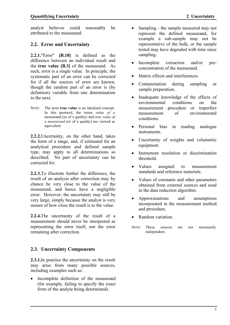analyst believes could reasonably be attributed to the measurand.

## **2.2. Error and Uncertainty**

**2.2.1.**"Error" **[B.18]** is defined as the difference between an individual result and the **true value [B.3]** of the measurand. As such, error is a single value. In principle, the systematic part of an error can be corrected for if all the sources of error are known, though the random part of an error is (by definition) variable from one determination to the next.

NOTE The term **true value** is an idealised concept. In this protocol, the terms *value of a*  measurand (or of a quality) and *true value of a measurand* (or of a quality) are viewed as equivalent.

**2.2.2.**Uncertainty, on the other hand, takes the form of a range, and, if estimated for an analytical procedure and defined sample type, may apply to all determinations so described. No part of uncertainty can be corrected for.

**2.2.3.**To illustrate further the difference, the result of an analysis after correction may by chance be very close to the value of the measurand, and hence have a negligible error. However, the uncertainty may still be very large, simply because the analyst is very unsure of how close the result is to the value.

**2.2.4.**The uncertainty of the result of a measurement should never be interpreted as representing the error itself, nor the error remaining after correction.

## **2.3. Uncertainty Components**

**2.3.1.**In practice the uncertainty on the result may arise from many possible sources, including examples such as:

 Incomplete definition of the measurand (for example, failing to specify the exact form of the analyte being determined).

- Sampling the sample measured may not represent the defined measurand, for example a sub-sample may not be representative of the bulk, or the sample tested may have degraded with time since sampling.
- Incomplete extraction and/or preconcentration of the measurand.
- Matrix effects and interferences.
- Contamination during sampling or sample preparation.
- Inadequate knowledge of the effects of environmental conditions on the measurement procedure or imperfect measurement of environmental conditions.
- Personal bias in reading analogue instruments.
- Uncertainty of weights and volumetric equipment.
- Instrument resolution or discrimination threshold.
- Values assigned to measurement standards and reference materials.
- Values of constants and other parameters obtained from external sources and used in the data reduction algorithm.
- Approximations and assumptions incorporated in the measurement method and procedure.
- Random variation.
- NOTE These sources are not necessarily independent.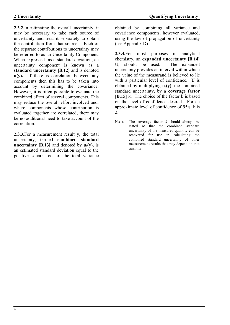**2.3.2.**In estimating the overall uncertainty, it may be necessary to take each source of uncertainty and treat it separately to obtain the contribution from that source. Each of the separate contributions to uncertainty may be referred to as an Uncertainty Component. When expressed as a standard deviation, an uncertainty component is known as a **standard uncertainty [B.12]** and is denoted **u(y).** If there is correlation between any components then this has to be taken into account by determining the covariance. However, it is often possible to evaluate the combined effect of several components. This may reduce the overall effort involved and, where components whose contribution is evaluated together are correlated, there may be no additional need to take account of the correlation.

**2.3.3.**For a measurement result **y**, the total uncertainty, termed **combined standard uncertainty [B.13]** and denoted by  $\mathbf{u}_c(\mathbf{y})$ , is an estimated standard deviation equal to the positive square root of the total variance obtained by combining all variance and covariance components, however evaluated, using the law of propagation of uncertainty (see Appendix D).

**2.3.4.**For most purposes in analytical chemistry, an **expanded uncertainty [B.14] U**, should be used. The expanded uncertainty provides an interval within which the value of the measurand is believed to lie with a particular level of confidence. **U** is obtained by multiplying  $\mathbf{u}_c(\mathbf{v})$ , the combined standard uncertainty, by a **coverage factor [B.15]** k. The choice of the factor k is based on the level of confidence desired. For an approximate level of confidence of 95%, k is 2.

NOTE The coverage factor *k* should always be stated so that the combined standard uncertainty of the measured quantity can be recovered for use in calculating the combined standard uncertainty of other measurement results that may depend on that quantity.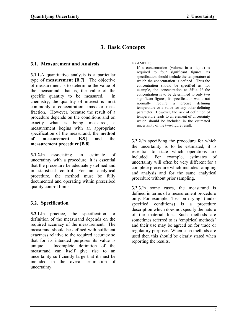# **3. Basic Concepts**

## **3.1. Measurement and Analysis**

**3.1.1.**A quantitative analysis is a particular type of **measurement [B.7]**. The objective of measurement is to determine the value of the measurand, that is, the value of the specific quantity to be measured. In chemistry, the quantity of interest is most commonly a concentration, mass or mass fraction. However, because the result of a procedure depends on the conditions and on exactly what is being measured, a measurement begins with an appropriate specification of the measurand, the **method of measurement [B.9]** and the **measurement procedure [B.8]**.

**3.1.2.**In associating an estimate of uncertainty with a procedure, it is essential that the procedure be adequately defined and in statistical control. For an analytical procedure, the method must be fully documented and operating within prescribed quality control limits.

## **3.2. Specification**

**3.2.1.**In practice, the specification or definition of the measurand depends on the required accuracy of the measurement. The measurand should be defined with sufficient exactness relative to the required accuracy so that for its intended purposes its value is unique. Incomplete definition of the measurand can itself give rise to an uncertainty sufficiently large that it must be included in the overall estimation of uncertainty.

#### EXAMPLE:

If a concentration (volume in a liquid) is required to four significant figures, its specification should include the temperature at which the concentration is defined. Thus the concentration should be specified as, for example, the concentration at 25°C. If the concentration is to be determined to only two significant figures, its specification would not normally require a precise defining temperature or a value for any other defining parameter. However, the lack of definition of temperature leads to an element of uncertainty which should be included in the estimated uncertainty of the two-figure result.

**3.2.2.**In specifying the procedure for which the uncertainty is to be estimated, it is essential to state which operations are included. For example, estimates of uncertainty will often be very different for a complete procedure which includes sampling and analysis and for the same analytical procedure without prior sampling.

**3.2.3.**In some cases, the measurand is defined in terms of a measurement procedure only. For example, 'loss on drying' (under specified conditions) is a procedure description which does not specify the nature of the material lost. Such methods are sometimes referred to as 'empirical methods' and their use may be agreed on for trade or regulatory purposes. When such methods are used then this should be clearly stated when reporting the results.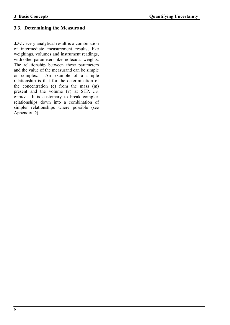## **3.3. Determining the Measurand**

**3.3.1.**Every analytical result is a combination of intermediate measurement results, like weighings, volumes and instrument readings, with other parameters like molecular weights. The relationship between these parameters and the value of the measurand can be simple or complex. An example of a simple relationship is that for the determination of the concentration (c) from the mass (m) present and the volume (v) at STP. *i.e.* c=m/v. It is customary to break complex relationships down into a combination of simpler relationships where possible (see Appendix D).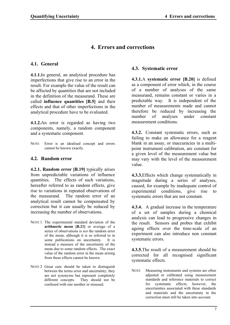# **4. Errors and corrections**

## **4.1. General**

**4.1.1.**In general, an analytical procedure has imperfections that give rise to an error in the result. For example the value of the result can be affected by quantities that are not included in the definition of the measurand. These are called **influence quantities [B.5]** and their effects and that of other imperfections in the analytical procedure have to be evaluated.

**4.1.2.**An error is regarded as having two components, namely, a random component and a systematic component.

NOTE Error is an idealised concept and errors cannot be known exactly.

## **4.2. Random error**

**4.2.1. Random error [B.19]** typically arises from unpredictable variations of influence quantities. The effects of such variations, hereafter referred to as random effects, give rise to variations in repeated observations of the measurand. The random error of an analytical result cannot be compensated by correction but it can usually be reduced by increasing the number of observations.

- NOTE 1 The experimental standard deviation of the **arithmetic mean [B.21]** or average of a series of observations is *not* the random error of the mean, although it is so referred to in some publications on uncertainty. It is instead a measure of the uncertainty of the mean due to some random effects. The exact value of the random error in the mean arising from these effects cannot be known.
- NOTE 2 Great care should be taken to distinguish between the terms error and uncertainty; they are not synonyms but represent completely different concepts. They should not be confused with one another or misused.

## **4.3. Systematic error**

**4.3.1.**A **systematic error [B.20]** is defined as a component of error which, in the course of a number of analyses of the same measurand, remains constant or varies in a predictable way. It is independent of the number of measurements made and cannot therefore be reduced by increasing the number of analyses under constant measurement conditions.

**4.3.2.** Constant systematic errors, such as failing to make an allowance for a reagent blank in an assay, or inaccuracies in a multipoint instrument calibration, are constant for a given level of the measurement value but may vary with the level of the measurement value.

**4.3.3.**Effects which change systematically in magnitude during a series of analyses, caused, for example by inadequate control of experimental conditions, give rise to systematic errors that are not constant.

**4.3.4.** A gradual increase in the temperature of a set of samples during a chemical analysis can lead to progressive changes in the result. Sensors and probes that exhibit ageing effects over the time-scale of an experiment can also introduce non constant systematic errors.

**4.3.5.**The result of a measurement should be corrected for all recognised significant systematic effects.

NOTE Measuring instruments and systems are often adjusted or calibrated using measurement standards and reference materials to correct for systematic effects; however, the uncertainties associated with these standards and materials and the uncertainty in the correction must still be taken into account.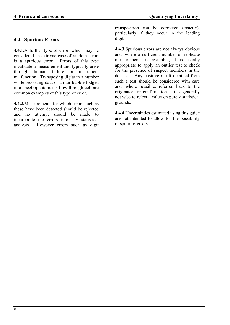## **4.4. Spurious Errors**

**4.4.1.**A further type of error, which may be considered an extreme case of random error, is a spurious error. Errors of this type invalidate a measurement and typically arise through human failure or instrument malfunction. Transposing digits in a number while recording data or an air bubble lodged in a spectrophotometer flow-through cell are common examples of this type of error.

**4.4.2.**Measurements for which errors such as these have been detected should be rejected and no attempt should be made to incorporate the errors into any statistical analysis. However errors such as digit transposition can be corrected (exactly), particularly if they occur in the leading digits.

**4.4.3.**Spurious errors are not always obvious and, where a sufficient number of replicate measurements is available, it is usually appropriate to apply an outlier test to check for the presence of suspect members in the data set. Any positive result obtained from such a test should be considered with care and, where possible, referred back to the originator for confirmation. It is generally not wise to reject a value on purely statistical grounds.

**4.4.4.**Uncertainties estimated using this guide are not intended to allow for the possibility of spurious errors.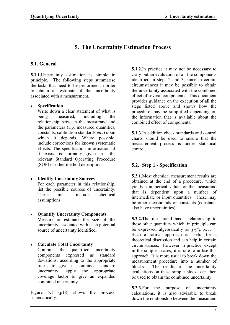# **5. The Uncertainty Estimation Process**

## **5.1. General**

**5.1.1.**Uncertainty estimation is simple in principle. The following steps summarise the tasks that need to be performed in order to obtain an estimate of the uncertainty associated with a measurement.

## **Specification**

Write down a clear statement of what is<br>heing measured, including the measured, including the relationship between the measurand and the parameters (*e.g.* measured quantities, constants, calibration standards *etc.*) upon which it depends. Where possible, include corrections for known systematic effects. The specification information, if it exists, is normally given in relevant Standard Operating Procedure (SOP) or other method description.

- **Identify Uncertainty Sources** For each parameter in this relationship, list the possible sources of uncertainty. These must include chemical assumptions.
- **Quantify Uncertainty Components** Measure or estimate the size of the uncertainty associated with each potential source of uncertainty identified.
- **Calculate Total Uncertainty** Combine the quantified uncertainty

components expressed as standard deviations, according to the appropriate rules, to give a combined standard uncertainty, apply the appropriate coverage factor to give an expanded combined uncertainty.

Figure 5.1 (p18) shows the process schematically.

**5.1.2.**In practice it may not be necessary to carry out an evaluation of all the components identified in steps 2 and 3, since in certain circumstances it may be possible to obtain the uncertainty associated with the combined effect of several components. This document provides guidance on the execution of all the steps listed above and shows how the procedure may be simplified depending on the information that is available about the combined effect of components.

**5.1.3.**In addition check standards and control charts should be used to ensure that the measurement process is under statistical control.

## **5.2. Step 1 - Specification**

**5.2.1.**Most chemical measurement results are obtained at the end of a procedure, which yields a numerical value for the measurand that is dependent upon a number of intermediate or input quantities. These may be other measurands or constants (constants also have uncertainties).

**5.2.2.**The measurand has a relationship to these other quantities which, in principle can be expressed algebraically as  $y=f(p,q,r,...)$ . Such a formal approach is useful for a theoretical discussion and can help in certain circumstances. However in practice, except in the simplest cases, it is rare to utilise this approach. It is more usual to break down the measurement procedure into a number of blocks. The results of the uncertainty evaluations on these simple blocks can then be used to obtain the combined uncertainty.

**5.2.3.** For the purpose of uncertainty calculations, it is also advisable to break down the relationship between the measurand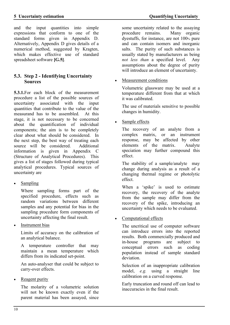and the input quantities into simple expressions that conform to one of the standard forms given in Appendix D. Alternatively, Appendix D gives details of a numerical method, suggested by Kragten, which makes effective use of standard spreadsheet software **[G.5]**.

## **5.3. Step 2 - Identifying Uncertainty Sources**

**5.3.1.**For each block of the measurement procedure a list of the possible sources of uncertainty associated with the input quantities that contribute to the value of the measurand has to be assembled. At this stage, it is not necessary to be concerned about the quantification of individual components; the aim is to be completely clear about what should be considered. In the next step, the best way of treating each source will be considered. Additional information is given in Appendix C (Structure of Analytical Procedures). This gives a list of stages followed during typical analytical procedures. Typical sources of uncertainty are

Sampling

 Where sampling forms part of the specified procedure, effects such as random variations between different samples and any potential for bias in the sampling procedure form components of uncertainty affecting the final result.

Instrument bias

Limits of accuracy on the calibration of an analytical balance.

A temperature controller that may maintain a mean temperature which differs from its indicated set-point.

An auto-analyser that could be subject to carry-over effects.

Reagent purity

The molarity of a volumetric solution will not be known exactly even if the parent material has been assayed, since some uncertainty related to the assaying<br>procedure remains. Many organic procedure remains. dyestuffs, for instance, are not 100% pure and can contain isomers and inorganic salts. The purity of such substances is usually stated by manufacturers as being *not less than* a specified level. Any assumptions about the degree of purity will introduce an element of uncertainty.

Measurement conditions

Volumetric glassware may be used at a temperature different from that at which it was calibrated.

The use of materials sensitive to possible changes in humidity.

Sample effects

The recovery of an analyte from a complex matrix, or an instrument response, may be affected by other elements of the matrix. Analyte speciation may further compound this effect.

The stability of a sample/analyte may change during analysis as a result of a changing thermal regime or photolytic effect.

When a 'spike' is used to estimate recovery, the recovery of the analyte from the sample may differ from the recovery of the spike, introducing an uncertainty which needs to be evaluated.

Computational effects

The uncritical use of computer software can introduce errors into the reported results. Both commercially produced and in-house programs are subject to conceptual errors such as coding population instead of sample standard deviation.

Selection of an inappropriate calibration model, *e.g.* using a straight line calibration on a curved response.

Early truncation and round off can lead to inaccuracies in the final result.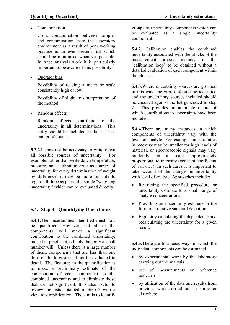Contamination

Cross contamination between samples and contamination from the laboratory environment as a result of poor working practice is an ever present risk which should be minimised whenever possible. In trace analysis work it is particularly important to be aware of this possibility.

• Operator bias

Possibility of reading a meter or scale consistently high or low.

Possibility of slight misinterpretation of the method.

Random effects

Random effects contribute to the uncertainty in all determinations. This entry should be included in the list as a matter of course.

**5.3.2.**It may not be necessary to write down all possible sources of uncertainty. For example, rather than write down temperature, pressure, and calibration error as sources of uncertainty for every determination of weight by difference, it may be more sensible to regard all three as parts of a single "weighing uncertainty" which can be evaluated directly.

## **5.4. Step 3 - Quantifying Uncertainty**

**5.4.1.**The uncertainties identified must now be quantified. However, not all of the components will make a significant contribution to the combined uncertainty; indeed in practice it is likely that only a small number will. Unless there is a large number of them, components that are less than one third of the largest need not be evaluated in detail. The first step in the quantification is to make a preliminary estimate of the contribution of each component to the combined uncertainty and to eliminate those that are not significant. It is also useful to review the lists obtained in Step 2 with a view to simplification. The aim is to identify

groups of uncertainty components which can be evaluated as a single uncertainty component.

**5.4.2.** Calibration enables the combined uncertainty associated with the blocks of the measurement process included in the "calibration loop" to be obtained without a detailed evaluation of each component within the blocks.

**5.4.3.**Where uncertainty sources are grouped in this way, the groups should be identified and the uncertainty sources included should be checked against the list generated in step 2. This provides an auditable record of which contributions to uncertainty have been included.

**5.4.4.**There are many instances in which components of uncertainty vary with the level of analyte. For example, uncertainties in recovery may be smaller for high levels of material, or spectroscopic signals may vary<br>randomly on a scale approximately on a scale approximately proportional to intensity (constant coefficient of variance). In such cases it is important to take account of the changes in uncertainty with level of analyte. Approaches include:

- Restricting the specified procedure or uncertainty estimate to a small range of analyte concentrations.
- Providing an uncertainty estimate in the form of a relative standard deviation.
- Explicitly calculating the dependence and recalculating the uncertainty for a given result.

**5.4.5.**There are four basic ways in which the individual components can be estimated

- by experimental work by the laboratory carrying out the analysis
- use of measurements on reference materials
- by utilisation of the data and results from previous work carried out in house or elsewhere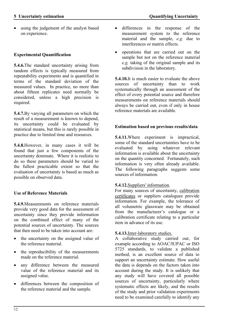#### **Experimental Quantification**

**5.4.6.**The standard uncertainty arising from random effects is typically measured from repeatability experiments and is quantified in terms of the standard deviation of the measured values. In practice, no more than about fifteen replicates need normally be considered, unless a high precision is required.

**5.4.7.**By varying all parameters on which the result of a measurement is known to depend, its uncertainty could be evaluated by statistical means, but this is rarely possible in practice due to limited time and resources.

**5.4.8.**However, in many cases it will be found that just a few components of the uncertainty dominate. Where it is realistic to do so these parameters should be varied to the fullest practicable extent so that the evaluation of uncertainty is based as much as possible on observed data.

#### **Use of Reference Materials**

**5.4.9.**Measurements on reference materials provide very good data for the assessment of uncertainty since they provide information on the combined effect of many of the potential sources of uncertainty. The sources that then need to be taken into account are:

- the uncertainty on the assigned value of the reference material.
- the reproducibility of the measurements made on the reference material.
- any difference between the measured value of the reference material and its assigned value.
- differences between the composition of the reference material and the sample.
- differences in the response of the measurement system to the reference material and the sample, *e.g.* due to interferences or matrix effects.
- operations that are carried out on the sample but not on the reference material *e.g.* taking of the original sample and its subdivision in the laboratory.

**5.4.10.**It is much easier to evaluate the above sources of uncertainty than to work systematically through an assessment of the effect of every potential source and therefore measurements on reference materials should always be carried out, even if only in house reference materials are available.

#### **Estimation based on previous results/data**

**5.4.11.**Where experiment is impractical, some of the standard uncertainties have to be evaluated by using whatever relevant information is available about the uncertainty on the quantity concerned. Fortunately, such information is very often already available. The following paragraphs suggests some sources of information.

#### **5.4.12.**Suppliers' information.

For many sources of uncertainty, calibration certificates or suppliers catalogues provide information. For example, the tolerance of all volumetric glassware may be obtained from the manufacturer's catalogue or a calibration certificate relating to a particular item in advance of its use.

#### **5.4.13.**Inter-laboratory studies.

A collaborative study carried out, for example according to AOAC/IUPAC or ISO 5725 standards, to validate a published method, is an excellent source of data to support an uncertainty estimate. How useful the data is depends on the factors taken into account during the study. It is unlikely that any study will have covered all possible sources of uncertainty, particularly where systematic effects are likely, and the results of the study and prior validation experiments need to be examined carefully to identify any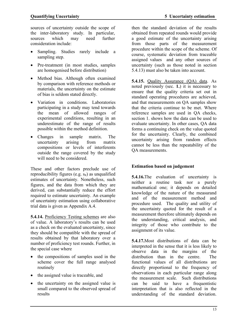sources of uncertainty outside the scope of the inter-laboratory study. In particular, sources which may need further consideration include:

- Sampling. Studies rarely include a sampling step.
- Pre-treatment (in most studies, samples are homogenised before distribution)
- Method bias. Although often examined by comparison with reference methods or materials, the uncertainty on the estimate of bias is seldom stated directly.
- Variation in conditions. Laboratories participating in a study may tend towards the mean of allowed ranges of experimental conditions, resulting in an underestimate of the range of results possible within the method definition.
- Changes in sample matrix. The uncertainty arising from matrix compositions or levels of interferents outside the range covered by the study will need to be considered.

These and other factors preclude use of reproducibility figures (e.g.  $s_R$ ) as unqualified estimates of uncertainty. Nonetheless, such figures, and the data from which they are derived, can substantially reduce the effort required to estimate uncertainty. An example of uncertainty estimation using collaborative trial data is given as Appendix A.4.

**5.4.14.** Proficiency Testing schemes are also of value. A laboratory's results can be used as a check on the evaluated uncertainty, since they should be compatible with the spread of results obtained by that laboratory over a number of proficiency test rounds. Further, in the special case where

- the compositions of samples used in the scheme cover the full range analysed routinely
- the assigned value is traceable, and
- the uncertainty on the assigned value is small compared to the observed spread of results

then the standard deviation of the results obtained from repeated rounds would provide a good estimate of the uncertainty arising from those parts of the measurement procedure within the scope of the scheme. Of course, systematic deviation from traceable assigned values and any other sources of uncertainty (such as those noted in section 5.4.13) must also be taken into account.

**5.4.15.** Quality Assurance (QA) data. As noted previously (sec. **1.**) it is necessary to ensure that the quality criteria set out in standard operating procedures are achieved, and that measurements on QA samples show that the criteria continue to be met. Where reference samples are used in QA checks, section 1. shows how the data can be used to evaluate uncertainty. In other cases, QA data forms a continuing check on the value quoted for the uncertainty. Clearly, the combined uncertainty arising from random effects cannot be less than the repeatability of the QA measurements.

## **Estimation based on judgement**

**5.4.16.**The evaluation of uncertainty is neither a routine task nor a purely mathematical one; it depends on detailed knowledge of the nature of the measurand and of the measurement method and procedure used. The quality and utility of the uncertainty quoted for the result of a measurement therefore ultimately depends on the understanding, critical analysis, and integrity of those who contribute to the assignment of its value.

**5.4.17.**Most distributions of data can be interpreted in the sense that it is less likely to observe data in the margins of the distribution than in the centre. The functional values of all distributions are directly proportional to the frequency of observations in each particular range along the measurement scale. Such distributions can be said to have a frequentistic interpretation that is also reflected in the understanding of the standard deviation.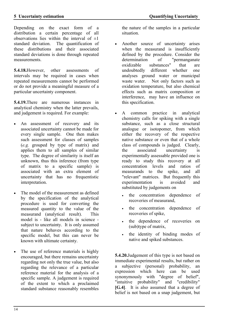Depending on the exact form of a distribution a certain percentage of all observations lies within the interval of  $\pm 1$ standard deviation. The quantification of these distributions and their associated standard deviations is done through repeated measurements.

**5.4.18.**However, other assessments of intervals may be required in cases when repeated measurements cannot be performed or do not provide a meaningful measure of a particular uncertainty component.

**5.4.19.**There are numerous instances in analytical chemistry when the latter prevails, and judgement is required. For example:

- An assessment of recovery and its associated uncertainty cannot be made for every single sample. One then makes such assessment for classes of samples (*e.g.* grouped by type of matrix) and applies them to all samples of similar type. The degree of similarity is itself an unknown, thus this inference (from type of matrix to a specific sample) is associated with an extra element of uncertainty that has no frequentistic interpretation.
- The model of the measurement as defined by the specification of the analytical procedure is used for converting the measured quantity to the value of the measurand (analytical result). This model is - like all models in science subject to uncertainty. It is only assumed that nature behaves according to the specific model, but this can never be known with ultimate certainty.
- The use of reference materials is highly encouraged, but there remains uncertainty regarding not only the true value, but also regarding the relevance of a particular reference material for the analysis of a specific sample. A judgement is required of the extent to which a proclaimed standard substance reasonably resembles

the nature of the samples in a particular situation.

- Another source of uncertainty arises when the measurand is insufficiently defined by the procedure. Consider the determination of "permanganate oxidizable substances" that are undoubtedly different whether one analyses ground water or municipal waste water. Not only factors such as oxidation temperature, but also chemical effects such as matrix composition or interference, may have an influence on this specification.
- A common practice in analytical chemistry calls for spiking with a single substance, such as a close structural analogue or isotopomer, from which either the recovery of the respective native substance or even that of a whole class of compounds is judged. Clearly, the associated uncertainty is experimentally assessable provided one is ready to study this recovery at all concentration levels and ratios of measurands to the spike, and all "relevant" matrices. But frequently this experimentation is avoided and substituted by judgements on
	- the concentration dependence of recoveries of measurand,
	- the concentration dependence of recoveries of spike,
	- the dependence of recoveries on (sub)type of matrix,
	- the identity of binding modes of native and spiked substances.

**5.4.20.**Judgement of this type is not based on immediate experimental results, but rather on a subjective (personal) probability, an expression which here can be used synonymously with "degree of belief", "intuitive probability" and "credibility" **[G.4]**. It is also assumed that a degree of belief is not based on a snap judgement, but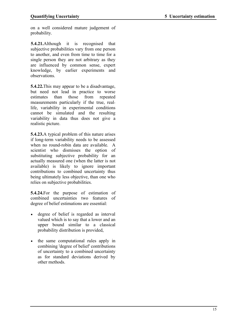on a well considered mature judgement of probability.

**5.4.21.**Although it is recognised that subjective probabilities vary from one person to another, and even from time to time for a single person they are not arbitrary as they are influenced by common sense, expert knowledge, by earlier experiments and observations.

**5.4.22.**This may appear to be a disadvantage, but need not lead in practice to worse estimates than those from repeated measurements particularly if the true, reallife, variability in experimental conditions cannot be simulated and the resulting variability in data thus does not give a realistic picture.

**5.4.23.**A typical problem of this nature arises if long-term variability needs to be assessed when no round-robin data are available. A scientist who dismisses the option of substituting subjective probability for an actually measured one (when the latter is not available) is likely to ignore important contributions to combined uncertainty thus being ultimately less objective, than one who relies on subjective probabilities.

**5.4.24.**For the purpose of estimation of combined uncertainties two features of degree of belief estimations are essential:

- degree of belief is regarded as interval valued which is to say that a lower and an upper bound similar to a classical probability distribution is provided,
- the same computational rules apply in combining 'degree of belief' contributions of uncertainty to a combined uncertainty as for standard deviations derived by other methods.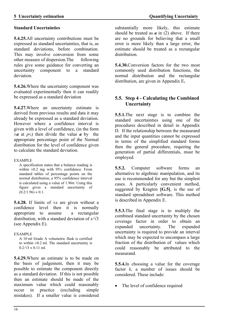#### **Standard Uncertainties**

**5.4.25.**All uncertainty contributions must be expressed as standard uncertainties, that is, as standard deviations, before combination. This may involve conversion from some other measure of dispersion.The following rules give some guidance for converting an uncertainty component to a standard deviation.

**5.4.26.**Where the uncertainty component was evaluated experimentally then it can readily be expressed as a standard deviation

**5.4.27.**Where an uncertainty estimate is derived from previous results and data it may already be expressed as a standard deviation. However where a confidence interval is given with a level of confidence, (in the form  $\pm a$  at  $p$ %) then divide the value *a* by the appropriate percentage point of the Normal distribution for the level of confidence given to calculate the standard deviation.

#### EXAMPLE

A specification states that a balance reading is within ±0.2 mg with 95% confidence. From standard tables of percentage points on the normal distribution, a 95% confidence interval is calculated using a value of  $1.96\sigma$ . Using this figure gives a standard uncertainty of  $(0.2/1.96) \approx 0.1$ .

**5.4.28.** If limits of  $\pm x$  are given without a confidence level then it is normally appropriate to assume a rectangular distribution, with a standard deviation of  $x/\sqrt{3}$ (see Appendix E).

#### EXAMPLE

A 10 ml Grade A volumetric flask is certified to within  $\pm 0.2$  ml. The standard uncertainty is  $0.2/\sqrt{3} \approx 0.11$  ml.

**5.4.29.**Where an estimate is to be made on the basis of judgement, then it may be possible to estimate the component directly as a standard deviation. If this is not possible then an estimate should be made of the maximum value which could reasonably occur in practice (excluding simple mistakes). If a smaller value is considered

substantially more likely, this estimate should be treated as  $\boldsymbol{a}$  in (2) above. If there are no grounds for believing that a small error is more likely than a large error, the estimate should be treated as a rectangular distribution.

**5.4.30.**Conversion factors for the two most commonly used distribution functions, the normal distribution and the rectangular distribution, are given in Appendix E**.**

## **5.5. Step 4 - Calculating the Combined Uncertainty**

**5.5.1.**The next stage is to combine the standard uncertainties using one of the procedures described in detail in Appendix D. If the relationship between the measurand and the input quantities cannot be expressed in terms of the simplified standard forms then the general procedure, requiring the generation of partial differentials, must be employed.

**5.5.2.** Computer software forms an alternative to algebraic manipulation, and its use is recommended for any but the simplest cases. A particularly convenient method, suggested by Kragten **[G.5]**, is the use of standard spreadsheet software. This method is described in Appendix E.

**5.5.3.**The final stage is to multiply the combined standard uncertainty by the chosen coverage factor in order to obtain an expanded uncertainty. The expanded uncertainty is required to provide an interval which may be expected to encompass a large fraction of the distribution of values which could reasonably be attributed to the measurand.

**5.5.4.**In choosing a value for the coverage factor *k*, a number of issues should be considered. These include:

• The level of confidence required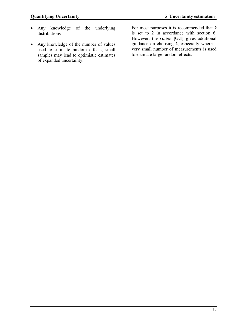- Any knowledge of the underlying distributions
- Any knowledge of the number of values used to estimate random effects; small samples may lead to optimistic estimates of expanded uncertainty.

For most purposes it is recommended that *k* is set to 2 in accordance with section 6. However, the *Guide* **[G.1]** gives additional guidance on choosing *k*, especially where a very small number of measurements is used to estimate large random effects.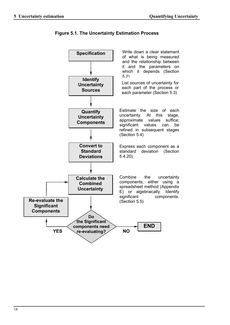

**Figure 5.1. The Uncertainty Estimation Process**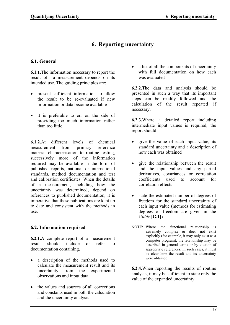# **6. Reporting uncertainty**

## **6.1. General**

**6.1.1.**The information necessary to report the result of a measurement depends on its intended use. The guiding principles are:

- present sufficient information to allow the result to be re-evaluated if new information or data become available
- it is preferable to err on the side of providing too much information rather than too little.

**6.1.2.**At different levels of chemical measurement from primary reference material characterisation to routine testing, successively more of the information required may be available in the form of published reports, national or international standards, method documentation and test and calibration certificates. When the details of a measurement, including how the uncertainty was determined, depend on references to published documentation, it is imperative that these publications are kept up to date and consistent with the methods in use.

## **6.2. Information required**

**6.2.1.**A complete report of a measurement result should include or refer to documentation containing,

- a description of the methods used to calculate the measurement result and its uncertainty from the experimental observations and input data
- the values and sources of all corrections and constants used in both the calculation and the uncertainty analysis

• a list of all the components of uncertainty with full documentation on how each was evaluated

**6.2.2.**The data and analysis should be presented in such a way that its important steps can be readily followed and the calculation of the result repeated if necessary.

**6.2.3.**Where a detailed report including intermediate input values is required, the report should

- give the value of each input value, its standard uncertainty and a description of how each was obtained
- give the relationship between the result and the input values and any partial derivatives, covariances or correlation coefficients used to account for correlation effects
- state the estimated number of degrees of freedom for the standard uncertainty of each input value (methods for estimating degrees of freedom are given in the *Guide* **[G.1]**).
- NOTE: Where the functional relationship is extremely complex or does not exist explicitly (for example, it may only exist as a computer program), the relationship may be described in general terms or by citation of appropriate references. In such cases, it must be clear how the result and its uncertainty were obtained.

**6.2.4.**When reporting the results of routine analysis, it may be sufficient to state only the value of the expanded uncertainty.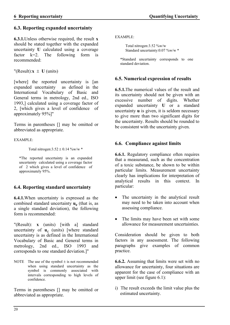## **6.3. Reporting expanded uncertainty**

**6.3.1.**Unless otherwise required, the result **x** should be stated together with the expanded uncertainty **U** calculated using a coverage factor  $k=2$ . The following form is recommended:

"(Result): $\mathbf{x} \pm \mathbf{U}$  (units)

[where] the reported uncertainty is [an expanded uncertainty as defined in the International Vocabulary of Basic and General terms in metrology, 2nd ed., ISO 1993,] calculated using a coverage factor of 2, [which gives a level of confidence of approximately 95%]"

Terms in parentheses [] may be omitted or abbreviated as appropriate.

EXAMPLE:

Total nitrogen: $3.52 \pm 0.14$  %w/w \*

\*The reported uncertainty is an expanded uncertainty calculated using a coverage factor of 2 which gives a level of confidence of approximately 95%.

## **6.4. Reporting standard uncertainty**

**6.4.1.**When uncertainty is expressed as the combined standard uncertainty **u<sup>c</sup>** (that is, as a single standard deviation), the following form is recommended:

"(Result): **x** (units) [with a] standard uncertainty of  $\mathbf{u}_c$  (units) [where standard uncertainty is as defined in the International Vocabulary of Basic and General terms in metrology, 2nd ed., ISO 1993 and corresponds to one standard deviation.]"

NOTE The use of the symbol  $\pm$  is not recommended when using standard uncertainty as the symbol is commonly associated with intervals corresponding to high levels of confidence.

Terms in parentheses [] may be omitted or abbreviated as appropriate.

EXAMPLE:

 Total nitrogen:3.52 %w/w Standard uncertainty:0.07 %w/w \*

\*Standard uncertainty corresponds to one standard deviation.

## **6.5. Numerical expression of results**

**6.5.1.**The numerical values of the result and its uncertainty should not be given with an excessive number of digits. Whether expanded uncertainty **U** or a standard uncertainty **u** is given, it is seldom necessary to give more than two significant digits for the uncertainty. Results should be rounded to be consistent with the uncertainty given.

## **6.6. Compliance against limits**

**6.6.1.** Regulatory compliance often requires that a measurand, such as the concentration of a toxic substance, be shown to be within particular limits. Measurement uncertainty clearly has implications for interpretation of analytical results in this context. In particular:

- The uncertainty in the analytical result may need to be taken into account when assessing compliance.
- The limits may have been set with some allowance for measurement uncertainties.

Consideration should be given to both factors in any assessment. The following paragraphs give examples of common practice.

**6.6.2.** Assuming that limits were set with no allowance for uncertainty, four situations are apparent for the case of compliance with an upper limit (see figure 6.1):

i) The result exceeds the limit value plus the estimated uncertainty.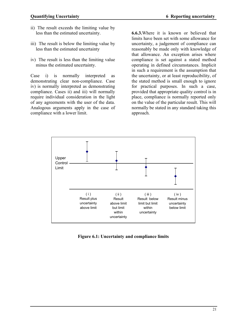- ii) The result exceeds the limiting value by less than the estimated uncertainty.
- iii) The result is below the limiting value by less than the estimated uncertainty
- iv) The result is less than the limiting value minus the estimated uncertainty.

Case i) is normally interpreted as demonstrating clear non-compliance. Case iv) is normally interpreted as demonstrating compliance. Cases ii) and iii) will normally require individual consideration in the light of any agreements with the user of the data. Analogous arguments apply in the case of compliance with a lower limit.

**6.6.3.**Where it is known or believed that limits have been set with some allowance for uncertainty, a judgement of compliance can reasonably be made only with knowledge of that allowance. An exception arises where compliance is set against a stated method operating in defined circumstances. Implicit in such a requirement is the assumption that the uncertainty, or at least reproducibility, of the stated method is small enough to ignore for practical purposes. In such a case, provided that appropriate quality control is in place, compliance is normally reported only on the value of the particular result. This will normally be stated in any standard taking this approach.



**Figure 6.1: Uncertainty and compliance limits**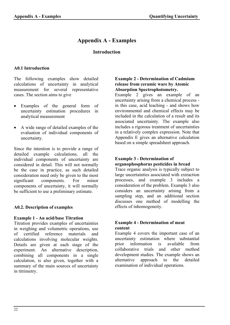# **Appendix A - Examples**

## **Introduction**

#### **A0.1 Introduction**

The following examples show detailed calculations of uncertainty in analytical measurement for several representative cases. The section aims to give

- Examples of the general form of uncertainty estimation procedures in analytical measurement
- A wide range of detailed examples of the evaluation of individual components of uncertainty.

Since the intention is to provide a range of detailed example calculations, all the individual components of uncertainty are considered in detail. This will not normally be the case in practice, as such detailed consideration need only be given to the most significant components. For minor components of uncertainty, it will normally be sufficient to use a preliminary estimate.

#### **A0.2. Description of examples**

#### **Example 1 - An acid/base Titration**

Titration provides examples of uncertainties in weighing and volumetric operations, use of certified reference materials and calculations involving molecular weights. Details are given at each stage of the experiment. An alternative description, combining all components in a single calculation, is also given, together with a summary of the main sources of uncertainty in titrimetry.

#### **Example 2 - Determination of Cadmium release from ceramic ware by Atomic Absorption Spectrophotometry.**

Example 2 gives an example of an uncertainty arising from a chemical process in this case, acid leaching - and shows how environmental and chemical effects may be included in the calculation of a result and its associated uncertainty. The example also includes a rigorous treatment of uncertainties in a relatively complex expression. Note that Appendix E gives an alternative calculation based on a simple spreadsheet approach.

#### **Example 3 - Determination of organophosphorus pesticides in bread**

Trace organic analysis is typically subject to large uncertainties associated with extraction processes, and example 3 includes a consideration of the problem. Example 3 also considers an uncertainty arising from a sampling step, and an additional section discusses one method of modelling the effects of inhomogeneity.

#### **Example 4 - Determination of meat content**

Example 4 covers the important case of an uncertainty estimation where substantial prior information is available from collaborative trials and other method development studies. The example shows an alternative approach to the detailed alternative approach to examination of individual operations.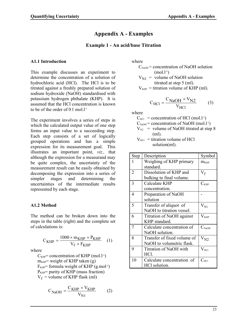# **Appendix A - Examples**

## **Example 1 - An acid/base Titration**

#### **A1.1 Introduction**

This example discusses an experiment to determine the concentration of a solution of hydrochloric acid (HCl). The HCl is to be titrated against a freshly prepared solution of sodium hydroxide (NaOH) standardised with potassium hydrogen phthalate (KHP). It is assumed that the HCl concentration is known to be of the order of  $0.1$  mol.<sup>1-1</sup>

The experiment involves a series of steps in which the calculated output value of one step forms an input value to a succeeding step. Each step consists of a set of logically grouped operations and has a simple expression for its measurement goal. This illustrates an important point, *viz.,* that although the expression for a measurand may be quite complex, the uncertainty of the measurement result can be easily obtained by decomposing the expression into a series of simpler stages and determining the uncertainties of the intermediate results represented by each stage.

#### **A1.2 Method**

The method can be broken down into the steps in the table (right) and the complete set of calculations is:

$$
C_{KHP} = \frac{1000 \times m_{KHP} \times P_{KHP}}{V_f \times F_{KHP}} \quad (1)
$$

where

 $C_{KHP}$ = concentration of KHP (mol.l<sup>-1</sup>)  $m<sub>KHP</sub>$ = weight of KHP taken (g)  $F<sub>KHP</sub>$ = formula weight of KHP (g.mol<sup>-1</sup>)  $P<sub>KHP</sub>$  = purity of KHP (mass fraction)  $V_f$  = volume of KHP flask (ml)

$$
C_{NaOH} = \frac{C_{KHP} \times V_{KHP}}{V_{N1}}
$$
 (2)

where

- $C_{\text{NaOH}}$  = concentration of NaOH solution  $(mol.1<sup>-1</sup>)$ 
	- $V_{\text{N1}}$  = volume of NaOH solution titrated at step 5 (ml).
- $V<sub>KHP</sub>$  = titration volume of KHP (ml).

$$
C_{\text{HCl}} = \frac{C_{\text{NaOH}} \times V_{\text{N2}}}{V_{\text{HCl}}} \tag{3}
$$

where

- $C_{\text{HCl}}$  = concentration of HCl (mol.l<sup>-1</sup>)  $C_{\text{NaOH}}$  = concentration of NaOH (mol.l<sup>-1</sup>)
- $V_{N2}$  = volume of NaOH titrated at step 8 (ml).

$$
V_{\text{HCl}} = \text{titration volume of HCl} \n\text{solution(ml)}.
$$

| Step           | Description                                   | Symbol            |  |
|----------------|-----------------------------------------------|-------------------|--|
| 1              | Weighing of KHP primary<br>$m$ <sub>KHP</sub> |                   |  |
|                | standard.                                     |                   |  |
| $\overline{2}$ | Dissolution of KHP and                        | $V_f$             |  |
|                | bulking to final volume.                      |                   |  |
| 3              | Calculate KHP                                 | $C_{KHP}$         |  |
|                | concentration.                                |                   |  |
| 4              | Preparation of NaOH                           |                   |  |
|                | solution                                      |                   |  |
| 5              | Transfer of aliquot of                        | $V_{N1}$          |  |
|                | NaOH to titration vessel.                     |                   |  |
| 6              | Titration of NaOH against                     | $\rm V_{\rm KHP}$ |  |
|                | KHP standard.                                 |                   |  |
| 7              | Calculate concentration of                    | $C_{\text{NaOH}}$ |  |
|                | NaOH solution.                                |                   |  |
| 8              | Transfer of fixed volume of                   | $V_{N2}$          |  |
|                | NaOH to volumetric flask.                     |                   |  |
| 9              | Titration of NaOH with                        | $\rm V_{\rm HCl}$ |  |
|                | HCl.                                          |                   |  |
| 10             | Calculate concentration of                    | $C_{\text{HCI}}$  |  |
|                | HCl solution.                                 |                   |  |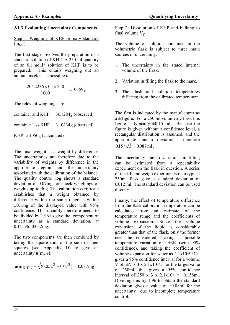## **A1.3 Evaluating Uncertainty Components**

#### Step 1: Weighing of KHP primary standard  $(m<sub>KHP</sub>)$

The first stage involves the preparation of a standard solution of KHP. A 250 ml quantity of an  $0.1$  mol.<sup>1-1</sup> solution of KHP is to be prepared. This entails weighing out an This entails weighing out an amount as close as possible to

$$
\frac{204.2236 \times 0.1 \times 250}{1000} = 5.10559g
$$

The relevant weighings are:

container and KHP 36.1284g (observed)

container less KHP 31.0234g (observed)

KHP 5.1050g (calculated)

The final weight is a weight by difference. The uncertainties are therefore due to the variability of weights by difference in the appropriate region, and the uncertainty associated with the calibration of the balance. The quality control log shows a standard deviation of 0.07mg for check weighings of weights up to 50g. The calibration certificate establishes that a weight obtained by difference within the same range is within  $\pm 0.1$  mg of the displayed value with 95% confidence. This quantity therefore needs to be divided by 1.96 to give the component of uncertainty as a standard deviation, at  $0.1/1.96=0.052$ mg.

The two components are then combined by taking the square root of the sum of their squares (see Appendix D) to give an uncertainty  $\mathbf{u}(m_{KHP})$ :

$$
\mathbf{u}(m_{KHP}) = \sqrt{(0.052^2 + 0.07^2)} = 0.087mg
$$

Step 2: Dissolution of KHP and bulking to final volume  $V_f$ 

The volume of solution contained in the volumetric flask is subject to three main sources of uncertainty:

- 1. The uncertainty in the stated internal volume of the flask.
- 2. Variation in filling the flask to the mark.
- 3. The flask and solution temperatures differing from the calibrated temperature.

The first is indicated by the manufacturer as  $a \pm$  figure. For a 250 ml volumetric flask this figure is typically  $\pm 0.15$  ml. Because the figure is given without a confidence level, a rectangular distribution is assumed, and the appropriate standard deviation is therefore  $0.15 / \sqrt{3} = 0.087$  ml.

The uncertainty due to variations in filling can be estimated from a repeatability experiment on the flask in question. A series of ten fill and weigh experiments on a typical 250ml flask gave a standard deviation of 0.012 ml. The standard deviation can be used directly.

Finally, the effect of temperature difference from the flask calibration temperature can be calculated from an estimate of the temperature range and the coefficients of volume expansion. Since the volume expansion of the liquid is considerably greater than that of the flask, only the former need be considered. Taking a possible temperature variation of  $\pm 3\text{K}$  (with 95% confidence), and taking the coefficient of volume expansion for water as  $2.1x10^{-4}$  °C<sup>-1</sup> gives a 95% confidence interval for a volume  $\overline{V}$  of  $\pm \overline{V}$  x 3 x 2.1x10-4. For the target value of 250ml, this gives a 95% confidence interval of 250 x  $\overrightarrow{3}$  x 2.1x10<sup>-4</sup> = 0.158ml. Dividing this by 1.96 to obtain the standard deviation gives a value of  $\pm 0.08$ ml for the uncertainty due to incomplete temperature control.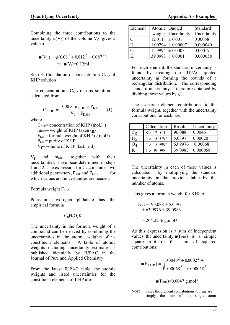Combining the three contributions to the uncertainty  $\mathbf{u}(V_f)$  of the volume  $V_f$  gives a value of

$$
\mathbf{u}(V_f) = \sqrt{(0.08^2 + 0.012^2 + 0.087^2)}
$$
  
\n
$$
\Rightarrow \mathbf{u}(V_f) = 0.12 \text{ml}
$$

#### Step 3: Calculation of concentration  $C_{KHP}$  of KHP solution

The concentration  $C_{KHP}$  of this solution is calculated from

$$
C_{KHP} = \frac{1000 \times m_{KHP} \times P_{KHP}}{V_f \times F_{KHP}} \quad (1)
$$

where

 $C_{KHP}$ = concentration of KHP (mol.l<sup>-1</sup>)  $m<sub>KHP</sub>$  weight of KHP taken (g)  $F<sub>KHP</sub>$ = formula weight of KHP (g.mol<sup>-1</sup>)  $P_{KHP}$ = purity of KHP  $V_f$ = volume of KHP flask (ml)

 $V_f$  and  $m<sub>KHP</sub>$ , together with their uncertainties, have been determined in steps 1 and 2. The expression for  $C_{KHP}$  includes two additional parameters,  $P_{KHP}$  and  $F_{KHP}$ , for which values and uncertainties are needed.

#### Formula weight  $F_{KHP}$

Potassium hydrogen phthalate has the empirical formula

#### $C_8H_5O_4K$

The uncertainty in the formula weight of a compound can be derived by combining the uncertainties in the atomic weights of its constituent elements. A table of atomic weights including uncertainty estimates is published biennially by IUPAC in the Journal of Pure and Applied Chemistry.

From the latest IUPAC table, the atomic weights and listed uncertainties for the constituent elements of KHP are:

| Element  | Atomic Quoted        |                       | Standard    |
|----------|----------------------|-----------------------|-------------|
|          | weight               | Uncertainty           | Uncertainty |
| C        | $12.011$ $\pm 0.001$ |                       | 0.00058     |
| H        |                      | $1.00794 \pm 0.00007$ | 0.000040    |
| $\Omega$ |                      | $15.9994 \pm 0.0003$  | 0.00017     |
|          |                      | $39.0983 \pm 0.0001$  | 0.000058    |

For each element, the standard uncertainty is found by treating the IUPAC quoted uncertainty as forming the bounds of a rectangular distribution. The corresponding standard uncertainty is therefore obtained by dividing these values by  $\sqrt{3}$ .

The separate element contributions to the formula weight, together with the uncertainty contributions for each, are:

|                | Calculation        | Result  | Uncertainty |
|----------------|--------------------|---------|-------------|
| ົດ             | $8 \times 12.011$  | 96.088  | 0.0046      |
| H <sub>5</sub> | $5 \times 1.00794$ | 5.0397  | 0.00020     |
|                | $4 \times 15.9994$ | 63.9976 | 0.00068     |
|                | $1 \times 39.0983$ | 39.0983 | 0.000058    |

The uncertainty in each of these values is calculated by multiplying the standard uncertainty in the previous table by the number of atoms.

This gives a formula weight for KHP of

$$
F_{KHP} = 96.088 + 5.0397 + 63.9976 + 39.0983
$$

$$
= 204.2236
$$
 g.mol<sup>-1</sup>

As this expression is a sum of independent values, the uncertainty  $\mathbf{u}(F_{KHP})$  is a simple square root of the sum of squared contributions:

$$
\mathbf{u}(\mathbf{F}_{KHP}) = \sqrt{\frac{0.0046^2 + 0.0002^2 + \cdots}{0.00068^2 + 0.000058^2}}
$$

 $\Rightarrow$  **u**(F<sub>KHP</sub>)=0.0047 g.mol<sup>-1</sup>

NOTE: Since the element contributions to  $F_{KHP}$  are simply the sum of the single atom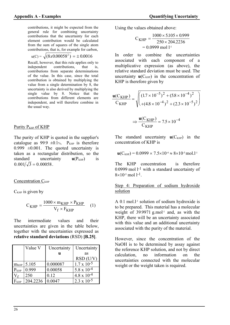contributions, it might be expected from the general rule for combining uncertainty contributions that the uncertainty for each element contribution would be calculated from the sum of squares of the single atom contributions, that is, for example for carbon,

$$
u(C) = \sqrt{(8x0.00058^2)} = \pm 0.0016
$$

Recall, however, that this rule applies only to independent contributions, that is, contributions from separate determinations of the value. In this case, since the total contribution is obtained by multiplying the value from a single determination by 8, the uncertainty is also derived by multiplying the single value by 8. Notice that the contributions from different elements are independent, and will therefore combine in the usual way.

#### Purity P<sub>KHP</sub> of KHP

The purity of KHP is quoted in the supplier's catalogue as 99.9  $\pm 0.1$ %. P<sub>KHP</sub> is therefore 0.999  $\pm 0.001$ . The quoted uncertainty is taken as a rectangular distribution, so the standard uncertainty  $\mathbf{u}(P_{KHP})$  is  $0.001/\sqrt{3} = 0.00058$ .

#### Concentration  $C_{KHP}$

 $C_{KHP}$  is given by

$$
C_{KHP} = \frac{1000 \times m_{KHP} \times P_{KHP}}{V_f \times F_{KHP}} \quad (1)
$$

The intermediate values and their uncertainties are given in the table below, together with the uncertainties expressed as **relative standard deviations** (RSD) **[B.25]**.

|                  | Value V  | Uncertainty | Uncertainty          |
|------------------|----------|-------------|----------------------|
|                  |          | u           | as                   |
|                  |          |             | $RSD$ (U/V)          |
| $m_{KHP}$        | 5.105    | 0.000087    | $1.7 \times 10^{-5}$ |
| $P_{KHP}$        | 0.999    | 0.00058     | $5.8 \times 10^{-4}$ |
|                  | 250      | 0.12        | $4.8 \times 10^{-4}$ |
| F <sub>KHP</sub> | 204.2236 | 0.0047      | $2.3 \times 10^{-5}$ |

Using the values obtained above:

$$
C_{KHP} = \frac{1000 \times 5.105 \times 0.999}{250 \times 204.2236}
$$
  
= 0.0999 mol l<sup>-1</sup>

In order to combine the uncertainties associated with each component of a multiplicative expression (as above), the relative standard deviation must be used. The uncertainty  $\mathbf{u}(C_{KHP})$  in the concentration of KHP is therefore given by

$$
\frac{\mathbf{u}(C_{KHP})}{C_{KHP}} = \sqrt{\left(\frac{(1.7 \times 10^{-5})^2 + (5.8 \times 10^{-4})^2}{(4.8 \times 10^{-4})^2 + (2.3 \times 10^{-5})^2}\right)}
$$

$$
\Rightarrow \frac{\mathbf{u}(C_{KHP})}{C_{KHP}} = 7.5 \times 10^{-4}
$$

The standard uncertainty  $\mathbf{u}(C_{KHP})$  in the concentration of KHP is

$$
\mathbf{u}(C_{KHP}) = 0.0999 \times 7.5 \times 10^{4} \approx 8 \times 10^{5} \,\mathrm{mol}.
$$

The KHP concentration is therefore 0.0999 mol  $1^{-1}$  with a standard uncertainty of  $8\times10^{-5}$  mol 1-1.

Step 4: Preparation of sodium hydroxide solution

A  $0.1$  mol.<sup>1-1</sup> solution of sodium hydroxide is to be prepared. This material has a molecular weight of  $39.9971$  g.mol<sup>-1</sup> and, as with the KHP, there will be an uncertainty associated with this value and an additional uncertainty associated with the purity of the material.

However, since the concentration of the NaOH is to be determined by assay against the reference KHP solution, and not by direct calculation, no information on the uncertainties connected with the molecular weight or the weight taken is required.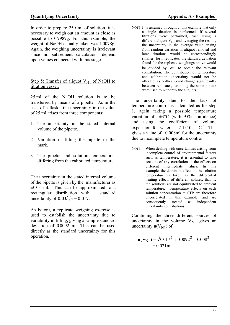In order to prepare 250 ml of solution, it is necessary to weigh out an amount as close as possible to 0.9989g. For this example, the weight of NaOH actually taken was 1.0078g. Again, the weighing uncertainty is irrelevant since no subsequent calculations depend upon values connected with this stage.

Step 5: Transfer of aliquot  $V_{\text{N1}}$  of NaOH to titration vessel.

25 ml of the NaOH solution is to be transferred by means of a pipette. As in the case of a flask, the uncertainty in the value of 25 ml arises from three components:

- 1. The uncertainty in the stated internal volume of the pipette.
- 2. Variation in filling the pipette to the mark.
- 3. The pipette and solution temperatures differing from the calibrated temperature.

The uncertainty in the stated internal volume of the pipette is given by the manufacturer as  $\pm 0.03$  ml. This can be approximated to a rectangular distribution with a standard uncertainty of  $0.03/\sqrt{3} = 0.017$ .

As before, a replicate weighing exercise is used to establish the uncertainty due to variability in filling, giving a sample standard deviation of 0.0092 ml. This can be used directly as the standard uncertainty for this operation.

NOTE: It is assumed throughout this example that only a single titration is performed. If several titrations were performed, each using a different aliquot  $\hat{V}_{N1}$  and averaging the results, the uncertainty in the average value arising from random variation in aliquot removal and later titrations would be correspondingly smaller; for n replicates, the standard deviation found for the replicate weighings above would be divided by  $\sqrt{n}$  to obtain the relevant contribution. The contribution of temperature and calibration uncertainty would not be affected, as neither would change significantly between replicates, assuming the same pipette were used to withdraw the aliquots.

The uncertainty due to the lack of temperature control is calculated as for step 1, again taking a possible temperature variation of  $\pm 3^{\circ}$ C (with 95% confidence) and using the coefficient of volume expansion for water as  $2.1x10^{-4}$  °C<sup>-1</sup>. This gives a value of  $\pm 0.008$ ml for the uncertainty due to incomplete temperature control.

NOTE: When dealing with uncertainties arising from incomplete control of environmental factors such as temperature, it is essential to take account of any correlation in the effects on different intermediate values. In this example, the dominant effect on the solution temperature is taken as the differential heating effects of different solutes, that is, the solutions are not equilibrated to ambient temperature. Temperature effects on each solution concentration at STP are therefore uncorrelated in this example, and are consequently treated as independent uncertainty contributions.

Combining the three different sources of uncertainty in the volume  $V_{\text{N1}}$  gives an uncertainty  $\mathbf{u}(V_{N1})$  of

 $\mathbf{u}(V_{N1}) = \sqrt{0.017^2 + 0.0092^2 + 0.008^2}$  $= 0.021$ ml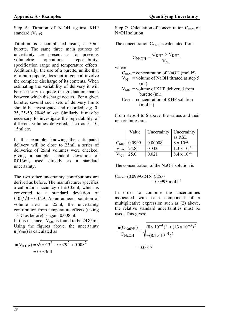Step 6: Titration of NaOH against KHP standard  $(V<sub>KHP</sub>)$ 

Titration is accomplished using a 50ml burette. The same three main sources of uncertainty are present as for previous<br>volumetric operations: repeatability, volumetric operations: repeatability, specification range and temperature effects. Additionally, the use of a burette, unlike that of a bulb pipette, does not in general involve the complete discharge of its contents. When estimating the variability of delivery it will be necessary to quote the graduation marks between which discharge occurs. For a given burette, several such sets of delivery limits should be investigated and recorded; *e.g.* 0- 25, 25-50, 20-45 ml *etc.* Similarly, it may be necessary to investigate the repeatability of different volumes delivered, such as 5, 10, 15ml etc.

In this example, knowing the anticipated delivery will be close to 25ml, a series of deliveries of 25ml volumes were checked, giving a sample standard deviation of 0.013ml, used directly as a standard uncertainty.

The two other uncertainty contributions are derived as before. The manufacturer specifies a calibration accuracy of  $\pm 0.05$ ml, which is converted to a standard deviation of  $0.05/\sqrt{3} = 0.029$ . As an aqueous solution of volume near to 25ml, the uncertainty contribution from temperature effects (taking  $\pm 3^{\circ}$ C as before) is again 0.008ml.

In this instance,  $V_{KHP}$  is found to be 24.85ml. Using the figures above, the uncertainty  $\mathbf{u}(V_{KHP})$  is calculated as

$$
\mathbf{u}(V_{KHP}) = \sqrt{0.013^2 + 0.029^2 + 0.008^2}
$$
  
= 0.033ml

Step 7: Calculation of concentration  $C_{\text{NaOH}}$  of NaOH solution

The concentration  $C_{\text{NaOH}}$  is calculated from

$$
C_{NaOH} = \frac{C_{KHP} \times V_{KHP}}{V_{N1}}
$$

where

$$
C_{NaOH} = concentration of NaOH (mol.l-1)
$$

$$
V_{N1} = \text{volume of NaOH} \text{ titrated at step 5}
$$
  
(ml).

$$
V_{KHP}
$$
 = volume of KHP delivered from  
burette (ml).

 $C_{KHP}$  = concentration of KHP solution  $(mol.1<sup>-1</sup>)$ .

From steps 4 to 6 above, the values and their uncertainties are:

|               | Value  | Uncertainty | Uncertainty          |
|---------------|--------|-------------|----------------------|
|               |        |             | as RSD               |
| $C_{KHP}$     | 0.0999 | 0.00008     | $8 \times 10^{-4}$   |
| $V_{\rm KHP}$ | 24.85  | 0.033       | $1.3 \times 10^{-3}$ |
|               | 25.0   | 0.021       | $8.4 \times 10^{-4}$ |

The concentration of the NaOH solution is

 $C_{\text{NaOH}}$ =(0.0999×24.85)/25.0  $= 0.0993$  mol 1-1

In order to combine the uncertainties associated with each component of a multiplicative expression such as (2) above, the relative standard uncertainties must be used. This gives:

$$
\frac{\mathbf{u}(C_{\text{NaOH}})}{C_{\text{NaOH}}} = \sqrt{\frac{(8 \times 10^{-4})^2 + (1.3 \times 10^{-3})^2}{+(8.4 \times 10^{-4})^2}}
$$

$$
= 0.0017
$$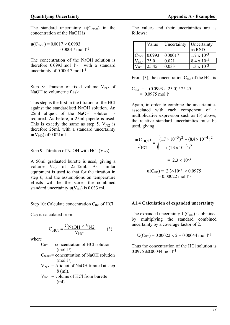The standard uncertainty  $\mathbf{u}(C_{\text{NaOH}})$  in the concentration of the NaOH is

$$
\mathbf{u}(C_{\text{NaOH}}) = 0.0017 \times 0.0993
$$
  
= 0.00017 mol 1<sup>-1</sup>

The concentration of the NaOH solution is therefore  $0.0993$  mol  $1^{-1}$  with a standard uncertainty of 0.00017 mol 1<sup>-1</sup>

### Step 8: Transfer of fixed volume  $V_{N2}$  of NaOH to volumetric flask

This step is the first in the titration of the HCl against the standardised NaOH solution. An 25ml aliquot of the NaOH solution is required. As before, a 25ml pipette is used. This is exactly the same as step 5.  $V_{N2}$  is therefore 25ml, with a standard uncertainty  $u(V_{N2})$  of 0.021ml.

### Step 9: Titration of NaOH with HCl  $(V_{\text{HCl}})$

A 50ml graduated burette is used, giving a volume  $V_{\text{HCl}}$  of 25.45ml. As similar equipment is used to that for the titration in step 6, and the assumptions on temperature effects will be the same, the combined standard uncertainty  $\mathbf{u}(V_{HC})$  is 0.033 ml.

### Step 10: Calculate concentration C<sub>HCl</sub> of HCl

 $C_{\text{HCI}}$  is calculated from

$$
C_{\rm HCl} = \frac{C_{\rm NaOH} \times V_{\rm N2}}{V_{\rm HCl}} \tag{3}
$$

where

- $C_{\text{HCl}}$  = concentration of HCl solution  $(mol.1<sup>-1</sup>).$
- $C_{\text{NaOH}}$  = concentration of NaOH solution  $(mol.1<sup>-1</sup>).$
- $V_{N2}$  = Aliquot of NaOH titrated at step 8 (ml).
- $V_{\text{HCl}}$  = volume of HCl from burette (ml).

The values and their uncertainties are as follows:

|                 | Value             | Uncertainty | Uncertainty<br>as RSD |
|-----------------|-------------------|-------------|-----------------------|
|                 | $C_{NoOH}$ 0.0993 | 0.00017     | $1.7 \times 10^{-3}$  |
|                 | 25.0              | 0.021       | $8.4 \times 10^{-4}$  |
| HC <sub>1</sub> | 25.45             | 0.033       | $1.3 \times 10^{-3}$  |

From (3), the concentration  $C_{\text{HC}}$  of the HCl is

 $C_{\text{HCl}} = (0.0993 \times 25.0) / 25.45$  $= 0.0975$  mol 1<sup>-1</sup>

Again, in order to combine the uncertainties associated with each component of a multiplicative expression such as (3) above, the relative standard uncertainties must be used, giving

$$
\frac{\mathbf{u}(C_{\text{HCl}})}{C_{\text{HCl}}} = \sqrt{\frac{(1.7 \times 10^{-3})^2 + (8.4 \times 10^{-4})^2 + (1.3 \times 10^{-3})^2}{(1.3 \times 10^{-3})^2}}
$$
  
= 2.3 × 10<sup>-3</sup>  

$$
\mathbf{u}(C_{\text{HCl}}) = 2.3 \times 10^{-3} \times 0.0975
$$
  
= 0.00022 mol 1<sup>-1</sup>

### **A1.4 Calculation of expanded uncertainty**

The expanded uncertainty  $U(C_{HC})$  is obtained by multiplying the standard combined uncertainty by a coverage factor of 2.

$$
U(C_{\text{HCl}}) = 0.00022 \times 2 = 0.00044 \text{ mol } l^{-1}
$$

Thus the concentration of the HCl solution is  $0.0975 \pm 0.00044$  mol l<sup>-1</sup>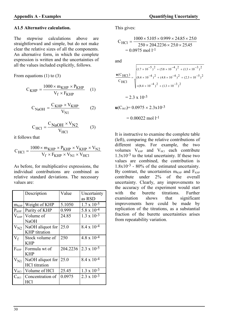### **A1.5 Alternative calculation.**

The stepwise calculations above are straightforward and simple, but do not make clear the relative sizes of all the components. An alternative form, in which the complete expression is written and the uncertainties of all the values included explicitly, follows.

From equations  $(1)$  to  $(3)$ 

$$
C_{KHP} = \frac{1000 \times m_{KHP} \times P_{KHP}}{V_f \times F_{KHP}} \quad (1)
$$

$$
C_{NaOH} = \frac{C_{KHP} \times V_{KHP}}{V_{N1}}
$$
 (2)

$$
C_{\text{HCl}} = \frac{C_{\text{NaOH}} \times V_{\text{N2}}}{V_{\text{HCl}}} \tag{3}
$$

it follows that

$$
C_{HCl} = \frac{1000 \times m_{KHP} \times P_{KHP} \times V_{KHP} \times V_{N2}}{V_f \times F_{KHP} \times V_{N1} \times V_{HCl}}
$$

As before, for multiplicative expressions, the individual contributions are combined as relative standard deviations. The necessary values are:

|                  | Description                              | Value    | Uncertainty<br>as RSD |
|------------------|------------------------------------------|----------|-----------------------|
| m <sub>KHP</sub> | Weight of KHP                            | 5.1050   | $1.7 \times 10^{-5}$  |
| $P_{KHP}$        | Purity of KHP                            | 0.999    | $5.8 \times 10^{-4}$  |
| $V_{KHP}$        | Volume of<br><b>NaOH</b>                 | 24.85    | $1.3 \times 10^{-3}$  |
| $V_{N2}$         | NaOH aliquot for<br><b>KHP</b> titration | 25.0     | $8.4 \times 10^{-4}$  |
| $V_f$            | Stock volume of<br><b>KHP</b>            | 250      | $4.8 \times 10^{-4}$  |
| F <sub>KHP</sub> | Formula wt of<br><b>KHP</b>              | 204.2236 | $2.3 \times 10^{-5}$  |
| $V_{N1}$         | NaOH aliquot for<br><b>HCl</b> titration | 25.0     | $8.4 \times 10^{-4}$  |
| $V_{\rm HCl}$    | Volume of HCl                            | 25.45    | $1.3 \times 10^{-3}$  |
| $C_{\text{HCl}}$ | Concentration of<br>HCl                  | 0.0975   | $2.3 \times 10^{-3}$  |

This gives:

$$
C_{\text{HCl}} = \frac{1000 \times 5.105 \times 0.999 \times 24.85 \times 25.0}{250 \times 204.2236 \times 25.0 \times 25.45}
$$
  
= 0.0975 mol l<sup>-1</sup>

and

$$
\frac{\mathbf{u}(C_{HCl})}{C_{HCl}} = \sqrt{\frac{(1.7 \times 10^{-5})^2 + (5.8 \times 10^{-4})^2 + (1.3 \times 10^{-3})^2}{(8.4 \times 10^{-4})^2 + (4.8 \times 10^{-4})^2 + (2.3 \times 10^{-5})^2}}
$$
  
= 2.3 x 10<sup>-3</sup>  

$$
\mathbf{u}(C_{HCl}) = 0.0975 \times 2.3 \times 10^{-3}
$$
  
= 0.00022 mol 1<sup>-1</sup>

It is instructive to examine the complete table (left), comparing the relative contributions of different steps. For example, the two volumes  $V_{KHP}$  and  $V_{HCl}$  each contribute  $1.3x10^{-3}$  to the total uncertainty. If these two values are combined, the contribution is 1.8x10-3 - 80% of the estimated uncertainty. By contrast, the uncertainties  $m<sub>KHP</sub>$  and  $F<sub>KHP</sub>$ contribute under 2% of the overall uncertainty. Clearly, any improvements to the accuracy of the experiment would start with the burette titrations. Further examination shows that significant improvements here could be made by replication of the titrations, as a substantial fraction of the burette uncertainties arises from repeatability variation.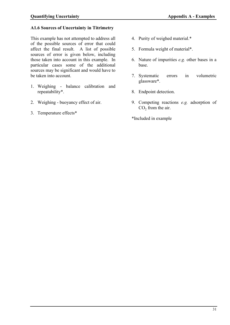### **A1.6 Sources of Uncertainty in Titrimetry**

This example has not attempted to address all of the possible sources of error that could affect the final result. A list of possible sources of error is given below, including those taken into account in this example. In particular cases some of the additional sources may be significant and would have to be taken into account.

- 1. Weighing balance calibration and repeatability\*.
- 2. Weighing buoyancy effect of air.
- 3. Temperature effects\*
- 4. Purity of weighed material.\*
- 5. Formula weight of material\*.
- 6. Nature of impurities *e.g.* other bases in a base.
- 7. Systematic errors in volumetric glassware\*.
- 8. Endpoint detection.
- 9. Competing reactions *e.g.* adsorption of  $CO<sub>2</sub>$  from the air.

\*Included in example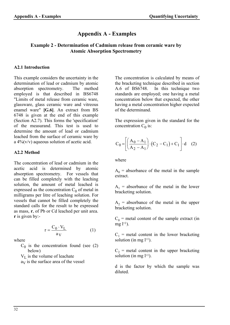# **Appendix A - Examples**

# **Example 2 - Determination of Cadmium release from ceramic ware by Atomic Absorption Spectrometry**

### **A2.1 Introduction**

This example considers the uncertainty in the determination of lead or cadmium by atomic absorption spectrometry. The method employed is that described in BS6748 "Limits of metal release from ceramic ware, glassware, glass ceramic ware and vitreous enamel ware" **[G.6]**. An extract from BS 6748 is given at the end of this example (Section A2.7). This forms the 'specification' of the measurand. This test is used to determine the amount of lead or cadmium leached from the surface of ceramic ware by a  $4\frac{6}{\sqrt{v}}$  aqueous solution of acetic acid.

### **A2.2 Method**

The concentration of lead or cadmium in the acetic acid is determined by atomic absorption spectrometry. For vessels that can be filled completely with the leaching solution, the amount of metal leached is expressed as the concentration  $C_0$  of metal in milligrams per litre of leaching solution. For vessels that cannot be filled completely the standard calls for the result to be expressed as mass, **r**, of Pb or Cd leached per unit area. **r** is given by:-

$$
r = \frac{C_0 \cdot V_L}{a_V} \tag{1}
$$

where

 $C_0$  is the concentration found (see (2) below)

 $V_{\text{L}}$  is the volume of leachate

 $a_V$  is the surface area of the vessel

The concentration is calculated by means of the bracketing technique described in section A.6 of BS6748. In this technique two standards are employed; one having a metal concentration below that expected, the other having a metal concentration higher expected of the determinand.

The expression given in the standard for the concentration  $C_0$  is:

$$
C_0 = \left[ \left( \frac{A_0 - A_1}{A_2 - A_1} \right) \cdot (C_2 - C_1) + C_1 \right] \cdot d \quad (2)
$$

where

 $A_0$  = absorbance of the metal in the sample extract.

 $A_1$  = absorbance of the metal in the lower bracketing solution.

 $A_2$  = absorbance of the metal in the upper bracketing solution.

 $C_0$  = metal content of the sample extract (in  $mg(1^{-1})$ .

 $C_1$  = metal content in the lower bracketing solution (in mg  $l^{-1}$ ).

 $C_2$  = metal content in the upper bracketing solution (in mg  $l^{-1}$ ).

d is the factor by which the sample was diluted.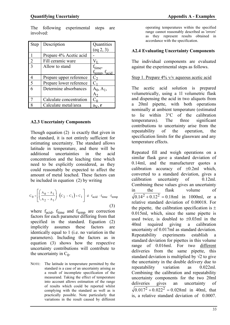The following experimental steps are involved:

| <b>Step</b>   | Description             | Quantities                            |
|---------------|-------------------------|---------------------------------------|
|               |                         | (eq 2, 3)                             |
|               | Prepare 4% Acetic acid  |                                       |
| 2             | Fill ceramic ware       |                                       |
| $\mathcal{R}$ | Allow to stand          | $t_{time}$                            |
|               |                         | f <sub>temp</sub> , t <sub>acid</sub> |
|               | Prepare upper reference | $C_{2}$                               |
| 5             | Prepare lower reference | C <sub>1</sub>                        |
| 6             | Determine absorbances   | $A_0, A_1,$                           |
|               |                         |                                       |
| 7             | Calculate concentration |                                       |
| Ջ             | Calculate metal/area    | $a_V$ , r                             |

### **A2.3 Uncertainty Components**

Though equation (2) is exactly that given in the standard, it is not entirely sufficient for estimating uncertainty. The standard allows latitude in temperature, and there will be additional uncertainties in the acid concentration and the leaching time which need to be explicitly considered, as they could reasonably be expected to affect the amount of metal leached. These factors can be included in equation (2) by writing

$$
C_0 = \left[ \left( \frac{A_0 - A_1}{A_2 - A_1} \right) \cdot \left( C_2 - C_1 \right) + C_1 \right] \cdot d \cdot f_{acid} \cdot f_{time} \cdot f_{temp}
$$
\n(3)

where  $f_{\text{acid}}$ ,  $f_{\text{time}}$  and  $f_{\text{temp}}$  are correction factors for each parameter differing from that specified in the standard. Equation (2) implicitly assumes these factors are identically equal to 1 (i.e. no variation in the parameters). Including the factors as in equation (3) shows how the respective uncertainty contributions will contribute to the uncertainty in  $C_0$ .

NOTE: The latitude in temperature permitted by the standard is a case of an uncertainty arising as a result of incomplete specification of the measurand. Taking the effect of temperature into account allows estimation of the range of results which could be reported whilst complying with the standard as well as is practically possible. Note particularly that variations in the result caused by different

operating temperatures within the specified range cannot reasonably described as 'errors' as they represent results obtained in accordance with the specification.

# **A2.4 Evaluating Uncertainty Components**

The individual components are evaluated against the experimental steps as follows.

### Step 1. Prepare 4% v/v aqueous acetic acid

The acetic acid solution is prepared volumetrically, using a 1l volumetric flask and dispensing the acid in two aliquots from a 20ml pipette, with both operations nominally at ambient temperature (estimated to lie within  $3^{\circ}$ C of the calibration temperatures). The three significant contributions to uncertainty arise from the repeatability of the operation, the specification limits for the glassware and any temperature effects.

Repeated fill and weigh operations on a similar flask gave a standard deviation of 0.14ml, and the manufacturer quotes a calibration accuracy of  $\pm 0.2$ ml which, converted to a standard deviation, gives a calibration uncertainty of 0.12ml. Combining these values gives an uncertainty in the flask volume of  $0.14<sup>2</sup> + 0.12<sup>2</sup> = 0.18$ ml in 1000ml, or a relative standard deviation of 0.00018. For the pipette, the calibration specification is  $\pm$ 0.015ml, which, since the same pipette is used twice, is doubled to  $\pm 0.03$ ml in the 40ml required giving a calibration uncertainty of 0.017ml as standard deviation. Repeatability experiments establish a standard deviation for pipettes in this volume range of 0.016ml. For two different deliveries from the same pipette, this standard deviation is multiplied by  $\sqrt{2}$  to give the uncertainty in the double delivery due to repeatability variation as 0.022ml. Combining the calibration and repeatability uncertainty components for the two 20ml deliveries gives an uncertainty of  $0.017<sup>2</sup> + 0.022<sup>2</sup> = 0.028$  ml in 40ml, that is, a relative standard deviation of 0.0007.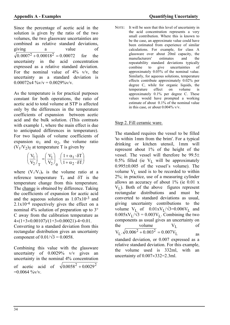Since the percentage of acetic acid in the solution is given by the ratio of the two volumes, the two glassware uncertainties are combined as relative standard deviations, giving a value of  $0.0007^2 + 0.00018^2 = 0.00072$  for the uncertainty in the acid concentration expressed as a relative standard deviation. For the nominal value of  $4\%$  v/v, the uncertainty as a standard deviation is  $0.00072x4 \sqrt[6]{v/v} = 0.0029\sqrt[6]{v/v}$ .

As the temperature is for practical purposes constant for both operations, the ratio of acetic acid to total volume at STP is affected only by the differences in the temperature coefficients of expansion between acetic acid and the bulk solution. (This contrasts with example 1, where the main effect is due to anticipated differences in temperature). For two liquids of volume coefficients of expansion  $\alpha_1$  and  $\alpha_2$ , the volume ratio  $(V_1/V_2)_T$  at temperature T is given by

$$
\left(\frac{V_1}{V_2}\right)_T = \left(\frac{V_1}{V_2}\right)_0 \cdot \left(\frac{1 + \alpha_1 \cdot \delta T}{1 + \alpha_2 \cdot \delta T}\right)
$$

where  $(V_1/V_2)_0$  is the volume ratio at a reference temperature  $T_0$  and  $\delta T$  is the temperature change from this temperature. The change is obtained by difference. Taking the coefficients of expansion for acetic acid and the aqueous solution as  $1.07x10^{-3}$  and  $2.1x10^{-4}$  respectively gives the effect on a nominal 4% solution of preparation up to 3 C away from the calibration temperature as  $4\times(1+3\times0.00107)/(1+3\times0.00021)$ -4=0.01.

Converting to a standard deviation from this rectangular distribution gives an uncertainty component of  $0.01/\sqrt{3} = 0.0058$ .

Combining this value with the glassware uncertainty of 0.0029% v/v gives an uncertainty in the nominal 4% concentration of acetic acid of  $\sqrt{0.0058^2 + 0.0029^2}$  $=0.0064 \frac{9}{\text{eV}}$ 

NOTE: It will be seen that this level of uncertainty in the acid concentration represents a very small contribution. Where this is known to be the case, an approximate value could have been estimated from experience of similar calculations. For example, for class A glassware over about 20ml capacity, the manufacturers' estimates and the repeatability standard deviations typically combine to give uncertainties of approximately 0.05% of the nominal value. Similarly, for aqueous solutions, temperature effects contribute approximately 0.02% per degree C, while for organic liquids, the temperature effect on volume is approximately 0.1% per degree C. These values would have prompted a working estimate of about 0.1% of the nominal value in this case, or about 0.004% v/v.

### Step 2. Fill ceramic ware.

The standard requires the vessel to be filled 'to within 1mm from the brim'. For a typical drinking or kitchen utensil, 1mm will represent about 1% of the height of the vessel. The vessel will therefore be 99.5 0.5% filled (ie  $V_L$  will be approximately  $0.995\pm0.005$  of the vessel's volume). The volume  $V_I$  used is to be recorded to within 2%; in practice, use of a measuring cylinder allows an accuracy of about  $1\%$  (ie 0.01 x  $V_I$ ). Both of the above figures represent rectangular distributions and must be converted to standard deviations as usual, giving uncertainty contributions to the volume  $V_L$  of  $0.01xV_L/\sqrt{3}=0.006V_L$  and  $0.005xV_L/\sqrt{3} = 0.003V_L$ . Combining the two components as usual gives an uncertainty on the volume  $V_I$  of  $V_L \cdot \sqrt{0.006^2 + 0.003^2} = 0.007 V_L$  as

standard deviation, or 0.007 expressed as a relative standard deviation. For this example, the volume used is 332ml, with an uncertainty of  $0.007 \times 332 = 2.3$ ml.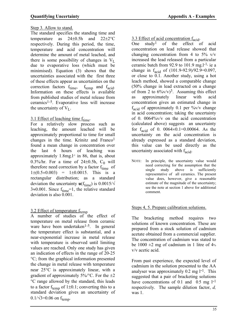# Step 3. Allow to stand.

The standard specifies the standing time and temperature as  $24\pm0.5h$  and  $22\pm2\degree C$ respectively. During this period, the time, temperature and acid concentration will determine the amount of metal leached, and there is some possibility of changes in  $V_L$ due to evaporative loss (which must be minimised). Equation (3) shows that the uncertainties associated with the first three of these effects appear as uncertainties on the correction factors  $f_{time}$ ,  $f_{temp}$  and  $f_{acid}$ . Information on these effects is available from published studies of metal release from ceramics1-5. Evaporative loss will increase the uncertainty of  $V_I$ .

# $3.1$  Effect of leaching time  $f_{time}$ .

For a relatively slow process such as leaching, the amount leached will be approximately proportional to time for small changes in the time. Krinitz and Franco<sup>1</sup> found a mean change in concentration over the last 6 hours of leaching was approximately  $1.8$ mg.<sup>1-1</sup> in 86, that is, about 0.3%/hr. For a time of 24 $\pm$ 0.5h, C<sub>0</sub> will therefore need correction by a factor  $f_{time}$  of  $1\pm(0.5\times0.003) = 1\pm0.0015$ . This is a rectangular distribution; as a standard deviation the uncertainty  $\mathbf{u}(f_{time})$  is 0.0015/ $\sqrt$  $3 \approx 0.001$ . Since f<sub>time</sub>=1, the relative standard deviation is also 0.001.

# $3.2$  Effect of temperature  $f_{temp}$

A number of studies of the effect of temperature on metal release from ceramic ware have been undertaken<sup>1-5</sup>. In general the temperature effect is substantial, and a near-exponential increase in metal release with temperature is observed until limiting values are reached. Only one study has given an indication of effects in the range of 20-25 C; from the graphical information presented the change in metal release with temperature near  $25^{\circ}$ C is approximately linear, with a gradient of approximately  $5\%$  °C. For the  $\pm 2$ C range allowed by the standard, this leads to a factor  $f_{temp}$  of 1±0.1; converting this to a standard deviation gives an uncertainty of  $0.1/\sqrt{3}$ =0.06 on f<sub>temp</sub>.

# $\frac{3.3 \text{ Effect of acid concentration f}_{\text{acid}}}{\text{One study}^1 \text{ of the effect of}}$

One study1 of the effect of acid concentration on lead release showed that changing concentration from 4 to  $5\%$  v/v increased the lead released from a particular ceramic batch from 92.9 to 101.9 mg. $l<sup>-1</sup>$ , ie a change in  $f_{\text{acid}}$  of  $(101.9-92.9)/92.9=0.097$ , or close to 0.1. Another study, using a hot leach method, showed a comparable change (50% change in lead extracted on a change of from 2 to  $6\frac{\%V}{V}$ . Assuming this effect as approximately linear with acid concentration gives an estimated change in  $f_{\text{acid}}$  of approximately 0.1 per %v/v change in acid concentration; taking the uncertainty of 0. 0064%v/v on the acid concentration (calculated above) suggests an uncertainty for  $f_{\text{acid}}$  of 0. 0064×0.1=0.00064. As the uncertainty on the acid concentration is already expressed as a standard deviation, this value can be used directly as the uncertainty associated with  $f_{\text{acid}}$ .

NOTE: In principle, the uncertainty value would need correcting for the assumption that the single study above is sufficiently representative of all ceramics. The present value does, however, give a reasonable estimate of the magnitude of the uncertainty; see the note at section 1 above for additional comment.

# Steps 4, 5. Prepare calibration solutions.

The bracketing method requires two solutions of known concentration. These are prepared from a stock solution of cadmium acetate obtained from a commercial supplier. The concentration of cadmium was stated to be  $1000 \pm 2$  mg of cadmium in 1 litre of 4% v/v acetic acid.

From past experience, the expected level of cadmium in the solution presented to the AA analyser was approximately  $0.2$  mg  $1^{-1}$ . This suggested that a pair of bracketing solutions have concentrations of 0.1 and 0.5 mg  $1^{-1}$ respectively. The sample dilution factor, *d,* was 1.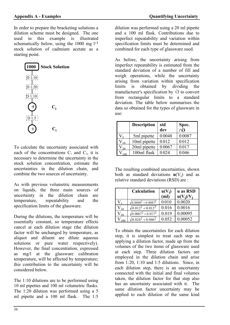In order to prepare the bracketing solutions a dilution scheme must be designed. The one used in this example is illustrated schematically below, using the  $1000 \text{ mg } l^{-1}$ stock solution of cadmium acetate as a starting point.



To calculate the uncertainty associated with each of the concentrations  $C_1$  and  $C_2$ , it is necessary to determine the uncertainty in the stock solution concentration, estimate the uncertainties in the dilution chain, and combine the two sources of uncertainty.

As with previous volumetric measurements on liquids, the three main sources of uncertainty in the dilution chain are temperature, repeatability and the specification limits of the glassware.

During the dilutions, the temperature will be essentially constant, so temperature effects cancel at each dilution stage (the dilution factor will be unchanged by temperature, as aliquot and diluent are dilute aqueous solutions or pure water respectively). However, the final concentration, expressed as mg/l at the glassware calibration temperature, will be affected by temperature; this contribution to the uncertainty will be considered below.

The 1:10 dilutions are to be performed using 10 ml pipettes and 100 ml volumetric flasks. The 1:20 dilution was performed using a 5 ml pipette and a 100 ml flask. The 1:5

dilution was performed using a 20 ml pipette and a 100 ml flask. Contributions due to imperfect repeatability and variation within specification limits must be determined and combined for each type of glassware used.

As before, the uncertainty arising from imperfect repeatability is estimated from the standard deviation of a number of fill and weigh operations, while the uncertainty arising from variation within specification limits is obtained by dividing the manufacturer's specification by  $\sqrt{3}$  to convert from rectangular limits to a standard deviation. The table below summarises the data so obtained for the types of glassware in use:

| <b>Description</b> | std<br>dev | Spec. $\sqrt{3}$ |
|--------------------|------------|------------------|
| 5ml pipette        | 0.0048     | 0.0087           |
| 10ml pipette       | 0.012      | 0.012            |
| 20ml pipette       | 0.0067     | 0.017            |
| 100ml flask        | 0.024      | 0.046            |

The resulting combined uncertainties, shown both as standard deviations  $\mathbf{u}(V_i)$  and as relative standard deviations (RSD) are :

|            | <b>Calculation</b>           | $u(V_i)$<br>(m <sub>l</sub> ) | u as RSD<br>$u(V_i)/V_i$ |
|------------|------------------------------|-------------------------------|--------------------------|
|            | $\sqrt{0.0048^2 + 0.0087^2}$ | 0.010                         | 0.0020                   |
|            | $\sqrt{0.012^2 + 0.012^2}$   | 0.016                         | 0.0016                   |
| $\gamma_0$ | $\sqrt{0.0067^2 + 0.017^2}$  | 0.019                         | 0.00095                  |
|            | $\sqrt{0.024^2 + 0.046^2}$   | 0.052                         | 0.00052                  |

To obtain the uncertainties for each dilution step, it is simplest to treat each step as applying a dilution factor, made up from the volumes of the two items of glassware used at each step. Three dilution factors are employed in the dilution chain and arise from 1:20, 1:10 and 1:5 dilutions. Since, in each dilution step, there is an uncertainty connected with the initial and final volumes taken, the dilution factor for that step also has an uncertainty associated with it. The same dilution factor uncertainty may be applied to each dilution of the same kind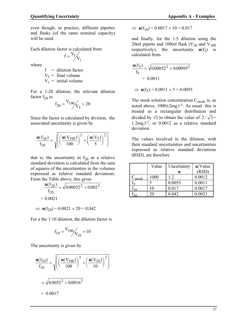even though, in practice, different pipettes and flasks (of the same nominal capacity) will be used.

Each dilution factor is calculated from

$$
f = \frac{V_f}{V_i}
$$

where

 $f =$  dilution factor  $V_f$  = final volume  $V_i$  = initial volume

For a 1:20 dilution, the relevant dilution factor  $f_{20}$  is:

$$
f_{20} = \frac{V_{100}}{V_5} = 20
$$

Since the factor is calculated by division, the associated uncertainty is given by

$$
\frac{\mathbf{u}(f_{20})}{f_{20}} = \sqrt{\left( \left( \frac{\mathbf{u}(V_{100})}{100} \right)^2 + \left( \frac{\mathbf{u}(V_5)}{5} \right)^2 \right)}
$$

that is, the uncertainty in  $f_{20}$  as a relative standard deviation is calculated from the sum of squares of the uncertainties in the volumes expressed as relative standard deviations. From the Table above, this gives

$$
\frac{\mathbf{u}(f_{20})}{f_{20}} = \sqrt{0.00052^2 + 0.002^2}
$$
  
= 0.0021  

$$
\Rightarrow \mathbf{u}(f_{20}) = 0.0021 \times 20 = 0.042
$$

For a the 1:10 dilution, the dilution factor is

$$
f_{10} = \frac{V_{100}}{V_{10}} = 10
$$

The uncertainty is given by

$$
\frac{\mathbf{u}(f_{10})}{f_{10}} = \sqrt{\left(\left(\frac{\mathbf{u}(V_{100})}{100}\right)^2 + \left(\frac{\mathbf{u}(V_{10})}{10}\right)^2\right)}
$$

$$
= \sqrt{0.0052^2 + 0.0016^2}
$$

$$
= 0.0017
$$

$$
\Rightarrow \mathbf{u}(f_{10}) = 0.0017 \times 10 = 0.017
$$

and finally, for the 1:5 dilution using the 20ml pipette and 100ml flask ( $V_{20}$  and  $V_{100}$ ) respectively), the uncertainty  $\mathbf{u}(f_5)$  is calculated from

$$
\frac{\mathbf{u}(f_5)}{f_5} = \sqrt{0.00052^2 + 0.00095^2}
$$
  
= 0.0011

 $\Rightarrow$  **u**(f<sub>5</sub>) = 0.0011  $\times$  5 = 0.0055

The stock solution concentration  $C_{stock}$  is, as noted above,  $1000 \pm 2 \text{mg}.l^{-1}$ . As usual this is treated as a rectangular distribution and divided by  $\sqrt{3}$  to obtain the value of  $2/\sqrt{3}$  = 1.2mg.l-1, or 0.0012 as a relative standard deviation.

The values involved in the dilution, with their standard uncertainties and uncertainties expressed as relative standard deviations (RSD), are therefore

|             | Value | Uncertainty | $u/V$ alue |
|-------------|-------|-------------|------------|
|             |       | u           | (RSD)      |
| $C_{stock}$ | 1000  | 1.2         | 0.0012     |
|             |       | 0.0055      | 0.0011     |
|             | 10    | 0.017       | 0.0017     |
|             | ንበ    | 0.042       | 0.0021     |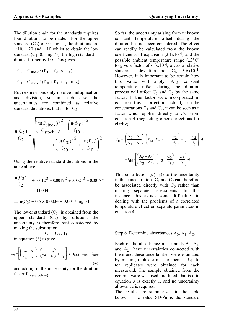The dilution chain for the standards requires four dilutions to be made. For the upper standard  $(C_2)$  of 0.5 mg.l<sup>-1</sup>, the dilutions are 1:10, 1:20 and 1:10 whilst to obtain the low standard  $(C_1, 0.1 \text{ mg.} l^{-1})$ , the high standard is diluted further by 1:5. This gives

$$
C_2 = C_{\text{stock}} / (f_{10} \times f_{20} \times f_{10})
$$

$$
C_1 = C_{\text{stock}} / (f_{10} \times f_{20} \times f_{10} \times f_5)
$$

Both expressions only involve multiplication and division, so in each case the uncertainties are combined as relative standard deviations, that is, for  $C_2$ :

$$
\frac{\mathbf{u}(C_2)}{C_2} = \sqrt{\frac{u(C_{stock})}{C_{stock}} \left(\frac{u(f_{10})}{f_{10}}\right)^2 + \left(\frac{u(f_{10})}{f_{10}}\right)^2 + \left(\frac{u(f_{10})}{f_{20}}\right)^2 + \left(\frac{u(f_{10})}{f_{10}}\right)^2}
$$

Using the relative standard deviations in the table above,

$$
\frac{\mathbf{u}(C_2)}{C_2} = \sqrt{0.0012^2 + 0.0017^2 + 0.0021^2 + 0.0017^2}
$$
  
= 0.0034

 $\Rightarrow$  **u**(C<sub>2</sub>) = 0.5  $\times$  0.0034 = 0.0017 mg.l-1

The lower standard  $(C_1)$  is obtained from the upper standard  $(C_2)$  by dilution; the uncertainty is therefore best considered by making the substitution

 $C_1 = C_2 / f_5$ in equation (3) to give

$$
C_0 = \left[ \left( \frac{A_0 - A_1}{A_2 - A_1} \right) \cdot \left( C_2 - \frac{C_2}{f_5} \right) + \frac{C_2}{f_5} \right] \cdot d \cdot f_{\text{acid}} \cdot f_{\text{time}} \cdot f_{\text{temp}} \tag{4}
$$

and adding in the uncertainty for the dilution factor  $f_5$  (see below).

So far, the uncertainty arising from unknown constant temperature offset during the dilution has not been considered. The effect can readily be calculated from the known coefficients of expansion  $(2.1x10^{-4})$  and the possible ambient temperature range  $(\pm 3^{\circ}C)$ to give a factor of  $6.3x10^{-4}$ , or, as a relative standard deviation about  $C_i$ , 3.6x10<sup>-4</sup>. However, it is important to be certain how this value will apply. Any constant temperature offset during the dilution process will affect  $C_1$  and  $C_2$  by the same factor. If this factor were incorporated in equation 3 as a correction factor  $f_{\text{dil}}$  on the concentrations  $C_1$  and  $C_2$ , it can be seen as a factor which applies directly to  $C_0$ . From equation 4 (neglecting other corrections for clarity):

$$
C_0 = \left[ \left( \frac{A_0 - A_1}{A_2 - A_1} \right) \cdot \left( f_{\text{dil}} \cdot C_2 - f_{\text{dil}} \cdot \frac{C_2}{f_5} \right) + f_{\text{dil}} \cdot \frac{C_2}{f_5} \right] \cdot d
$$
  
=  $f_{\text{dil}} \cdot \left[ \left( \frac{A_0 - A_1}{A_2 - A_1} \right) \cdot \left( C_2 - \frac{C_2}{f_5} \right) + \cdot \frac{C_2}{f_5} \right] \cdot d$ 

This contribution  $(\mathbf{u}(f_{\text{dil}}))$  to the uncertainty in the concentrations  $C_1$  and  $C_2$  can therefore be associated directly with  $C_0$  rather than making separate assessments. In this instance, this avoids some difficulties in dealing with the problems of a correlated temperature effect on separate parameters in equation 4.

# Step 6. Determine absorbances A<sub>0</sub>, A<sub>1</sub>, A<sub>2</sub>.

Each of the absorbance measurands  $A_0$ ,  $A_1$ , and  $A_2$  have uncertainties connected with them and these uncertainties were estimated by making replicate measurements. Up to ten replicates were obtained for each measurand. The sample obtained from the ceramic ware was used undiluted, that is d in equation 3 is exactly 1, and no uncertainty allowance is required.

The results are summarised in the table below. The value  $SD/\sqrt{n}$  is the standard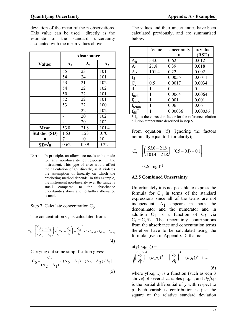deviation of the mean of the n observations. This value can be used directly as the estimate of the standard uncertainty associated with the mean values above.

|               | Absorbance     |       |       |
|---------------|----------------|-------|-------|
| Value:        | $\mathbf{A_0}$ | $A_1$ | $A_2$ |
|               | 55             | 23    | 101   |
|               | 54             | 24    | 101   |
|               | 53             | 21    | 102   |
|               | 54             | 22    | 102   |
|               | 50             | 22    | 101   |
|               | 52             | 22    | 101   |
|               | 53             | 22    | 100   |
|               |                | 22    | 102   |
|               |                | 20    | 102   |
|               |                | 20    | 102   |
| Mean          | 53.0           | 21.8  | 101.4 |
| Std dev (SD)  | 1.63           | 1.23  | 0.70  |
| n             | 7              | 10    | 10    |
| $SD/\sqrt{n}$ | 0.62           | 0.39  | 0.22  |

NOTE: In principle, an allowance needs to be made for any non-linearity of response in the instrument. This type of error would affect the calculation of  $C_0$  directly, as it violates the assumption of linearity on which the bracketing method depends. In this example, the instrument non-linearity over the range is small compared to the absorbance uncertainties above and no further allowance is made.

# Step 7. Calculate concentration C<sub>0</sub>.

The concentration  $C_0$  is calculated from:

$$
C_0 = \left[ \left( \frac{A_0 - A_1}{A_2 - A_1} \right) \cdot \left( C_2 - \frac{C_2}{f_5} \right) + \frac{C_2}{f_5} \right] \cdot d \cdot f_{acid} \cdot f_{time} \cdot f_{temp}
$$
\n
$$
\tag{4}
$$

Carrying out some simplification gives:-

$$
C_0 = \frac{C_2}{(A_2 - A_1)} \cdot [(A_0 - A_1) - (A_0 - A_2) / f_5]
$$
\n(5)

The values and their uncertainties have been calculated previously, and are summarised below.

|                   | Value | Uncertainty | u/Value  |
|-------------------|-------|-------------|----------|
|                   |       | u           | (RSD)    |
| $A_0$             | 53.0  | 0.62        | 0.012    |
| A <sub>1</sub>    | 21.8  | 0.39        | 0.018    |
| A <sub>2</sub>    | 101.4 | 0.22        | 0.002    |
| $f_5$             | 5     | 0.0055      | 0.0011   |
| C <sub>2</sub>    | 0.5   | 0.0017      | 0.0034   |
| $\mathbf d$       |       | 0           | $\theta$ |
| $f_{\text{acid}}$ | 1     | 0.0064      | 0.0064   |
| $f_{time}$        | 1     | 0.001       | 0.001    |
| $f_{temp}$        |       | 0.06        | 0.06     |
| $f_{\rm dil}$     |       | 0.00036     | 0.00036  |

 $*$   $f_{\text{di}}$  is the correction factor for the reference solution dilution temperature described in step 5.

From equation (5) (ignoring the factors nominally equal to 1 for clarity);

$$
C_0 = \left[ \left( \frac{53.0 - 21.8}{101.4 - 21.8} \right) \cdot (0.5 - 0.1) + 0.1 \right]
$$
  
= 0.26 mg.l<sup>-1</sup>

# **A2.5 Combined Uncertainty**

Unfortunately it is not possible to express the formula for  $C_0$  in terms of the standard expressions since all of the terms are not independent.  $A_1$  appears in both the denominator and the numerator and in addition  $C_1$  is a function of  $C_2$  via  $C_1 = C_2/f_5$ . The uncertainty contributions from the absorbance and concentration terms therefore have to be calculated using the formula given in Appendix D, that is:

$$
u(y(p,q,...)) = \sqrt{\left(\frac{\partial y}{\partial p}\right)^2 \cdot (u(p))^2 + \left(\frac{\partial y}{\partial q}\right)^2 \cdot (u(q))^2 + \dots}
$$
\n(6)

where  $y(p,q,...)$  is a function (such as eqn 3) above) of several variables p,q,..., and  $\partial y / \partial p$ is the partial differential of y with respect to p. Each variable's contribution is just the square of the relative standard deviation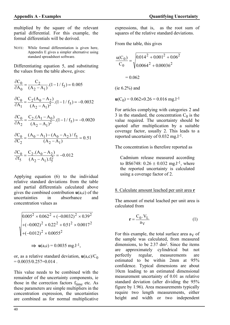multiplied by the square of the relevant partial differential. For this example, the formal differentials will be derived.

NOTE: While formal differentiation is given here, Appendix E gives a simpler alternative using standard spreadsheet software.

Differentiating equation 5, and substituting the values from the table above, gives:

$$
\frac{\partial C_0}{\partial A_0} = \frac{C_2}{(A_2 - A_1)} \cdot (1 - 1/f_5) = 0.005
$$
  

$$
\frac{\partial C_0}{\partial A_1} = \frac{C_2 (A_0 - A_2)}{(A_2 - A_1)^2} \cdot (1 - 1/f_5) = -0.0032
$$
  

$$
\frac{\partial C_0}{\partial A_2} = \frac{C_2 \cdot (A_1 - A_0)}{(A_2 - A_1)^2} \cdot (1 - 1/f_5) = -0.0020
$$
  

$$
\frac{\partial C_0}{\partial C_2} = \frac{(A_0 - A_1) - (A_0 - A_2)/f_5}{(A_2 - A_1)} = 0.51
$$
  

$$
\frac{\partial C_0}{\partial f_5} = \frac{C_2 \cdot (A_0 - A_2)}{(A_2 - A_1) f_5^2} = -0.012
$$

Applying equation (6) to the individual relative standard deviations from the table and partial differentials calculated above gives the combined contribution **u**(a,c) of the uncertainties in absorbance and concentration values as

 $A_2 - A_1$ ).  $f_5^2$ 

 $\overline{a}$ 

 $(A_2 - A_1).1$ 

 $2^{-A_1,1}$ 

$$
\sqrt{\frac{0.005^2 \times 0.062^2 + (-0.0032)^2 \times 0.39^2 + (-0.002)^2 \times 0.22^2 + 0.51^2 \times 0.0017^2 + (-0.012)^2 \times 0.0055^2}}
$$
  
\n
$$
\Rightarrow \mathbf{u}(a,c) = 0.0035 \text{ mg.l}^{-1},
$$

or, as a relative standard deviation,  $\mathbf{u}(\mathbf{a},\mathbf{c})/\mathbf{C}_0$  $= 0.0035/0.257=0.014$ .

This value needs to be combined with the remainder of the uncertainty components, ie those in the correction factors  $f_{time}$  etc. As these parameters are simple multipliers in the concentration expression, the uncertainties are combined as for normal multiplicative

expressions, that is, as the root sum of squares of the relative standard deviations.

From the table, this gives

$$
\frac{u(C_0)}{C_0} = \sqrt{\frac{0.014^2 + 0.001^2 + 0.06^2}{0.0064^2 + 0.00036^2}}
$$
  
= 0.062  
(ie 6.2%) and

 $\mathbf{u}(C_0) = 0.062 \times 0.26 = 0.016 \text{ mg.}1^{-1}$ 

For articles complying with categories 2 and 3 in the standard, the concentration  $C_0$  is the value required. The uncertainty should be quoted after multiplication by a suitable coverage factor, usually 2. This leads to a reported uncertainty of  $0.032 \text{ mg}$ .<sup>1-1</sup>.

The concentration is therefore reported as

Cadmium release measured according to BS6748:  $0.26 \pm 0.032$  mg.l<sup>-1</sup>, where the reported uncertainty is calculated using a coverage factor of 2.

### 8. Calculate amount leached per unit area **r**

The amount of metal leached per unit area is calculated from

$$
\mathbf{r} = \frac{C_0.V_L}{a_V} \tag{1}
$$

For this example, the total surface area  $a_V$  of the sample was calculated, from measured dimensions, to be 2.37 dm2. Since the items are approximately cylindrical but not perfectly regular, measurements are estimated to be within 2mm at 95% confidence. Typical dimensions are about 10cm leading to an estimated dimensional measurement uncertainty of 0.01 as relative standard deviation (after dividing the 95% figure by 1.96). Area measurements typically require two length measurements, either height and width or two independent

 $\partial$ 

f

5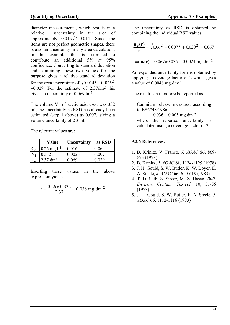diameter measurements, which results in a relative uncertainty in the area of approximately  $0.01 \times \sqrt{2} = 0.014$ . Since the items are not perfect geometric shapes, there is also an uncertainty in any area calculation; in this example, this is estimated to contribute an additional 5% at 95% confidence. Converting to standard deviation and combining these two values for the purpose gives a relative standard deviation for the area uncertainty of  $\sqrt{0.014^2 + 0.025^2}$  $=0.029$ . For the estimate of 2.37dm<sup>2</sup> this gives an uncertainty of 0.069dm2.

The volume  $V_L$  of acetic acid used was 332 ml; the uncertainty as RSD has already been estimated (step 1 above) as 0.007, giving a volume uncertainty of 2.3 ml.

The relevant values are:

| Value                    | Uncertainty | as RSD |
|--------------------------|-------------|--------|
| $0.26 \text{ mg.}1^{-1}$ | 0.016       | 0.06   |
| 0.3321                   | 0.0023      | 0.007  |
| $2.37 \text{ dm}^2$      | 0.069       | 0.029  |

Inserting these values in the above expression yields

$$
r = \frac{0.26 \times 0.332}{2.37} = 0.036
$$
 mg.dim<sup>-2</sup>

The uncertainty as RSD is obtained by combining the individual RSD values:

$$
\frac{\mathbf{u_c(r)}}{\mathbf{r}} = \sqrt{0.06^2 + 0.007^2 + 0.029^2} = 0.067
$$

 $\Rightarrow$  **u**<sub>c</sub>(**r**) = 0.067×0.036 = 0.0024 mg.dm<sup>-2</sup>

An expanded uncertainty for r is obtained by applying a coverage factor of 2 which gives a value of  $0.0048$  mg.dm<sup>-2</sup>

The result can therefore be reported as

Cadmium release measured according to BS6748:1986:

 $0.036 \pm 0.005$  mg.dm<sup>-2</sup> where the reported uncertainty is calculated using a coverage factor of 2.

# **A2.6 References.**

- 1. B. Krinitz, V. Franco, *J. AOAC* **56**, 869- 875 (1973)
- 2. B. Krinitz, *J. AOAC* **61**, 1124-1129 (1978)
- 3. J. H. Gould, S. W. Butler, K. W. Boyer, E. A. Steele, *J. AOAC* **66**, 610-619 (1983)
- 4. T. D. Seth, S. Sircar, M. Z. Hasan, *Bull. Environ. Contam. Toxicol.* 10, 51-56 (1973)
- 5. J. H. Gould, S. W. Butler, E. A. Steele, *J. AOAC* **66**, 1112-1116 (1983)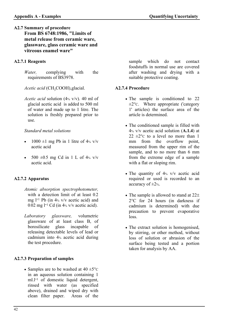# **A2.7 Summary of procedure From BS 6748:1986, "Limits of metal release from ceramic ware, glassware, glass ceramic ware and vitreous enamel ware"**

### **A2.7.1 Reagents**

*Water,* complying with the requirements of BS3978.

*Acetic acid* (CH<sub>3</sub>COOH),glacial.

*Acetic acid* solution (4% v/v). 40 ml of glacial acetic acid is added to 500 ml of water and made up to 1 litre. The solution is freshly prepared prior to use.

### *Standard metal solutions*

- $1000 \pm 1$  mg Pb in 1 litre of 4% v/v acetic acid
- 500  $\pm$ 0.5 mg Cd in 1 L of 4% v/v acetic acid.

# **A2.7.2 Apparatus**

- *Atomic absorption spectrophotometer,* with a detection limit of at least 0.2 mg l-1 Pb (in 4% v/v acetic acid) and 0.02 mg  $l^{-1}$  Cd (in  $4%$  v/v acetic acid).
- *Laboratory glassware,* volumetric glassware of at least class B, of borosilicate glass incapable of releasing detectable levels of lead or cadmium into 4% acetic acid during the test procedure.

# **A2.7.3 Preparation of samples**

• Samples are to be washed at  $40 \pm 5^{\circ}$ C in an aqueous solution containing 1 ml.<sup>1-1</sup> of domestic liquid detergent, rinsed with water (as specified above), drained and wiped dry with clean filter paper. Areas of the

sample which do not contact foodstuffs in normal use are covered after washing and drying with a suitable protective coating.

### **A2.7.4 Procedure**

- The sample is conditioned to 22 ±2°C. Where appropriate ('category 1' articles) the surface area of the article is determined.
- The conditioned sample is filled with 4% v/v acetic acid solution (**A.1.4**) at 22  $\pm$ 2°C to a level no more than 1 mm from the overflow point, measured from the upper rim of the sample, and to no more than 6 mm from the extreme edge of a sample with a flat or sloping rim.
- The quantity of 4% v/v acetic acid required or used is recorded to an accuracy of  $\pm 2$ %.
- The sample is allowed to stand at  $22\pm$  $2^{\circ}$ C for 24 hours (in darkness if cadmium is determined) with due precaution to prevent evaporative loss.
- The extract solution is homogenised, by stirring, or other method, without loss of solution or abrasion of the surface being tested and a portion taken for analysis by AA.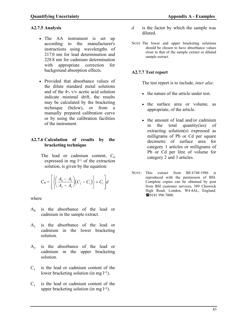### **A2.7.5 Analysis**

- The AA instrument is set up according to the manufacturer's instructions using wavelengths of 217.0 nm for lead determination and 228.8 nm for cadmium determination with appropriate correction for background absorption effects.
- Provided that absorbance values of the dilute standard metal solutions and of the 4% v/v acetic acid solution indicate minimal drift, the results may be calculated by the bracketing technique (below), or from a manually prepared calibration curve or by using the calibration facilities of the instrument.

### **A2.7.6 Calculation of results by the bracketing technique**

The lead or cadmium content,  $C_0$ expressed in mg  $l^{-1}$  of the extraction solution, is given by the equation:

$$
C_0 = \left[ \left\{ \left( \frac{A_0 - A_1}{A_2 - A_1} \right) (C_2 - C_1) \right\} + C_1 \right] d
$$

where

- $A_0$  is the absorbance of the lead or cadmium in the sample extract.
- $A_1$  is the absorbance of the lead or cadmium in the lower bracketing solution.
- $A<sub>2</sub>$  is the absorbance of the lead or cadmium in the upper bracketing solution.
- $C_1$  is the lead or cadmium content of the lower bracketing solution (in mg l<sup>-1</sup>).
- $C<sub>1</sub>$  is the lead or cadmium content of the upper bracketing solution (in mg  $l^{-1}$ ).
- *d* is the factor by which the sample was diluted.
- NOTE The lower and upper bracketing solutions should be chosen to have absorbance values close to that of the sample extract or diluted sample extract.

### **A2.7.7 Test report**

The test report is to include, *inter alia*:

- the nature of the article under test.
- the surface area or volume, as appropriate, of the article.
- the amount of lead and/or cadmium in the total quantity(ies) of extracting solution(s) expressed as milligrams of Pb or Cd per square decimetre of surface area for category 1 articles or milligrams of Pb or Cd per litre of volume for category 2 and 3 articles.
- NOTE: This extract from BS 6748:1986 is reproduced with the permission of BSI. Complete copies can be obtained by post from BSI customer services, 389 Chiswick High Road, London, W4 4AL, England. **■0181 996 7000.**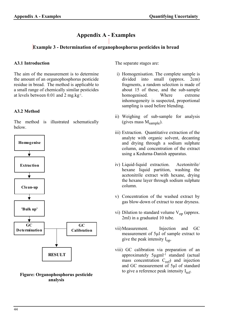# **Appendix A - Examples**

# **Example 3 - Determination of organophosphorus pesticides in bread**

### **A3.1 Introduction**

The aim of the measurement is to determine the amount of an organophosphorus pesticide residue in bread. The method is applicable to a small range of chemically similar pesticides at levels between 0.01 and 2 mg.kg-1 .

# **A3.2 Method**

The method is illustrated schematically below.





The separate stages are:

- i) Homogenisation. The complete sample is divided into small (approx. 2cm) fragments, a random selection is made of about 15 of these, and the sub-sample homogenised. Where extreme inhomogeneity is suspected, proportional sampling is used before blending.
- ii) Weighing of sub-sample for analysis (gives mass  $M_{\text{sample}}$ ).
- iii) Extraction. Quantitative extraction of the analyte with organic solvent, decanting and drying through a sodium sulphate column, and concentration of the extract using a Kedurna-Danish apparatus.
- iv) Liquid-liquid extraction. Acetonitrile/ hexane liquid partition, washing the acetonitrile extract with hexane, drying the hexane layer through sodium sulphate column.
- v) Concentration of the washed extract by gas blow-down of extract to near dryness.
- vi) Dilution to standard volume  $V_{\text{on}}$  (approx. 2ml) in a graduated 10 tube.
- vii) Measurement. Injection and GC measurement of 5µl of sample extract to give the peak intensity  $I_{\text{on}}$ .
- viii) GC calibration via preparation of an approximately 5µgml-1 standard (actual mass concentration  $C_{ref}$ ) and injection and GC measurement of 5µl of standard to give a reference peak intensity  $I_{ref}$ .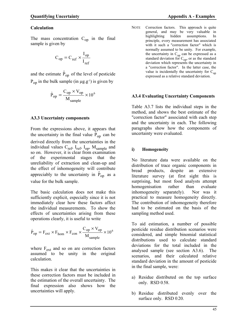The mass concentration  $C_{op}$  in the final sample is given by

$$
C_{op} = C_{ref} \times \frac{I_{op}}{I_{ref}}
$$

and the estimate  $\hat{P}_{op}$  of the level of pesticide  $P_{op}$  in the bulk sample (in  $\mu$ g.g<sup>-1</sup>) is given by

$$
\hat{P}_{op} = \frac{C_{op} \times V_{op}}{M_{sample}} \times 10^6
$$

### **A3.3 Uncertainty components**

From the expressions above, it appears that the uncertainty in the final value  $P_{op}$  can be derived directly from the uncertainties in the individual values  $C_{ref}$ ,  $I_{ref}$ ,  $I_{op}$ ,  $M_{sample}$  and so on. However, it is clear from examination of the experimental stages that the unreliability of extraction and clean-up and the effect of inhomogeneity will contribute appreciably to the uncertainty in  $P_{op}$  as a value for the bulk sample.

The basic calculation does not make this sufficiently explicit, especially since it is not immediately clear how these factors affect the individual measurements. To show the effects of uncertainties arising from these operations clearly, it is useful to write

$$
\hat{P}_{op} = F_{ext} \times F_{hom} \times F_{con} \times \frac{C_{op} \times V_{op}}{M_{sample}} \times 10^6
$$

where  $F_{ext}$  and so on are correction factors assumed to be unity in the original calculation.

This makes it clear that the uncertainties in these correction factors must be included in the estimation of the overall uncertainty. The final expression also shows how the uncertainties will apply.

NOTE Correction factors. This approach is quite general, and may be very valuable in highlighting hidden assumptions. In principle, every measurement has associated with it such a "correction factor" which is normally assumed to be unity. For example, the uncertainty in  $C_{op}$  can be expressed as a standard deviation for  $C_{op}$ , or as the standard deviation which represents the uncertainty in a "correction factor". In the latter case, the value is incidentally the uncertainty for  $C_{op}$ expressed as a relative standard deviation.

### **A3.4 Evaluating Uncertainty Components**

Table A3.7 lists the individual steps in the method, and shows the best estimate of the "correction factor" associated with each step and the uncertainty in each. The following paragraphs show how the components of uncertainty were evaluated.

### **i) Homogeneity**

No literature data were available on the distribution of trace organic components in bread products, despite an extensive literature survey (at first sight this is surprising, but most food analysts attempt homogenisation rather than evaluate inhomogeneity separately). Nor was it practical to measure homogeneity directly. The contribution of inhomogeneity therefore had to be estimated on the basis of the sampling method used.

To aid estimation, a number of possible pesticide residue distribution scenarios were considered, and simple binomial statistical distributions used to calculate standard deviations for the total included in the analysed sample (see section A3.6). The scenarios, and their calculated relative standard deviation in the amount of pesticide in the final sample, were:

- a) Residue distributed on the top surface only. RSD 0.58.
- b) Residue distributed evenly over the surface only. RSD 0.20.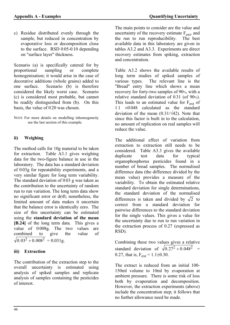c) Residue distributed evenly through the sample, but reduced in concentration by evaporative loss or decomposition close to the surface. RSD 0.05-0.10 depending on "surface layer" thickness.

Scenario (a) is specifically catered for by proportional sampling or complete homogenisation; it would arise in the case of decorative additions (whole grains) added to one surface. Scenario (b) is therefore considered the likely worst case. Scenario (c) is considered most probable, but cannot be readily distinguished from (b). On this basis, the value of 0.20 was chosen.

NOTE For more details on modelling inhomogeneity see the last section of this example.

# **ii) Weighing**

The method calls for 10g material to be taken for extraction. Table A3.1 gives weighing data for the two-figure balance in use in the laboratory. The data has a standard deviation of 0.03g for repeatability experiments, and a very similar figure for long term variability. The standard deviation of 0.03 g was taken as the contribution to the uncertainty of random run to run variation. The long term data show no significant error or drift; nonetheless, the limited amount of data makes it uncertain that the balance error is identically zero. The size of this uncertainty can be estimated using the **standard deviation of the mean [B.24]** of the long term data. This gives a value of 0.008g. The two values are combined to give the value of  $0.03<sup>2</sup> + 0.008<sup>2</sup> = 0.031g.$ 

# **iii) Extraction**

The contribution of the extraction step to the overall uncertainty is estimated using analysis of spiked samples and replicate analysis of samples containing the pesticides of interest.

The main points to consider are the value and uncertainty of the recovery estimate  $F_{ext}$ , and the run to run reproducibility. The best available data in this laboratory are given in tables A3.2 and A3.3. Experiments are direct recovery estimates from spiking, extraction and concentration.

Table A3.2 shows the available results of long term studies of spiked samples of various types. The relevant line is the "Bread" entry line which shows a mean recovery for forty-two samples of 90%, with a relative standard deviation of 0.31 (of 90%). This leads to an estimated value for F<sub>ext</sub> of 1.1 ±0.048 calculated as the standard deviation of the mean  $(0.31/\sqrt{42})$ . Note that since this factor is built in to the calculation, no amount of replication on real samples will reduce the value.

The additional effect of variation from extraction to extraction still needs to be considered. Table A3.3 gives the available duplicate test data for typical organophosphorus pesticides found in a number of bread samples. The normalised difference data (the difference divided by the mean value) provides a measure of the variability. To obtain the estimated relative standard deviation for single determinations, the standard deviation of the normalised differences is taken and divided by  $\sqrt{2}$  to correct from a standard deviation for pairwise differences to the standard deviation for the single values. This gives a value for the uncertainty due to run to run variation in the extraction process of 0.27 (expressed as RSD).

Combining these two values gives a relative standard deviation of  $\sqrt{0.27^2 + 0.048^2}$  = 0.27, that is,  $F_{ext} = 1.1 \pm 0.30$ .

The extract is reduced from an initial 100- 150ml volume to 10ml by evaporation at ambient pressure. There is some risk of loss both by evaporation and decomposition. However, the extraction experiments (above) include the concentration step; it follows that no further allowance need be made.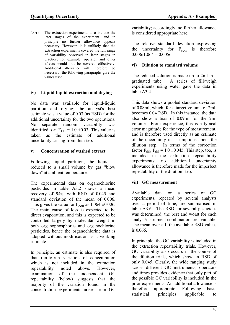NOTE The extraction experiments also include the later stages of the experiment, and in principle no further allowance appears necessary. However, it is unlikely that the extraction experiments covered the full range of variability observed in later stages in practice; for example, operator and other effects would not be covered effectively. Additional allowance will, therefore, be necessary; the following paragraphs give the values used.

# **iv) Liquid-liquid extraction and drying**

No data was available for liquid-liquid partition and drying; the analyst's best estimate was a value of 0.03 (as RSD) for the additional uncertainty for the two operations. No separate random variability was identified. *i.e.*  $F_{LL} = 1.0 \pm 0.03$ . This value is taken as the estimate of additional uncertainty arising from this step.

# **v) Concentration of washed extract**

Following liquid partition, the liquid is reduced to a small volume by gas "blow down" at ambient temperature.

The experimental data on organochlorine pesticides in table A3.2 shows a mean recovery of 94%, with RSD of 0.045 and standard deviation of the mean of 0.006. This gives the value for  $F_{con}$  as 1.064  $\pm$ 0.006. The main cause of loss is expected to be direct evaporation, and this is expected to be controlled largely by molecular weight in both organophosphorus and organochlorine pesticides, hence the organochlorine data is adopted without modification as a working estimate.

In principle, an estimate is also required of that run-to-run variation of concentration which is not included in the extraction repeatability noted above. However, examination of the independent GC repeatability (below) suggests that the majority of the variation found in the concentration experiments arises from GC

variability; accordingly, no further allowance is considered appropriate here.

The relative standard deviation expressing the uncertainty for  $F_{\rm con}$  is therefore  $0.006/1.064 = 0.0056$ .

# **vi) Dilution to standard volume**

The reduced solution is made up to 2ml in a graduated tube. A series of fill/weigh experiments using water gave the data in table A3.4.

This data shows a pooled standard deviation of 0.08ml, which, for a target volume of 2ml, becomes 0.04 RSD. In this instance, the data also show a bias of 0.09ml for the 2ml volume. From experience, this is a typical error magnitude for the type of measurement, and is therefore used directly as an estimate of the uncertainty in assumptions about the dilution step. In terms of the correction factor  $F_{\text{dil}}$ ,  $F_{\text{dil}} = 1.0 \pm 0.045$ . This step, too, is included in the extraction repeatability experiments; no additional uncertainty allowance is therefore made for the imperfect repeatability of the dilution step.

# **vii) GC measurement**

Available data on a series of GC experiments, repeated by several analysts over a period of time, are summarised in table A3.6. The RSD for several pesticides was determined; the best and worst for each analyst/instrument combination are available. The mean over all the available RSD values is 0.066.

In principle, the GC variability is included in the extraction repeatability trials. However, GC variability also occurs in the course of the dilution trials, which show an RSD of only 0.045. Clearly, the wide ranging study across different GC instruments, operators and times provides evidence that only part of the possible GC variability is included in the prior experiments. An additional allowance is therefore appropriate. Following basic statistical principles applicable to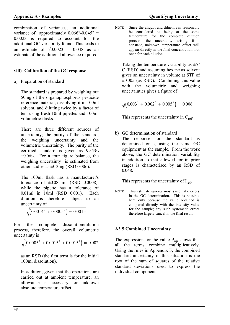combination of variances, an additional variance of approximately  $0.066^2 - 0.045^2 =$ 0.0023 is required to account for the additional GC variability found. This leads to an estimate of  $\sqrt{0.0023}$  = 0.048 as an estimate of the additional allowance required.

# **viii) Calibration of the GC response**

a) Preparation of standard

The standard is prepared by weighing out 50mg of the organophosphorus pesticide reference material, dissolving it in 100ml solvent, and diluting twice by a factor of ten, using fresh 10ml pipettes and 100ml volumetric flasks.

There are three different sources of uncertainty; the purity of the standard, the weighing uncertainty and the volumetric uncertainty. The purity of the certified standard is given as 99.53%  $\pm 0.06$ %. For a four figure balance, the weighing uncertainty is estimated from other studies as  $\pm 0.3$ mg (RSD 0.006).

The 100ml flask has a manufacturer's tolerance of  $\pm 0.08$  ml (RSD 0.0008), while the pipette has a tolerance of 0.01ml in 10ml (RSD 0.001). Each dilution is therefore subject to an uncertainty of

$$
\sqrt{\left(0.0014^2+0.0005^2\right)}=0.0015
$$

For the complete dissolution/dilution process, therefore, the overall volumetric uncertainty is

$$
\sqrt{\left(0.0005^2 + 0.0015^2 + 0.0015^2\right)} = 0.002
$$

as an RSD (the first term is for the initial 100ml dissolution).

In addition, given that the operations are carried out at ambient temperature, an allowance is necessary for unknown absolute temperature offset.

NOTE Since the aliquot and diluent can reasonably be considered as being at the same temperature for the complete dilution process, the uncertainty arising from constant, unknown temperature offset will appear directly in the final concentration, not once for each dilution.

Taking the temperature variability as  $\pm 5^{\circ}$ C (RSD) and assuming hexane as solvent gives an uncertainty in volume at STP of  $\pm 0.005$  (as RSD). Combining this value with the volumetric and weighing uncertainties gives a figure of

$$
\sqrt{\left(0.003^2 + 0.002^2 + 0.005^2\right)} = 0.006
$$

This represents the uncertainty in  $C_{ref}$ .

- b) GC determination of standard
	- The response for the standard is determined once, using the same GC equipment as the sample. From the work above, the GC determination variability in addition to that allowed for in prior stages is characterised by an RSD of 0.048.

This represents the uncertainty of  $I_{ref}$ .

NOTE This estimate ignores most systematic errors in the GC determination. This is possible here only because the value obtained is compared directly with the intensity value for the sample; any such systematic errors therefore largely cancel in the final result.

# **A3.5 Combined Uncertainty**

The expression for the value  $P_{op}$  shows that all the terms combine multiplicatively. Using the rules in Appendix F, the combined standard uncertainty in this situation is the root of the sum of squares of the relative standard deviations used to express the individual components.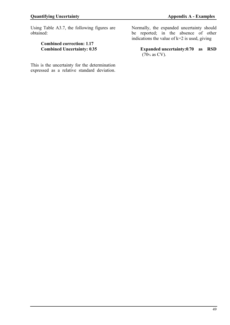Using Table A3.7, the following figures are obtained:

### **Combined correction: 1.17 Combined Uncertainty: 0.35**

Normally, the expanded uncertainty should be reported; in the absence of other indications the value of  $k=2$  is used, giving

**Expanded uncertainty:0.70 as RSD**  (70% as CV).

This is the uncertainty for the determination expressed as a relative standard deviation.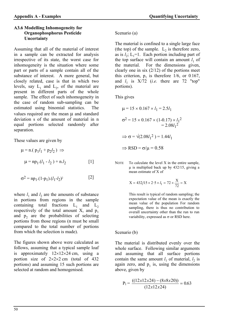### **A3.6 Modelling Inhomogeneity for Organophosphorus Pesticide Uncertainty**

Assuming that all of the material of interest in a sample can be extracted for analysis irrespective of its state, the worst case for inhomogeneity is the situation where some part or parts of a sample contain all of the substance of interest. A more general, but closely related, case is that in which two levels, say  $L_1$  and  $L_2$ , of the material are present in different parts of the whole sample. The effect of such inhomogeneity in the case of random sub-sampling can be estimated using binomial statistics. The values required are the mean  $\mu$  and standard deviation s of the amount of material in n equal portions selected randomly after separation.

These values are given by

$$
\mu = n. ( p_1 l_1 + p_2 l_2 ) \implies
$$
  

$$
\mu = np_1.(l_1 - l_2) + n.l_2
$$
 [1]

$$
\sigma^2 = np_1.(1-p_1).(l_1-l_2)^2
$$
 [2]

where  $l_1$  and  $l_2$  are the amounts of substance in portions from regions in the sample containing total fractions  $L_1$  and  $L_2$ respectively of the total amount X, and  $p_1$ and  $p_2$  are the probabilities of selecting portions from those regions (n must be small compared to the total number of portions from which the selection is made).

The figures shown above were calculated as follows, assuming that a typical sample loaf is approximately  $12\times12\times24$  cm, using a portion size of  $2 \times 2 \times 2$  cm (total of 432 portions) and assuming 15 such portions are selected at random and homogenised.

### Scenario (a)

The material is confined to a single large face (the top) of the sample.  $L_2$  is therefore zero, as is  $l_2$ ;  $L_1=1$ . Each portion including part of the top surface will contain an amount  $l_1$  of the material. For the dimensions given, clearly one in six (2/12) of the portions meet this criterion,  $p_1$  is therefore 1/6, or 0.167, and  $l_1$  is  $X/72$  (*i.e.* there are 72 "top" portions).

This gives

$$
\mu = 15 \times 0.167 \times l_1 = 2.5l_1
$$
  
\n
$$
\sigma^2 = 15 \times 0.167 \times (1 - 0.17) \times l_1^2
$$
  
\n
$$
= 2.08l_1^2
$$
  
\n
$$
\Rightarrow \sigma = \sqrt{(2.08l_1^2)} = 1.44l_1
$$
  
\n
$$
\Rightarrow \text{RSD} = \sigma/\mu = 0.58
$$

NOTE To calculate the level X in the entire sample, µ is multiplied back up by 432/15, giving a mean estimate of X of

$$
X = 432/15 \times 2.5 \times l_1 = 72 \times \frac{X}{72} = X
$$

 This result is typical of random sampling; the expectation value of the mean is exactly the mean value of the population For random sampling, there is thus no contribution to overall uncertainty other than the run to run variability, expressed as  $\sigma$  or RSD here.

Scenario (b)

The material is distributed evenly over the whole surface. Following similar arguments and assuming that all surface portions contain the same amount  $l_1$  of material,  $l_2$  is again zero, and  $p_1$  is, using the dimensions above, given by

$$
P_1 = \frac{((12x12x24) - (8x8x20))}{(12x12x24)} = 0.63
$$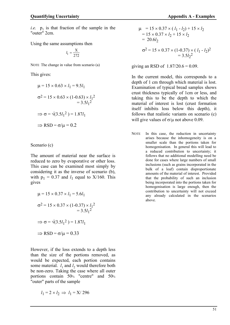*i.e.*  $p_1$  is that fraction of the sample in the "outer" 2cm.

Using the same assumptions then

$$
l_1 = \frac{X}{272}
$$

NOTE The change in value from scenario (a)

This gives:

$$
\mu = 15 \times 0.63 \times l_1 = 9.5l_1
$$
  
\n
$$
\sigma^2 = 15 \times 0.63 \times (1 - 0.63) \times l_1^2
$$
  
\n
$$
= 3.5l_1^2
$$
  
\n
$$
\Rightarrow \sigma = \sqrt{(3.5l_1^2)} = 1.87l_1
$$
  
\n
$$
\Rightarrow \text{RSD} = \sigma/\mu = 0.2
$$

Scenario (c)

The amount of material near the surface is reduced to zero by evaporative or other loss. This case can be examined most simply by considering it as the inverse of scenario (b), with  $p_1 = 0.37$  and  $l_1$  equal to X/160. This gives

$$
\mu = 15 \times 0.37 \times l_1 = 5.6 l_1
$$
  
\n
$$
\sigma^2 = 15 \times 0.37 \times (1 - 0.37) \times l_1^2
$$
  
\n
$$
= 3.5 l_1^2
$$
  
\n
$$
\Rightarrow \sigma = \sqrt{(3.5 l_1^2)} = 1.87 l_1
$$
  
\n
$$
\Rightarrow \text{RSD} = \sigma/\mu = 0.33
$$

However, if the loss extends to a depth less than the size of the portions removed, as would be expected, each portion contains some material.  $l_1$  and  $l_2$  would therefore both be non-zero. Taking the case where all outer portions contain 50% "centre" and 50% "outer" parts of the sample

$$
l_1 = 2 \times l_2 \implies l_1 = X/296
$$

$$
\mu = 15 \times 0.37 \times (l_1 - l_2) + 15 \times l_2
$$
  
= 15 \times 0.37 \times l\_2 + 15 \times l\_2  
= 20.6l\_2  

$$
\sigma^2 = 15 \times 0.37 \times (1 - 0.37) \times (l_1 - l_2)^2
$$
  
= 3.5l\_2<sup>2</sup>

giving an RSD of  $1.87/20.6 = 0.09$ .

In the current model, this corresponds to a depth of 1 cm through which material is lost. Examination of typical bread samples shows crust thickness typically of 1cm or less, and taking this to be the depth to which the material of interest is lost (crust formation itself inhibits loss below this depth), it follows that realistic variants on scenario (c) will give values of  $\sigma/\mu$  not above 0.09.

NOTE In this case, the reduction in uncertainty arises because the inhomogeneity is on a smaller scale than the portions taken for homogenisation. In general this will lead to a reduced contribution to uncertainty; it follows that no additional modelling need be done for cases where large numbers of small inclusions (such as grains incorporated in the bulk of a loaf) contain disproportionate amounts of the material of interest. Provided that the probability of such an inclusion being incorporated into the portions taken for homogenisation is large enough, then the contribution to uncertainty will not exceed any already calculated in the scenarios above.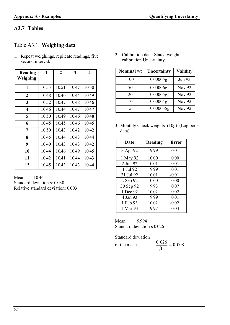# **A3.7 Tables**

 **Reading** 

# Table A3.1 **Weighing data**

1. Repeat weighings, replicate readings, five second interval.

 $1 \quad 2 \quad 3 \quad 4$ 

| Weighing                |       |       |       |       |
|-------------------------|-------|-------|-------|-------|
| 1                       | 10.53 | 10.51 | 10.47 | 10.50 |
| $\overline{2}$          | 10.48 | 10.46 | 10.44 | 10.49 |
| 3                       | 10.52 | 10.47 | 10.48 | 10.46 |
| $\overline{\mathbf{4}}$ | 10.46 | 10.44 | 10.47 | 10.47 |
| 5                       | 10.50 | 10.49 | 10.46 | 10.48 |
| 6                       | 10.45 | 10.45 | 10.46 | 10.45 |
| 7                       | 10.50 | 10.43 | 10.42 | 10.42 |
| 8                       | 10.45 | 10.44 | 10.43 | 10.44 |
| 9                       | 10.40 | 10.43 | 10.43 | 10.42 |
| 10                      | 10.44 | 10.46 | 10.49 | 10.45 |
| 11                      | 10.42 | 10.41 | 10.44 | 10.43 |
| 12                      | 10.45 | 10.43 | 10.43 | 10.44 |

Mean: 10.46 Standard deviation **s**: 0.030 Relative standard deviation: 0.003 2. Calibration data: Stated weight calibration Uncertainty

| <b>Nominal wt</b> | Uncertainty | <b>Validity</b> |
|-------------------|-------------|-----------------|
| 100               | 0.00005g    | <b>Jun 93</b>   |
| 50                | 0.00006g    | <b>Nov 92</b>   |
| 20                | 0.00005g    | <b>Nov 92</b>   |
| 10                | 0.00004g    | <b>Nov 92</b>   |
| 5                 | 0.000035g   | <b>Nov 92</b>   |

3. Monthly Check weights (10g) (Log book data).

| Date      | Reading | <b>Error</b> |
|-----------|---------|--------------|
| 3 Apr 92  | 9.99    | 0.01         |
| 1 May 92  | 10.00   | 0.00         |
| 2 Jun 92  | 10.01   | $-0.01$      |
| 1 Jul 92  | 9.99    | 0.01         |
| 31 Jul 92 | 10.01   | $-0.01$      |
| 2 Sep 92  | 10.00   | 0.00         |
| 30 Sep 92 | 9.93    | 0.07         |
| 1 Dec 92  | 10.02   | $-0.02$      |
| 4 Jan 93  | 9.99    | 0.01         |
| 1 Feb 93  | 10.02   | $-0.02$      |
| 1 Mar 93  | 9.97    | 0.03         |

Mean: 9.994 Standard deviation **s** 0.026

Standard deviation

| of the mean | 0.026<br>$t' = 0.008$<br>$\sqrt{11}$ |
|-------------|--------------------------------------|
|-------------|--------------------------------------|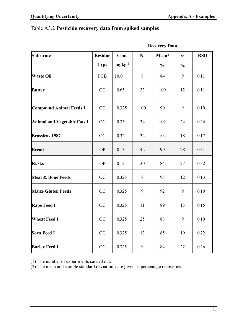# Table A3.2 **Pesticide recovery data from spiked samples**

| <b>Substrate</b>                   | <b>Residue</b> | Conc     | $\mathbf{N}^1$ | Mean <sup>2</sup> | $s^2$            | <b>RSD</b> |
|------------------------------------|----------------|----------|----------------|-------------------|------------------|------------|
|                                    | <b>Type</b>    | $mgkg-1$ |                | $\frac{0}{0}$     | $\frac{0}{0}$    |            |
| <b>Waste Oil</b>                   | <b>PCB</b>     | 10.0     | 8              | 84                | 9                | 0.11       |
| <b>Butter</b>                      | OC             | 0.65     | 33             | 109               | 12               | 0.11       |
| <b>Compound Animal Feeds I</b>     | OC             | 0.325    | 100            | 90                | 9                | 0.10       |
| <b>Animal and Vegetable Fats I</b> | OC             | 0.33     | 34             | 102               | 24               | 0.24       |
| <b>Brassicas 1987</b>              | OC             | 0.32     | 32             | 104               | 18               | 0.17       |
| <b>Bread</b>                       | <b>OP</b>      | 0.13     | 42             | 90                | 28               | 0.31       |
| <b>Rusks</b>                       | <b>OP</b>      | 0.13     | 30             | 84                | 27               | 0.32       |
| <b>Meat &amp; Bone Feeds</b>       | OC             | 0.325    | 8              | 95                | 12               | 0.13       |
| <b>Maize Gluten Feeds</b>          | OC             | 0.325    | 9              | 92                | 9                | $0.10\,$   |
| <b>Rape Feed I</b>                 | OC             | 0.325    | 11             | 89                | 13               | 0.15       |
| <b>Wheat Feed I</b>                | <b>OC</b>      | 0.325    | 25             | 88                | $\boldsymbol{9}$ | 0.10       |
| Soya Feed I                        | OC             | 0.325    | 13             | 85                | 19               | 0.22       |
| <b>Barley Feed I</b>               | $\rm OC$       | 0.325    | 9              | 84                | 22               | 0.26       |

 **Recovery Data** 

(1) The number of experiments carried out.

(2) The mean and sample standard deviation **s** are given as percentage recoveries.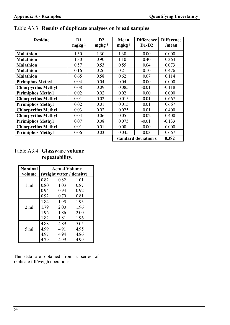| <b>Residue</b>             | D <sub>1</sub><br>$mgkg-1$ | D2<br>$mgkg-1$ | <b>Mean</b><br>$mgkg-1$ | <b>Difference</b><br>$D1-D2$ | <b>Difference</b><br>/mean |
|----------------------------|----------------------------|----------------|-------------------------|------------------------------|----------------------------|
| <b>Malathion</b>           | 1.30                       | 1.30           | 1.30                    | 0.00                         | 0.000                      |
| <b>Malathion</b>           | 1.30                       | 0.90           | 1.10                    | 0.40                         | 0.364                      |
| <b>Malathion</b>           | 0.57                       | 0.53           | 0.55                    | 0.04                         | 0.073                      |
| <b>Malathion</b>           | 0.16                       | 0.26           | 0.21                    | $-0.10$                      | $-0.476$                   |
| <b>Malathion</b>           | 0.65                       | 0.58           | 0.62                    | 0.07                         | 0.114                      |
| <b>Pirimphos Methyl</b>    | 0.04                       | 0.04           | 0.04                    | 0.00                         | 0.000                      |
| <b>Chlorpyrifos Methyl</b> | 0.08                       | 0.09           | 0.085                   | $-0.01$                      | $-0.118$                   |
| <b>Pirimiphos Methyl</b>   | 0.02                       | 0.02           | 0.02                    | 0.00                         | 0.000                      |
| <b>Chlorpyrifos Methyl</b> | 0.01                       | 0.02           | 0.015                   | $-0.01$                      | $-0.667$                   |
| <b>Pirimiphos Methyl</b>   | 0.02                       | 0.01           | 0.015                   | 0.01                         | 0.667                      |
| <b>Chlorpyrifos Methyl</b> | 0.03                       | 0.02           | 0.025                   | 0.01                         | 0.400                      |
| <b>Chlorpyrifos Methyl</b> | 0.04                       | 0.06           | 0.05                    | $-0.02$                      | $-0.400$                   |
| <b>Pirimiphos Methyl</b>   | 0.07                       | 0.08           | 0.075                   | $-0.01$                      | $-0.133$                   |
| <b>Chlorpyrifos Methyl</b> | 0.01                       | 0.01           | 0.00                    | 0.00                         | 0.000                      |
| <b>Pirimiphos Methyl</b>   | 0.06                       | 0.03           | 0.045                   | 0.03                         | 0.667                      |
|                            |                            |                |                         | standard deviation s         | 0.382                      |

Table A3.3 **Results of duplicate analyses on bread samples**

# Table A3.4 **Glassware volume repeatability.**

| <b>Nominal</b> | <b>Actual Volume</b> |                          |      |  |
|----------------|----------------------|--------------------------|------|--|
| volume         |                      | (weight water / density) |      |  |
|                | 0.82                 | 0.82                     | 1.01 |  |
| $1 \text{ ml}$ | 0.80                 | 1.03                     | 0.87 |  |
|                | 0.94                 | 0.93                     | 0.92 |  |
|                | 0.92                 | 0.70                     | 0.81 |  |
|                | 1.84                 | 1.95                     | 1.93 |  |
| $2 \text{ ml}$ | 1.79                 | 2.00                     | 1.96 |  |
|                | 1.96                 | 1.86                     | 2.00 |  |
|                | 1.82                 | 1.81                     | 1.96 |  |
|                | 4.88                 | 4.89                     | 5.05 |  |
| $5 \text{ ml}$ | 4.99                 | 4.91                     | 4.95 |  |
|                | 4.97                 | 4.94                     | 4.86 |  |
|                | 4.79                 | 4.99                     | 4.99 |  |

The data are obtained from a series of replicate fill/weigh operations.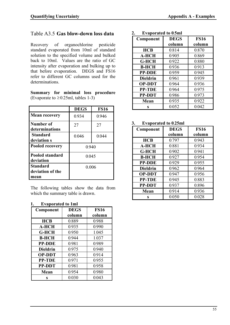# Table A3.5 **Gas blow-down loss data**

Recovery of organochlorine pesticide standard evaporated from 10ml of standard solution to the specified volume and bulked back to 10ml. Values are the ratio of GC intensity after evaporation and bulking up to that before evaporation. DEGS and FS16 refer to different GC columns used for the determinations.

**Summary for minimal loss procedure** (Evaporate to  $\geq 0.25$ ml, tables 1-3)

|                                             | <b>DEGS</b> | <b>FS16</b> |  |
|---------------------------------------------|-------------|-------------|--|
| <b>Mean recovery</b>                        | 0.934       | 0.946       |  |
| Number of<br>determinations                 | 27          | 27          |  |
| <b>Standard</b><br>deviation s              | 0.046       | 0.044       |  |
| <b>Pooled recovery</b>                      | 0.940       |             |  |
| <b>Pooled standard</b><br>deviation         | 0.045       |             |  |
| <b>Standard</b><br>deviation of the<br>mean | 0.006       |             |  |

The following tables show the data from which the summary table is drawn.

### **1. Evaporated to 1ml**

| Component       | <b>DEGS</b> | <b>FS16</b> |
|-----------------|-------------|-------------|
|                 | column      | column      |
| <b>HCB</b>      | 0.889       | 0.988       |
| <b>A-HCH</b>    | 0.935       | 0.990       |
| <b>G-HCH</b>    | 0.950       | 1.045       |
| <b>B-HCH</b>    | 0.944       | 1.037       |
| <b>PP-DDE</b>   | 0.981       | 0.989       |
| <b>Dieldrin</b> | 0.975       | 0.940       |
| <b>OP-DDT</b>   | 0.963       | 0.914       |
| <b>PP-TDE</b>   | 0.971       | 0.955       |
| <b>PP-DDT</b>   | 0.981       | 0.958       |
| <b>Mean</b>     | 0.954       | 0.980       |
| S               | 0.030       | 0.043       |

### **2. Evaporated to 0.5ml**

| Component       | <b>DEGS</b> | <b>FS16</b> |
|-----------------|-------------|-------------|
|                 | column      | column      |
| HCB             | 0.814       | 0.870       |
| <b>A-HCH</b>    | 0.905       | 0.869       |
| <b>G-HCH</b>    | 0.922       | 0.880       |
| <b>B-HCH</b>    | 0.936       | 0.913       |
| <b>PP-DDE</b>   | 0.959       | 0.945       |
| <b>Dieldrin</b> | 0.961       | 0.939       |
| <b>OP-DDT</b>   | 0.964       | 0.936       |
| <b>PP-TDE</b>   | 0.964       | 0.975       |
| <b>PP-DDT</b>   | 0.986       | 0.973       |
| Mean            | 0.935       | 0.922       |
| S               | 0.052       | 0.042       |

### **3. Evaporated to 0.25ml**

| Component       | <b>DEGS</b> | <b>FS16</b> |
|-----------------|-------------|-------------|
|                 | column      | column      |
| <b>HCB</b>      | 0.797       | 0.943       |
| <b>A-HCH</b>    | 0.881       | 0.934       |
| <b>G-HCH</b>    | 0.902       | 0.941       |
| <b>B-HCH</b>    | 0.927       | 0.954       |
| <b>PP-DDE</b>   | 0.929       | 0.955       |
| <b>Dieldrin</b> | 0.962       | 0.964       |
| <b>OP-DDT</b>   | 0.947       | 0.956       |
| <b>PP-TDE</b>   | 0.945       | 0.883       |
| <b>PP-DDT</b>   | 0.937       | 0.896       |
| Mean            | 0.914       | 0.936       |
| S               | 0.050       | 0.028       |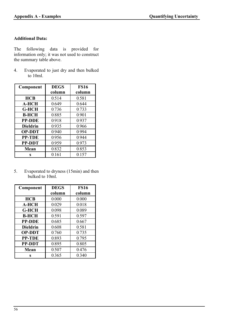### **Additional Data:**

The following data is provided for information only; it was not used to construct the summary table above.

4. Evaporated to just dry and then bulked to 10ml.

| Component       | <b>DEGS</b> | <b>FS16</b> |
|-----------------|-------------|-------------|
|                 | column      | column      |
| <b>HCB</b>      | 0.514       | 0.581       |
| <b>A-HCH</b>    | 0.649       | 0.644       |
| <b>G-HCH</b>    | 0.736       | 0.733       |
| <b>B-HCH</b>    | 0.885       | 0.901       |
| <b>PP-DDE</b>   | 0.918       | 0.937       |
| <b>Dieldrin</b> | 0.935       | 0.966       |
| <b>OP-DDT</b>   | 0.940       | 0.994       |
| <b>PP-TDE</b>   | 0.956       | 0.944       |
| <b>PP-DDT</b>   | 0.959       | 0.973       |
| <b>Mean</b>     | 0.832       | 0.853       |
| S               | 0.161       | 0.157       |

5. Evaporated to dryness (15min) and then bulked to 10ml.

| Component       | <b>DEGS</b> | <b>FS16</b> |
|-----------------|-------------|-------------|
|                 | column      | column      |
| <b>HCB</b>      | 0.000       | 0.000       |
| <b>A-HCH</b>    | 0.029       | 0.018       |
| <b>G-HCH</b>    | 0.098       | 0.089       |
| <b>B-HCH</b>    | 0.591       | 0.597       |
| <b>PP-DDE</b>   | 0.685       | 0.667       |
| <b>Dieldrin</b> | 0.608       | 0.581       |
| <b>OP-DDT</b>   | 0.760       | 0.735       |
| <b>PP-TDE</b>   | 0.893       | 0.795       |
| <b>PP-DDT</b>   | 0.895       | 0.805       |
| Mean            | 0.507       | 0.476       |
| S               | 0.365       | 0.340       |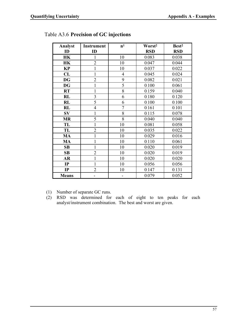| <b>Analyst</b> | <b>Instrument</b>        | n <sup>1</sup>           | Worst <sup>2</sup> | Best <sup>2</sup> |
|----------------|--------------------------|--------------------------|--------------------|-------------------|
| ID             | ID                       |                          | <b>RSD</b>         | <b>RSD</b>        |
| <b>HK</b>      | 1                        | 10                       | 0.083              | 0.038             |
| HK             | $\overline{2}$           | 10                       | 0.047              | 0.044             |
| <b>KP</b>      | 1                        | 10                       | 0.037              | 0.022             |
| CL             | 1                        | $\overline{4}$           | 0.045              | 0.024             |
| <b>DG</b>      | $\overline{c}$           | 9                        | 0.082              | 0.021             |
| <b>DG</b>      | $\mathbf{1}$             | 5                        | 0.100              | 0.061             |
| <b>RT</b>      | $\mathbf{1}$             | 8                        | 0.159              | 0.040             |
| <b>RL</b>      | 3                        | 6                        | 0.180              | 0.120             |
| RL             | $\overline{5}$           | 6                        | 0.100              | 0.100             |
| RL             | $\overline{4}$           | $\overline{7}$           | 0.161              | 0.101             |
| <b>SV</b>      | $\mathbf 1$              | 8                        | 0.115              | 0.078             |
| <b>MR</b>      | 5                        | 8                        | 0.040              | 0.040             |
| TL             | 1                        | 10                       | 0.081              | 0.058             |
| TL             | $\overline{2}$           | 10                       | 0.035              | 0.022             |
| MA             | $\mathbf 1$              | 10                       | 0.029              | 0.016             |
| <b>MA</b>      | 1                        | 10                       | 0.110              | 0.061             |
| SB             | $\mathbf{1}$             | 10                       | 0.020              | 0.019             |
| SB             | $\overline{2}$           | 10                       | 0.020              | 0.019             |
| <b>AR</b>      | $\mathbf{1}$             | 10                       | 0.020              | 0.020             |
| IP             | $\mathbf{1}$             | 10                       | 0.056              | 0.056             |
| IP             | $\overline{2}$           | 10                       | 0.147              | 0.131             |
| <b>Means</b>   | $\overline{\phantom{a}}$ | $\overline{\phantom{a}}$ | 0.079              | 0.052             |

# Table A3.6 **Precision of GC injections**

(1) Number of separate GC runs.

(2) RSD was determined for each of eight to ten peaks for each analyst/instrument combination. The best and worst are given.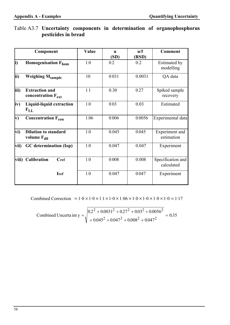|               | Component                                              | Value | <b>u</b><br>(SD) | u/f<br>(RSD) | <b>Comment</b>                   |
|---------------|--------------------------------------------------------|-------|------------------|--------------|----------------------------------|
| i)            | <b>Homogenisation Fhom</b>                             | 1.0   | 0.2              | 0.2          | <b>Estimated by</b><br>modelling |
| ii)           | <b>Weighing Msample</b>                                | 10    | 0.031            | 0.0031       | QA data                          |
| iii)          | <b>Extraction and</b><br>concentration $F_{ext}$       | 1.1   | 0.30             | 0.27         | Spiked sample<br>recovery        |
| iv)           | Liquid-liquid extraction<br>$F_{LL}$                   | 1.0   | 0.03             | 0.03         | Estimated                        |
| $\mathbf{v})$ | Concentration $F_{con}$                                | 1.06  | 0.006            | 0.0056       | Experimental data                |
| vi)           | <b>Dilution to standard</b><br>volume $F_{\text{dil}}$ | 1.0   | 0.045            | 0.045        | Experiment and<br>estimation     |
| vii)          | <b>GC</b> determination (Iop)                          | 1.0   | 0.047            | 0.047        | Experiment                       |
| viii)         | <b>Calibration</b><br>Cref                             | 1.0   | 0.008            | 0.008        | Specification and<br>calculated  |
|               | <b>I</b> ref                                           | 1.0   | 0.047            | 0.047        | Experiment                       |

# Table A3.7 **Uncertainty components in determination of organophosphorus pesticides in bread**

Combined Correction =  $1.0 \times 1.0 \times 1.1 \times 1.0 \times 1.06 \times 1.0 \times 1.0 \times 1.0 \times 1.0 = 1.17$ 

Combined Uncerta int y = 
$$
\sqrt{\frac{0.2^2 + 0.0031^2 + 0.27^2 + 0.03^2 + 0.0056^2}{0.045^2 + 0.047^2 + 0.008^2 + 0.047^2}} = 0.35
$$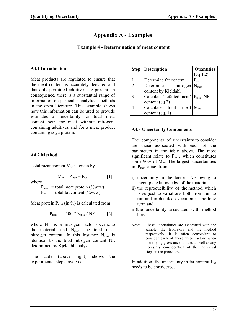# **Appendix A - Examples**

### **Example 4 - Determination of meat content**

### **A4.1 Introduction**

Meat products are regulated to ensure that the meat content is accurately declared and that only permitted additives are present. In consequence, there is a substantial range of information on particular analytical methods in the open literature. This example shows how this information can be used to provide estimates of uncertainty for total meat content both for meat without nitrogencontaining additives and for a meat product containing soya protein.

# **A4.2 Method**

Total meat content  $M_{\text{tot}}$  is given by

where

 $P_{\text{meat}} =$  total meat protein (%w/w)  $F_{\text{tot}}$  = total fat content (%w/w).

Meat protein  $P_{\text{meat}}$  (in %) is calculated from

$$
P_{\text{meat}} = 100 * N_{\text{meat}} / NF
$$
 [2]

 $M_{\text{tot}} = P_{\text{meat}} + F_{\text{tot}}$  [1]

where NF is a nitrogen factor specific to the material, and  $N_{\text{meat}}$ , the total meat nitrogen content. In this instance  $N_{\text{meat}}$  is identical to the total nitrogen content  $N_{\text{tot}}$ determined by Kjeldahl analysis.

The table (above right) shows the experimental steps involved.

| <b>Step</b> | <b>Description</b>                               | Quantities<br>(eq 1,2) |
|-------------|--------------------------------------------------|------------------------|
|             | Determine fat content                            | $F_{\text{tot}}$       |
|             | Determine $nitrogen \mid N_{meat}$               |                        |
|             | content by Kjeldahl                              |                        |
|             | Calculate 'defatted meat' $P_{\text{meat}}$ , NF |                        |
|             | content (eq 2)                                   |                        |
|             | Calculate total meat $M_{\text{tot}}$            |                        |
|             | content (eq. 1)                                  |                        |

### **A4.3 Uncertainty Components**

The components of uncertainty to consider are those associated with each of the parameters in the table above. The most significant relate to  $P_{\text{meat}}$ , which constitutes some  $90\%$  of  $M_{tot}$ . The largest uncertainties in P<sub>meat</sub> arise from

- i) uncertainty in the factor NF owing to incomplete knowledge of the material
- ii) the reproducibility of the method, which is subject to variations both from run to run and in detailed execution in the long term and
- iii)the uncertainty associated with method bias.
- Note: These uncertainties are associated with the sample, the laboratory and the method respectively. It is often convenient to consider each of these three factors when identifying gross uncertainties as well as any necessary consideration of the individual steps in the procedure.

In addition, the uncertainty in fat content  $F_{tot}$ needs to be considered.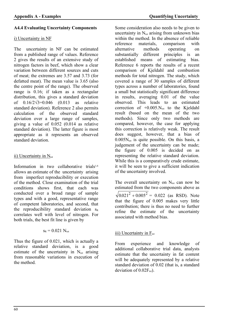### **A4.4 Evaluating Uncertainty Components**

### i) Uncertainty in NF

The uncertainty in NF can be estimated from a published range of values. Reference 2 gives the results of an extensive study of nitrogen factors in beef, which show a clear variation between different sources and cuts of meat; the extremes are 3.57 and 3.73 (for defatted meat). The mean value is 3.65 (also the centre point of the range). The observed range is 0.16; if taken as a rectangular distribution, this gives a standard deviation of  $0.16/2\sqrt{3} = 0.046$  (0.013 as relative standard deviation). Reference 2 also permits calculation of the observed standard deviation over a large range of samples, giving a value of 0.052 (0.014 as relative standard deviation). The latter figure is most appropriate as it represents an observed standard deviation.

### ii) Uncertainty in  $N_{tot}$

Information in two collaborative trials<sup>1,6</sup> allows an estimate of the uncertainty arising from imperfect reproducibility or execution of the method. Close examination of the trial conditions shows first, that each was conducted over a broad range of sample types and with a good, representative range of competent laboratories, and second, that the reproducibility standard deviation  $s_R$ correlates well with level of nitrogen. For both trials, the best fit line is given by

$$
s_{\scriptscriptstyle R} = 0.021~N_{\scriptscriptstyle tot}
$$

Thus the figure of 0.021, which is actually a relative standard deviation, is a good estimate of the uncertainty in  $N_{tot}$  arising from reasonable variations in execution of the method.

Some consideration also needs to be given to uncertainty in  $N_{tot}$  arising from unknown bias within the method. In the absence of reliable reference materials, comparison with<br>alternative methods operating on alternative methods operating on substantially different principles is an established means of estimating bias. Reference 6 reports the results of a recent comparison of Kjeldahl and combustion methods for total nitrogen. The study, which covered a range of 30 samples of different types across a number of laboratories, found a small but statistically significant difference in results, averaging 0.01 of the value observed. This leads to an estimated correction of  $+0.005$ .N<sub>tot</sub> to the Kjeldahl result (based on the mean of the two methods). Since only two methods are compared, however, the case for applying this correction is relatively weak. The result does suggest, however, that a bias of  $0.005N<sub>tot</sub>$  is quite possible. On this basis, a judgement of the uncertainty can be made; the figure of 0.005 is decided on as representing the relative standard deviation. While this is a comparatively crude estimate, it will be seen to give a sufficient indication of the uncertainty involved.

The overall uncertainty on  $N_{tot}$  can now be estimated from the two components above as  $0.021<sup>2</sup> + 0.005<sup>2</sup> = 0.022$  (as RSD). Note that the figure of 0.005 makes very little contribution; there is thus no need to further refine the estimate of the uncertainty associated with method bias.

# $\overline{iii}$ ) Uncertainty in  $F_{tot}$

From experience and knowledge of additional collaborative trial data, analysts estimate that the uncertainty in fat content will be adequately represented by a relative standard deviation of 0.02 (that is, a standard deviation of  $0.02F_{tot}$ ).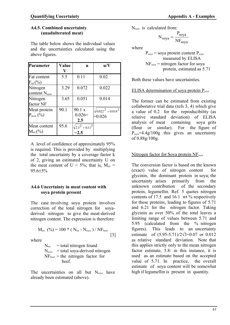### **A4.5. Combined uncertainty (unadulterated meat)**

The table below shows the individual values and the uncertainties calculated using the above figures.

| Parameter                             | Value | U.                                | u/V                                    |
|---------------------------------------|-------|-----------------------------------|----------------------------------------|
| Fat content<br>$\mathrm{F_{tot}(\%)}$ | 5.5   | 0.11                              | 0.02                                   |
| Nitrogen<br>content N <sub>meat</sub> | 3.29  | 0.072                             | 0.022                                  |
| Nitrogen<br>factor NF                 | 3.65  | 0.051                             | 0.014                                  |
| Meat protein<br>$P_{\text{meat}}(\%)$ | 90.1  | 90.1 x<br>$0.026=$<br>2.5         | $\sqrt{0.022^2 + 0.014^2}$<br>$=0.026$ |
| Meat content<br>$\rm M_{tot}$ (%)     | 95.6  | $\sqrt{2.5^2 + 0.11^2}$<br>$=2.5$ |                                        |

A level of confidence of approximately 95% is required. This is provided by multiplying the total uncertainty by a coverage factor k of 2, giving an estimated uncertainty U on the meat content of  $U = 5\%$ ; that is,  $M_{tot} =$  $95.6 \pm 5\%$ 

### **A4.6 Uncertainty in meat content with soya protein present**

The case involving soya protein involves correction of the total nitrogen for soyaderived nitrogen to give the meat-derived nitrogen content. The expression is therefore:

$$
M_{\text{tot}}~(\%) = 100 * (N_{\text{tot}} - N_{\text{soya}}) / NF_{\text{beef}}
$$
 [3]

where

 $N_{\text{tot}}$  = total nitrogen found  $N_{\text{soya}}$  = total soya-derived nitrogen  $NF<sub>best</sub> =$  the nitrogen factor for beef.

The uncertainties on all but  $N_{\text{soya}}$  have already been estimated (above).

Nsoya is calculated from:

$$
N_{soya} = \frac{P_{soya}}{NF_{soya}}
$$

where

 $P_{sova}$  = soya protein content  $P_{sova}$ measured by ELISA  $NF_{soya}$  = nitrogen factor for soya protein, estimated as 5.71

Both these values have uncertainties.

# ELISA determination of soya protein P<sub>soya</sub>

The former can be estimated from existing collaborative trial data (refs 3, 4) which give a value of 0.2 for the reproducibility (as relative standard deviation) of ELISA analysis of meat containing soya grits (flour or similar). For the figure of  $P<sub>sova</sub>=4.4g/100g$  this gives an uncertainty of 0.88g/100g.

# Nitrogen factor for Soya protein NF<sub>sova</sub>

The conversion factor is based on the known (exact) value of nitrogen content for glycinin, the dominant protein in soya; the uncertainty arises primarily from the<br>unknown contribution of the secondary unknown contribution protein, legumellin. Ref. 5 quotes nitrogen contents of 17.5 and 16.1 wt % respectively for these proteins, leading to figures of 5.71 and 6.21 for the nitrogen factor. Taking glycinin as over 50% of the total leaves a limiting range of values between 5.71 and 5.95 (calculated from the % nitrogen figures). This leads to an uncertainty estimate of  $(5.95-5.71)/2\sqrt{3}=0.07$  or 0.012 as relative standard deviation. Note that this applies strictly only to the mean nitrogen factor estimate, 5.8: in this instance, it is used as an estimate based on the accepted value of 5.71. In practice, the overall estimate of soya content will be somewhat high if legumellin is present in quantity.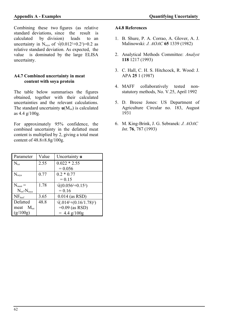Combining these two figures (as relative standard deviations, since the result is calculated by division) leads to an uncertainty in N<sub>soya</sub> of  $\sqrt{(0.012^2+0.2^2)}=0.2$  as relative standard deviation. As expected, the value is dominated by the large ELISA uncertainty.

### **A4.7 Combined uncertainty in meat content with soya protein**

The table below summarises the figures obtained, together with their calculated uncertainties and the relevant calculations. The standard uncertainty  $\mathbf{u}(M_{tot})$  is calculated as 4.4 g/100g.

For approximately 95% confidence, the combined uncertainty in the defatted meat content is multiplied by 2, giving a total meat content of 48.8±8.8g/100g.

| Parameter                        | Value | Uncertainty <b>u</b>                |
|----------------------------------|-------|-------------------------------------|
| $N_{\text{tot}}$                 | 2.55  | $0.022 * 2.55$                      |
|                                  |       | $= 0.056$                           |
| $N_{soya}$                       | 0.77  | $0.2 * 0.77$                        |
|                                  |       | $= 0.15$                            |
| $N_{\text{meat}} =$              | 1.78  | $\sqrt{(0.056^{2}+0.15^{2})}$       |
| $N_{\text{tot}}-N_{\text{sova}}$ |       | $= 0.16$                            |
| $NF_{\text{beef}}$               | 3.65  | $0.014$ (as RSD)                    |
| Defatted                         | 48.8  | $\sqrt{(0.14^{2}+(0.16/1.78)^{2})}$ |
| meat $M_{tot}$                   |       | $=0.09$ (as RSD)                    |
| (g/100g)                         |       | $= 4.4$ g/100g                      |

### **A4.8 References**

- 1. B. Shure, P. A. Corrao, A. Glover, A. J. Malinowski: *J. AOAC* **65** 1339 (1982)
- 2. Analytical Methods Committee: *Analyst*  **118** 1217 (1993)
- 3. C. Hall, C. H. S. Hitchcock, R. Wood: J. APA **25** 1 (1987)
- 4. MAFF collaboratively tested nonstatutory methods, No. V.25, April 1992
- 5. D. Breese Jones: US Department of Agriculture Circular no. 183, August 1931
- 6. M. King-Brink, J. G. Sebranek: *J. AOAC Int*. **76**, 787 (1993)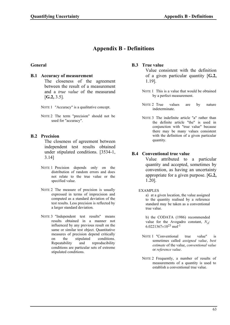# **Appendix B - Definitions**

### **General**

#### **B.1 Accuracy of measurement**

 The closeness of the agreement between the result of a measurement and a *true value* of the measurand [**G.2,** 3.5].

NOTE 1 "Accuracy" is a qualitative concept.

NOTE 2 The term "precision" should not be used for "accuracy".

### **B.2 Precision**

 The closeness of agreement between independent test results obtained under stipulated conditions. [3534-1, 3.14]

- NOTE 1 Precision depends only on the distribution of random errors and does not relate to the true value or the specified value.
- NOTE 2 The measure of precision is usually expressed in terms of imprecision and computed as a standard deviation of the test results. Less precision is reflected by a larger standard deviation.
- NOTE 3 "Independent test results" means results obtained in a manner not influenced by any previous result on the same or similar test object. Quantitative measures of precision depend critically on the stipulated conditions.<br>Repeatability and reproducibility reproducibility conditions are particular sets of extreme stipulated conditions.

### **B.3 True value**

 Value consistent with the definition of a given particular quantity [**G.2,** 1.19].

- NOTE 1 This is a value that would be obtained by a perfect measurement.
- NOTE 2 True values are by nature indeterminate.
- NOTE 3 The indefinite article "a" rather than the definite article "the" is used in conjunction with "true value" because there may be many values consistent with the definition of a given particular quantity.

### **B.4 Conventional true value**

 Value attributed to a particular quantity and accepted, sometimes by convention, as having an uncertainty appropriate for a given purpose. [**G.2,** 1.20].

EXAMPLES

a) at a given location, the value assigned to the quantity realised by a reference standard may be taken as a conventional true value.

b) the CODATA (1986) recommended value for the Avogadro constant,  $N_A$ : 6.0221367 $\times$ 10<sup>23</sup> mol<sup>-1</sup>

- NOTE 1 "Conventional true value" is sometimes called *assigned value*, *best estimate* of the value, *conventional value* or *reference value*.
- NOTE 2 Frequently, a number of results of measurements of a quantity is used to establish a conventional true value.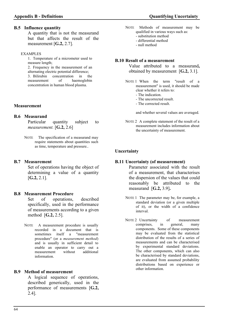#### **B.5 Influence quantity**

 A quantity that is not the measurand but that affects the result of the measurement [**G.2,** 2.7].

#### EXAMPLES

1. Temperature of a micrometer used to measure length; 2. Frequency in the measurement of an alternating electric potential difference; 3. Bilirubin concentration in the measurement of haemoglobin concentration in human blood plasma.

#### **Measurement**

### **B.6 Measurand**

Particular quantity subject to *measurement.* [**G.2,** 2.6]

NOTE The specification of a measurand may require statements about quantities such as time, temperature and pressure..

#### **B.7 Measurement**

 Set of operations having the object of determining a value of a quantity [**G.2,** 2.1].

#### **B.8 Measurement Procedure**

 Set of operations, described specifically, used in the performance of measurements according to a given method [**G.2,** 2.5].

NOTE A measurement procedure is usually recorded in a document that is sometimes itself a "measurement procedure" (or a *measurement method*) and is usually in sufficient detail to enable an operator to carry out a<br>measurement without additional measurement without information.

#### **B.9 Method of measurement**

 A logical sequence of operations, described generically, used in the performance of measurements [**G.2,** 2.4].

- NOTE Methods of measurement may be qualified in various ways such as:
	- substitution method
	- differential method
	- null method

#### **B.10 Result of a measurement**

 Value attributed to a measurand**,**  obtained by measurement [**G.2,** 3.1].

NOTE 1 When the term "result of a measurement" is used, it should be made clear whether it refers to:

- The indication.
- The uncorrected result.
- The corrected result.

and whether several values are averaged.

NOTE 2 A complete statement of the result of a measurement includes information about the uncertainty of measurement.

### **Uncertainty**

#### **B.11 Uncertainty (of measurement)**

 Parameter associated with the result of a measurement, that characterises the dispersion of the values that could reasonably be attributed to the measurand [**G.2,** 3.9]**.**

NOTE 1 The parameter may be, for example, a standard deviation (or a given multiple of it), or the width of a confidence interval.

NOTE 2 Uncertainty of measurement comprises, in general, many components. Some of these components may be evaluated from the statistical distribution of the results of a series of measurements and can be characterised by experimental standard deviations. The other components, which can also be characterised by standard deviations, are evaluated from assumed probability distributions based on experience or other information.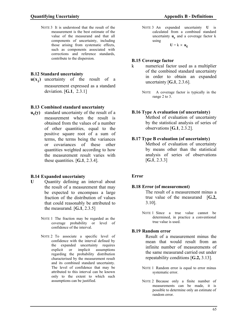NOTE 3 It is understood that the result of the measurement is the best estimate of the value of the measurand and that all components of uncertainty, including those arising from systematic effects, such as components associated with corrections and reference standards, contribute to the dispersion.

## **B.12 Standard uncertainty**

**u(x<sup>i</sup> )** uncertainty of the result of a measurement expressed as a standard deviation. [**G.1**, 2.3.1]

### **B.13 Combined standard uncertainty**

**uc (y)** standard uncertainty of the result of a measurement when the result is obtained from the values of a number of other quantities, equal to the positive square root of a sum of terms, the terms being the variances or covariances of these other quantities weighted according to how the measurement result varies with these quantities. [**G.1**, 2.3.4].

### **B.14 Expanded uncertainty**

- **U** Ouantity defining an interval about the result of a measurement that may be expected to encompass a large fraction of the distribution of values that could reasonably be attributed to the measurand. [**G.1**, 2.3.5]
	- NOTE 1 The fraction may be regarded as the coverage probability or level of confidence of the interval.
	- NOTE 2 To associate a specific level of confidence with the interval defined by the expanded uncertainty requires explicit or implicit assumptions regarding the probability distribution characterised by the measurement result and its combined standard uncertainty. The level of confidence that may be attributed to this interval can be known only to the extent to which such assumptions can be justified.

NOTE 3 An expanded uncertainty **U** is calculated from a combined standard uncertainty  $\mathbf{u}_c$  and a coverage factor k using

 $U = k \times u_c$ 

### **B.15 Coverage factor**

- k numerical factor used as a multiplier of the combined standard uncertainty in order to obtain an expanded uncertainty [**G.1**, 2.3.6].
	- NOTE A coverage factor is typically in the range 2 to 3.

### **B.16 Type A evaluation (of uncertainty)**

 Method of evaluation of uncertainty by the statistical analysis of series of observations [**G.1**, 2.3.2].

### **B.17 Type B evaluation (of uncertainty)**

 Method of evaluation of uncertainty by means other than the statistical analysis of series of observations [**G.1**, 2.3.3]

### **Error**

### **B.18 Error (of measurement)**

The result of a measurement minus a true value of the measurand [**G.2,** 3.10].

NOTE 1 Since a true value cannot be determined, in practice a conventional true value is used.

### **B.19 Random error**

 Result of a measurement minus the mean that would result from an infinite number of measurements of the same measurand carried out under repeatability conditions [**G.2,** 3.13].

- NOTE 1 Random error is equal to error minus systematic error.
- NOTE 2 Because only a finite number of measurements can be made, it is possible to determine only an estimate of random error.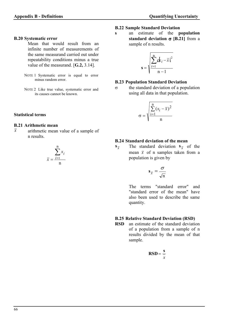#### **B.20 Systematic error**

 Mean that would result from an infinite number of measurements of the same measurand carried out under repeatability conditions minus a true value of the measurand. [**G.2,** 3.14].

- NOTE 1 Systematic error is equal to error minus random error.
- NOTE 2 Like true value, systematic error and its causes cannot be known.

### **Statistical terms**

#### **B.21 Arithmetic mean**

 $\bar{x}$  arithmetic mean value of a sample of n results.

#### *x x i*  $=\frac{i}{i}$  $\sum$ 1 n n

### **B.22 Sample Standard Deviation**

**s** an estimate of the **population standard deviation**  $\sigma$  **[B.21]** from a sample of n results.

$$
\mathbf{s} = \sqrt{\sum_{i=1}^{n} d_{i} - \overline{x}^{2}_{i}}
$$

### **B.23 Population Standard Deviation**

 $\sigma$  the standard deviation of a population using all data in that population.

$$
\sigma = \sqrt{\frac{\sum_{i=1}^{n} (x_i - \overline{x})^2}{n}}
$$

### **B.24 Standard deviation of the mean**

**s** *x* The standard deviation  $s_{\overline{x}}$  of the mean  $\bar{x}$  of n samples taken from a population is given by

$$
\mathbf{s}_{\overline{x}} = \frac{\sigma}{\sqrt{n}}
$$

 The terms "standard error" and "standard error of the mean" have also been used to describe the same quantity.

### **B.25 Relative Standard Deviation (RSD)**

**RSD** an estimate of the standard deviation of a population from a sample of n results divided by the mean of that sample.

$$
\text{RSD} = \frac{\text{s}}{x}
$$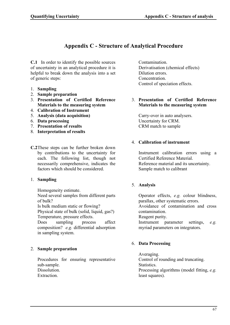# **Appendix C - Structure of Analytical Procedure**

**C.1** In order to identify the possible sources of uncertainty in an analytical procedure it is helpful to break down the analysis into a set of generic steps:

- 1. **Sampling**
- 2. **Sample preparation**
- 3. **Presentation of Certified Reference Materials to the measuring system**
- 4. **Calibration of Instrument**
- 5. **Analysis (data acquisition)**
- 6. **Data processing**
- 7. **Presentation of results**
- 8. **Interpretation of results**
- **C.2** These steps can be further broken down by contributions to the uncertainty for each. The following list, though not necessarily comprehensive, indicates the factors which should be considered.

### 1. **Sampling**

Homogeneity estimate.

Need several samples from different parts of bulk?

Is bulk medium static or flowing?

Physical state of bulk (solid, liquid, gas?) Temperature, pressure effects.

Does sampling process affect composition? *e.g.* differential adsorption in sampling system.

# 2. **Sample preparation**

Procedures for ensuring representative sub-sample. Dissolution. Extraction.

Contamination. Derivatisation (chemical effects) Dilution errors. Concentration. Control of speciation effects.

### 3. **Presentation of Certified Reference Materials to the measuring system**

Carry-over in auto analysers. Uncertainty for CRM. CRM match to sample

### 4. **Calibration of instrument**

Instrument calibration errors using a Certified Reference Material. Reference material and its uncertainty. Sample match to calibrant

### 5. **Analysis**

Operator effects, *e.g.* colour blindness, parallax, other systematic errors. Avoidance of contamination and cross contamination. Reagent purity.

Instrument parameter settings, *e.g.* myriad parameters on integrators.

### 6. **Data Processing**

Averaging. Control of rounding and truncating. Statistics. Processing algorithms (model fitting, *e.g.* least squares).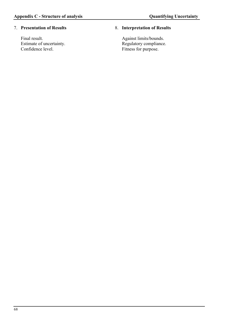### 7. **Presentation of Results**

Final result. Estimate of uncertainty. Confidence level.

## 8. **Interpretation of Results**

Against limits/bounds. Regulatory compliance. Fitness for purpose.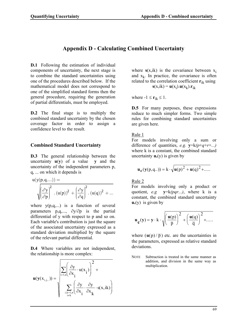# **Appendix D - Calculating Combined Uncertainty**

**D.1** Following the estimation of individual components of uncertainty, the next stage is to combine the standard uncertainties using one of the procedures described below. If the mathematical model does not correspond to one of the simplified standard forms then the general procedure, requiring the generation of partial differentials, must be employed.

**D.2** The final stage is to multiply the combined standard uncertainty by the chosen coverage factor in order to assign a confidence level to the result.

# **Combined Standard Uncertainty**

**D.3** The general relationship between the uncertainty **u**(**y**) of a value **y** and the uncertainty of the independent parameters p, q, ... on which it depends is

$$
u(y(p,q,...)) = \sqrt{\left(\frac{\partial y}{\partial p}\right)^2 \cdot (u(p))^2 + \left(\frac{\partial y}{\partial q}\right)^2 \cdot (u(q))^2 + \dots}
$$

where  $y(p,q,...)$  is a function of several parameters  $p,q,..., \partial y/\partial p$  is the partial differential of y with respect to p and so on. Each variable's contribution is just the square of the associated uncertainty expressed as a standard deviation multiplied by the square of the relevant partial differential.

**D.4** Where variables are not independent, the relationship is more complex:

$$
\mathbf{u}(\mathbf{y}(\mathbf{x}_{i,j\ldots})) = \sqrt{\sum_{i=1,n}^{n} \left(\frac{\partial y}{\partial x_i} \cdot \mathbf{u}(x_i)\right)^2 + \sum_{i,k=1,n}^{n} \left(\frac{\partial y}{\partial x_i} \cdot \frac{\partial y}{\partial x_k} \cdot \mathbf{s}(x,ik)\right)}
$$

where  $s(x,ik)$  is the covariance between  $x_i$ and  $x_k$ . In practice, the covariance is often related to the correlation coefficient **r**ik using  $\mathbf{s}(x, ik) = \mathbf{u}(x_i) \cdot \mathbf{u}(x_k) \cdot \mathbf{r}_{ik}$ 

where  $-1 \le r_{ik} \le 1$ .

**D.5** For many purposes, these expressions reduce to much simpler forms. Two simple rules for combining standard uncertainties are given here.

Rule 1

For models involving only a sum or difference of quantities, *e.g.* **y**=k*(p*+*q*+*r*+*...)* where k is a constant, the combined standard uncertainty  $\mathbf{u}_c(y)$  is given by

$$
\mathbf{u}_{\mathbf{c}}(\mathbf{y}(p,q..)) = k \cdot \sqrt{\mathbf{u}(p)^2 + \mathbf{u}(q)^2 + \dots}
$$

Rule 2

For models involving only a product or quotient, *e.g* **y**=k*(pqr...)*, where k is a constant, the combined standard uncertainty  $u_c(y)$  is given by

$$
u_c(y) = y \cdot k \cdot \sqrt{\left(\frac{u(p)}{\overline{p}}\right)^2 + \left(\frac{u(q)}{\overline{q}}\right)^2 + \dots}
$$

where  $(\mathbf{u}(p)/\overline{p})$  etc. are the uncertainties in the parameters, expressed as relative standard deviations.

NOTE Subtraction is treated in the same manner as addition, and division in the same way as multiplication.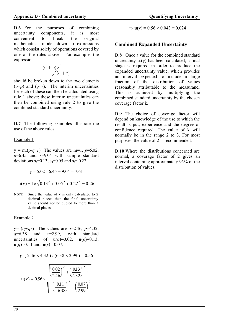**D.6** For the purposes of combining uncertainty components, it is most convenient to break the original mathematical model down to expressions which consist solely of operations covered by one of the rules above. For example, the expression

$$
\begin{array}{c}\n(o+p) \\
\hline\n\end{array}
$$

should be broken down to the two elements  $(o+p)$  and  $(q+r)$ . The interim uncertainties for each of these can then be calculated using rule 1 above; these interim uncertainties can then be combined using rule 2 to give the combined standard uncertainty.

**D.7** The following examples illustrate the use of the above rules:

Example 1

 $y = m(p-q+r)$  The values are m=1,  $p=5.02$ , *q*=6.45 and *r*=9.04 with sample standard deviations  $s_p=0.13$ ,  $s_q=0.05$  and  $s_r=0.22$ .

$$
y = 5.02 - 6.45 + 9.04 = 7.61
$$
  
 
$$
u(y) = 1 \times \sqrt{0.13^2 + 0.05^2 + 0.22^2} = 0.26
$$

NOTE Since the value of **y** is only calculated to 2 decimal places then the final uncertainty value should not be quoted to more than 3 decimal places.

Example 2

**y**= (*op/qr*) The values are *o*=2.46, *p*=4.32, *q*=6.38 and *r*=2.99, with standard uncertainties of  $u(o)=0.02$ ,  $u(p)=0.13$ ,  $u(q)=0.11$  and  $u(r)=0.07$ .

$$
y=(2.46 \times 4.32) / (6.38 \times 2.99) = 0.56
$$

$$
\mathbf{u}(y) = 0.56 \times \sqrt{\left(\frac{0.02}{2.46}\right)^2 + \left(\frac{0.13}{4.32}\right)^2 + \left(\frac{0.07}{-6.38}\right)^2 + \left(\frac{0.07}{2.99}\right)^2}
$$

 $\Rightarrow$  **u**(y) = 0.56  $\times$  0.043 = 0.024

# **Combined Expanded Uncertainty**

**D.8** Once a value for the combined standard uncertainty  $\mathbf{u}_c(y)$  has been calculated, a final stage is required in order to produce the expanded uncertainty value, which provides an interval expected to include a large fraction of the distribution of values reasonably attributable to the measurand. This is achieved by multiplying the combined standard uncertainty by the chosen coverage factor k.

**D.9** The choice of coverage factor will depend on knowledge of the use to which the result is put, experience and the degree of confidence required. The value of k will normally be in the range 2 to 3. For most purposes, the value of 2 is recommended.

**D.10** Where the distributions concerned are normal, a coverage factor of 2 gives an interval containing approximately 95% of the distribution of values.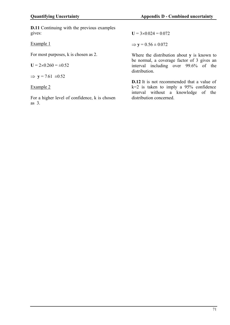**D.11** Continuing with the previous examples gives:

Example 1

For most purposes, k is chosen as 2.

$$
U = 2 \times 0.260 = \pm 0.52
$$

 $\Rightarrow$  **y** = 7.61  $\pm 0.52$ 

# Example 2

For a higher level of confidence, k is chosen as 3.

 $U = 3 \times 0.024 = 0.072$ 

 $\Rightarrow$  **y** = 0.56  $\pm$  0.072

Where the distribution about **y** is known to be normal, a coverage factor of 3 gives an interval including over 99.6% of the distribution.

**D.12** It is not recommended that a value of  $k=2$  is taken to imply a 95% confidence interval without a knowledge of the distribution concerned.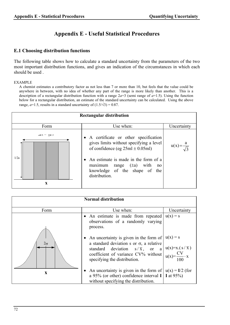# **Appendix E - Useful Statistical Procedures**

### **E.1 Choosing distribution functions**

The following table shows how to calculate a standard uncertainty from the parameters of the two most important distribution functions, and gives an indication of the circumstances in which each should be used .

#### EXAMPLE

A chemist estimates a contributory factor as not less than 7 or more than 10, but feels that the value could be anywhere in between, with no idea of whether any part of the range is more likely than another. This is a description of a rectangular distribution function with a range 2*a*=3 (semi range of *a*=1.5). Using the function below for a rectangular distribution, an estimate of the standard uncertainty can be calculated. Using the above range,  $a=1.5$ , results in a standard uncertainty of  $(1.5/\sqrt{3}) = 0.87$ .



|           | <b>Normal distribution</b>                                                                                                                                                                                                                                                    |             |
|-----------|-------------------------------------------------------------------------------------------------------------------------------------------------------------------------------------------------------------------------------------------------------------------------------|-------------|
| Form      | Use when:                                                                                                                                                                                                                                                                     | Uncertainty |
|           | • An estimate is made from repeated<br>observations of a randomly varying<br>process.                                                                                                                                                                                         | $u(x) = s$  |
| $2\sigma$ | An uncertainty is given in the form of<br>a standard deviation s or $\sigma$ , a relative<br>standard deviation $s/\overline{x}$ , or $a \mid u(x)=x.(s/\overline{x})$<br>coefficient of variance CV% without $u(x) = \frac{CV}{100} \cdot x$<br>specifying the distribution. | $u(x) = s$  |
| X         | An uncertainty is given in the form of $ u(x) = I/2$ (for<br>a 95% (or other) confidence interval I   I at 95%)<br>without specifying the distribution.                                                                                                                       |             |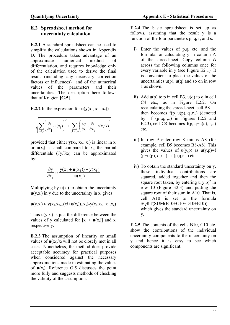# **E.2 Spreadsheet method for uncertainty calculation**

**E.2.1** A standard spreadsheet can be used to simplify the calculations shown in Appendix D. The procedure takes advantage of an approximate numerical method of differentiation, and requires knowledge only of the calculation used to derive the final result (including any necessary correction factors or influences) and of the numerical values of the parameters and their uncertainties. The description here follows that of Kragten **[G.5]**.

**E.2.2** In the expression for  $u(v(x_1, x_2...x_n))$ 

$$
\sqrt{\sum_{i=1,n}\Biggl(\frac{\partial y}{\partial x_i}\cdot u(x_i)\Biggr)^2+\sum_{i,k=1,n}\Biggl(\frac{\partial y}{\partial x_i}\cdot\frac{\partial y}{\partial x_k}\cdot s(x,ik)\Biggr)}
$$

provided that either  $y(x_1, x_2...x_n)$  is linear in  $x_i$ or  $u(x_i)$  is small compared to  $x_i$ , the partial differentials  $(\partial y/\partial x_i)$  can be approximated by:-

$$
\frac{\partial y}{\partial x_i} \approx \frac{y(x_i + \mathbf{u}(x_i)) - y(x_i)}{\mathbf{u}(x_i)}
$$

Multiplying by  $\mathbf{u}(x_i)$  to obtain the uncertainty  $u(y, x_i)$  in y due to the uncertainty in  $x_i$  gives

 $u(y,x_i) \approx y(x_1,x_2...(x_i+u(x_i)).x_n) - y(x_1,x_2...x_i..x_n)$ 

Thus  $u(y,x_i)$  is just the difference between the values of y calculated for  $[x_i + u(x_i)]$  and  $x_i$ respectively.

**E.2.3** The assumption of linearity or small values of  $u(x_i)/x_i$  will not be closely met in all cases. Nonetheless, the method does provide acceptable accuracy for practical purposes when considered against the necessary approximations made in estimating the values of  $u(x_i)$ . Reference G.5 discusses the point more fully and suggests methods of checking the validity of the assumption.

**E.2.4** The basic spreadsheet is set up as follows, assuming that the result **y** is a function of the four parameters p, q, r, and s:

- i) Enter the values of p,q, etc. and the formula for calculating y in column A of the spreadsheet. Copy column A across the following columns once for every variable in y (see Figure E2.1). It is convenient to place the values of the uncertainties  $u(p)$ ,  $u(q)$  and so on in row 1 as shown.
- ii) Add  $u(p)$  to p in cell B3,  $u(q)$  to q in cell C4 etc., as in Figure E2.2. On recalculating the spreadsheet, cell B8 then becomes  $f(p+u(p), q, r.)$  (denoted by f  $(p', q, r, ...)$  in Figures E2.2 and E2.3), cell C8 becomes  $f(p, q+u(q), r, ...)$ etc.
- iii) In row 9 enter row 8 minus A8 (for example, cell B9 becomes B8-A8). This gives the values of  $u(y,p)$  as  $u(y,p)=f$  $(p+u(p), q,r ...)$  - f  $(p,q,r)$  etc.
- iv) To obtain the standard uncertainty on y, these individual contributions are squared, added together and then the square root taken, by entering  $u(y,p)^2$  in row 10 (Figure E2.3) and putting the square root of their sum in A10. That is, cell A10 is set to the formula SQRT(SUM(B10+C10+D10+E10)) which gives the standard uncertainty on y.

**E.2.5** The contents of the cells B10, C10 etc. show the contributions of the individual uncertainty components to the uncertainty on y and hence it is easy to see which components are significant.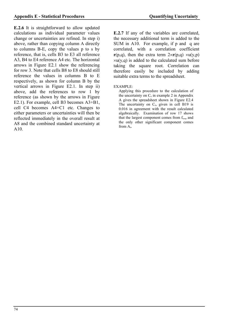**E.2.6** It is straightforward to allow updated calculations as individual parameter values change or uncertainties are refined. In step i) above, rather than copying column A directly to columns B-E, copy the values p to s by reference, that is, cells B3 to E3 all reference A3, B4 to E4 reference A4 etc. The horizontal arrows in Figure E2.1 show the referencing for row 3. Note that cells B8 to E8 should still reference the values in columns B to E respectively, as shown for column B by the vertical arrows in Figure E2.1. In step ii) above, add the references to row 1 by reference (as shown by the arrows in Figure E2.1). For example, cell B3 becomes A3+B1, cell C4 becomes A4+C1 etc. Changes to either parameters or uncertainties will then be reflected immediately in the overall result at A8 and the combined standard uncertainty at A10.

**E.2.7** If any of the variables are correlated, the necessary additional term is added to the SUM in A10. For example, if p and q are correlated, with a correlation coefficient **r**(p,q), then the extra term  $2 \times r(p,q) \times u(y,p)$  $xu(y,q)$  is added to the calculated sum before taking the square root. Correlation can therefore easily be included by adding suitable extra terms to the spreadsheet.

#### EXAMPLE:

Applying this procedure to the calculation of the uncertainty on  $C_0$  in example 2 in Appendix A gives the spreadsheet shown in Figure E2.4 The uncertainty on  $C_0$ , given in cell B19 is 0.016 in agreement with the result calculated algebraically. Examination of row 17 shows that the largest component comes from  $f_{temp}$  and the only other significant component comes from  $A_0$ .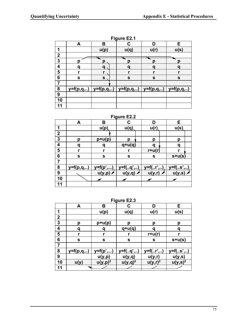|                         | <b>Figure E2.1</b> |      |                                                                          |           |             |  |  |  |  |
|-------------------------|--------------------|------|--------------------------------------------------------------------------|-----------|-------------|--|--|--|--|
|                         | A                  | B    | С                                                                        | D         | E           |  |  |  |  |
|                         |                    | u(p) | u(q)                                                                     | u(r)      | u(s)        |  |  |  |  |
| $\overline{\mathbf{2}}$ |                    |      |                                                                          |           |             |  |  |  |  |
| $\overline{\mathbf{3}}$ |                    | p    | O                                                                        | Π         | Ŋ           |  |  |  |  |
| 4                       |                    | a    | a                                                                        | Q         | O           |  |  |  |  |
| 5                       |                    |      | r                                                                        |           |             |  |  |  |  |
| $6\phantom{1}6$         | $\mathbf{s}$       | S    | $\mathbf s$                                                              | ${\bf S}$ | $\mathbf S$ |  |  |  |  |
|                         |                    |      |                                                                          |           |             |  |  |  |  |
| 8                       |                    |      | $y=f(p,q, )$   $y=f(p,q, )$   $y=f(p,q, )$   $y=f(p,q, )$   $y=f(p,q, )$ |           |             |  |  |  |  |
| 9                       |                    |      |                                                                          |           |             |  |  |  |  |
| 10                      |                    |      |                                                                          |           |             |  |  |  |  |
| 11                      |                    |      |                                                                          |           |             |  |  |  |  |

# **Figure E2.1**

## **Figure E2.2**

|                  | A            | B          | C                | D           | E.       |  |
|------------------|--------------|------------|------------------|-------------|----------|--|
|                  |              | u(p)       | u(q)             | u(r)        | u(s)     |  |
| $\boldsymbol{2}$ |              |            |                  |             |          |  |
| $\mathbf{3}$     | Ŋ            | $p+u(p)$   | p                | р           | р        |  |
| 4                | Q            |            | $q+u(q)$         | a           | a        |  |
| 5                |              | r          |                  | $r+u(r)$    |          |  |
| 6                | S            | ${\bf s}$  | S                | $\mathbf s$ | $s+u(s)$ |  |
|                  |              |            |                  |             |          |  |
| 8                | $y=f(p,q, )$ | $y=f(p',)$ | $y = f(. . q',)$ | $y = f(",)$ | y=f(s',) |  |
| 9                |              | u(y,p)     | u(y,q)           | u(y,r)      | u(y,s)   |  |
| 10               |              |            |                  |             |          |  |
| 11               |              |            |                  |             |          |  |

### **Figure E2.3**

|                | A               | B            | <u>- 9 - </u><br>C | D            | Е                   |
|----------------|-----------------|--------------|--------------------|--------------|---------------------|
| 1              |                 | u(p)         | u(q)               | u(r)         | u(s)                |
| $\mathbf{2}$   |                 |              |                    |              |                     |
| 3              | р               | $p+u(p)$     | p                  | р            | р                   |
| 4              | ิต              |              | $q+u(q)$           |              | a                   |
| 5              | r               |              | r                  | $r+u(r)$     |                     |
| 6              | ${\bf s}$       | $\mathbf s$  | ${\bf S}$          | $\mathbf{s}$ | $s+u(s)$            |
| $\overline{7}$ |                 |              |                    |              |                     |
| 8              | $y = f(p, q, )$ | $y = f(p',)$ | y=f(q',)           | y=f(r',)     | y=f(s',)            |
| 9              |                 | u(y,p)       | <u>u(y,q)</u>      | u(y,r)       | <u>u(y,s)</u>       |
| 10             | u(y)            | $u(y,p)^2$   | $u(y,q)^2$         | $u(y,r)^2$   | u(y,s) <sup>2</sup> |
| 11             |                 |              |                    |              |                     |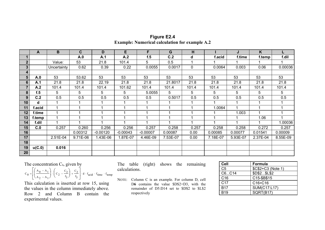|    | A      | B           | $\mathbf c$ | D          | E          | F.         | G        | н            |          | J        | K        |          |
|----|--------|-------------|-------------|------------|------------|------------|----------|--------------|----------|----------|----------|----------|
|    |        |             | A.0         | A.1        | A.2        | f.5        | C.2      | d            | f.acid   | f.time   | f.temp   | f.dil    |
|    |        | Value:      | 53          | 21.8       | 101.4      | 5          | 0.5      |              |          |          |          |          |
|    |        | Uncertainty | 0.62        | 0.39       | 0.22       | 0.0055     | 0.0017   | $\mathbf{0}$ | 0.0064   | 0.003    | 0.06     | 0.00036  |
|    |        |             |             |            |            |            |          |              |          |          |          |          |
| 5  | A.0    | 53          | 53.62       | 53         | 53         | 53         | 53       | 53           | 53       | 53       | 53       | 53       |
| 6  | A.1    | 21.8        | 21.8        | 22.19      | 21.8       | 21.8       | 21.8017  | 21.8         | 21.8     | 21.8     | 21.8     | 21.8     |
|    | A.2    | 101.4       | 101.4       | 101.4      | 101.62     | 101.4      | 101.4    | 101.4        | 101.4    | 101.4    | 101.4    | 101.4    |
| 8  | f.5    | 5           | 5           | 5          | 5          | 5.0055     | 5        | 5            | 5        | 5        | 5        | 5        |
| 9  | C.2    | 0.5         | 0.5         | 0.5        | 0.5        | 0.5        | 0.5017   | 0.5          | 0.5      | 0.5      | 0.5      | 0.5      |
| 10 | d      |             |             |            |            |            |          |              |          |          |          |          |
| 11 | f.acid |             |             |            |            | 4          |          |              | 1.0064   |          |          |          |
| 12 | f.time |             |             |            |            | 4          |          |              |          | 1.003    |          |          |
| 13 | f.temp |             |             |            |            |            |          |              |          |          | 1.06     |          |
| 14 | f.dil  |             |             |            |            | 1          |          |              |          |          |          | 1.00036  |
| 15 | C.0    | 0.257       | 0.260       | 0.256      | 0.256      | 0.257      | 0.258    | 0.257        | 0.258    | 0.258    | 0.272    | 0.257    |
| 16 |        |             | 0.00312     | $-0.00120$ | $-0.00043$ | $-0.00007$ | 0.00087  | 0.00         | 0.00085  | 0.00077  | 0.01541  | 0.00009  |
| 17 |        | 2.51E-04    | 9.71E-06    | 1.43E-06   | 1.87E-07   | 4.46E-09   | 7.53E-07 | 0.00         | 7.18E-07 | 5.93E-07 | 2.37E-04 | 8.55E-09 |
| 18 |        |             |             |            |            |            |          |              |          |          |          |          |
| 19 | u(C.0) | 0.016       |             |            |            |            |          |              |          |          |          |          |
| 20 |        |             |             |            |            |            |          |              |          |          |          |          |

**Figure E2.4 Example: Numerical calculation for example A.2**

### The concentration  $C_0$ , given by

$$
C_0 = \left[ \left( \frac{A_0 - A_1}{A_2 - A_1} \right) \cdot \left( C_2 - \frac{C_2}{f_5} \right) + \frac{C_2}{f_5} \right] \cdot d \cdot f_{acid} \cdot f_{time} \cdot f_{temp}
$$

This calculation is inserted at row 15, using the values in the column immediately above. Row 2 and Column B contain the experimental values.

The table (right) shows the remaining calculations.

NOTE: Column C is an example. For column D, cell D**6** contains the value \$D\$2+D3, with the remainder of D5:D14 set to \$D\$2 to \$L\$2 respectively

| Cell            | Formula            |
|-----------------|--------------------|
| C <sub>5</sub>  | \$C\$2+C3 (Note 1) |
| C6C14           | \$D\$2\$L\$2       |
| C <sub>16</sub> | C15-\$B\$15        |
| C <sub>17</sub> | C16*C16            |
| <b>B17</b>      | SUM(C17:L17)       |
| <b>B19</b>      | SQRT(B17)          |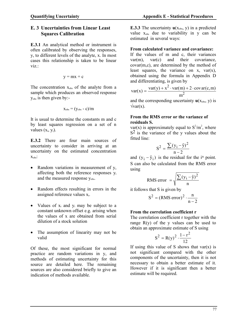# **E. 3 Uncertainties from Linear Least Squares Calibration**

**E.3.1** An analytical method or instrument is often calibrated by observing the responses, y, to different levels of the analyte, x. In most cases this relationship is taken to be linear viz.:

$$
y = mx + c\\
$$

The concentration  $x_{obs}$  of the analyte from a sample which produces an observed response yobs is then given by:-

$$
x_{\rm obs} = (y_{\rm obs} - c) / m
$$

It is usual to determine the constants m and c by least squares regression on a set of n values  $(x_i, y_i)$ .

**E.3.2** There are four main sources of uncertainty to consider in arriving at an uncertainty on the estimated concentration  $X_{obs}$ :

- Random variations in measurement of y, affecting both the reference responses y<sup>i</sup> and the measured response y<sub>obs</sub>.
- Random effects resulting in errors in the assigned reference values  $x_i$ .
- Values of  $x_i$  and  $y_i$  may be subject to a constant unknown offset e.g. arising when the values of x are obtained from serial dilution of a stock solution
- The assumption of linearity may not be valid

Of these, the most significant for normal practice are random variations in y, and methods of estimating uncertainty for this source are detailed here. The remaining sources are also considered briefly to give an indication of methods available.

**Quantifying Uncertainty Appendix E - Statistical Procedures** 

**E.3.3** The uncertainty  $u(x_{obs}, y)$  in a predicted value  $x_{obs}$  due to variability in y can be estimated in several ways:

### **From calculated variance and covariance:**

If the values of m and c, their variances var(m), var(c) and their covariance, covar(m,c), are determined by the method of least squares, the variance on x,  $var(x)$ , obtained using the formula in Appendix D and differentiating, is given by

$$
var(x) = \frac{var(y) + x^2 \cdot var(m) + 2 \cdot covar(c, m)}{m^2}
$$

and the corresponding uncertainty  $\mathbf{u}(x_{obs}, y)$  is  $\sqrt{var(x)}$ .

### **From the RMS error or the variance of residuals S.**

var(x) is approximately equal to  $S^2/m^2$ , where  $S<sup>2</sup>$  is the variance of the y values about the fitted line:

$$
S^2 = \frac{\sum (y_i - \hat{y})^2}{n-2}
$$

and  $(y_i - \hat{y}_i)$  is the residual for the i<sup>th</sup> point. S can also be calculated from the RMS error using

RMS error = 
$$
\sqrt{\frac{\sum (y_i - \hat{y})^2}{n}}
$$

it follows that S is given by

$$
S^2 = (RMS error)^2 \cdot \frac{n}{n-2}
$$

### **From the correlation coefficient r**

The correlation coefficient r together with the range  $R(y)$  of the y values can be used to obtain an approximate estimate of S using

$$
S^2 = R(y)^2 \cdot \frac{1 - r^2}{12}
$$

If using this value of S shows that  $var(x)$  is not significant compared with the other components of the uncertainty, then it is not necessary to obtain a better estimate of it. However if it is significant then a better estimate will be required.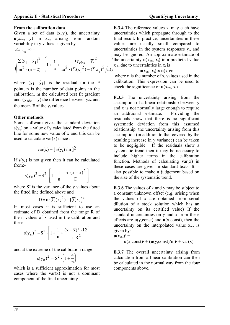#### **From the calibration data**

Given a set of data  $(x_i, y_i)$ , the uncertainty  $u(x_{obs}, y)$  in  $x_{obs}$  arising from random variability in y values is given by

$$
\mathbf{u}(\mathbf{x}_{obs}, \mathbf{y}) =
$$

$$
\sqrt{\frac{\sum(y_i - \hat{y}_i)^2}{m^2 \cdot (n-2)} \cdot \left(1 + \frac{1}{n} + \frac{(y_{obs} - \overline{y})^2}{m^2 \cdot (\sum(x_i^2) - (\sum x_i)^2/n)}\right)}
$$

where  $(y_i - \hat{y}_i)$  is the residual for the i<sup>th</sup> point, n is the number of data points in the calibration, m the calculated best fit gradient and  $(y_{obs} - \overline{y})$  the difference between  $y_{obs}$  and the mean  $\bar{y}$  of the y<sub>i</sub> values.

### **Other methods**

Some software gives the standard deviation  $s(y_c)$  on a value of y calculated from the fitted line for some new value of x and this can be used to calculate var $(x)$  since :-

$$
var(x) = [s(y_c)/m]^2
$$

If  $s(y_c)$  is not given then it can be calculated from:-

$$
s(y_c)^2 = S^2 \cdot \left[1 + \frac{1}{n} + \frac{n \cdot (x - \overline{x})^2}{D}\right]
$$

where S<sup>2</sup> is the variance of the y values about the fitted line defined above and

$$
D = n \cdot \sum (x_i^2) - (\sum x_i)^2
$$

In most cases it is sufficient to use an estimate of D obtained from the range R of the n values of x used in the calibration and then:-

$$
s(y_c)^2 = S^2 \cdot \left[1 + \frac{1}{n} + \frac{(x - \overline{x})^2 \cdot 12}{n \cdot R^2}\right]
$$

and at the extreme of the calibration range

$$
s(y_c)^2 = S^2 \cdot \left(1 + \frac{4}{n}\right)
$$

which is a sufficient approximation for most cases where the var $(x)$  is not a dominant component of the final uncertainty.

**E.3.4** The reference values  $x_i$  may each have uncertainties which propagate through to the final result. In practice, uncertainties in these values are usually small compared to uncertainties in the system responses  $y_i$ , and may be ignored. An approximate estimate of the uncertainty  $u(x_{obs}, x_i)$  in a predicted value  $x_{obs}$  due to uncertainties in  $x_i$  is

#### $u(x_{obs}, x_i) \approx u(x_i)/n$

where n is the number of  $x_i$  values used in the calibration. This expression can be used to check the significance of  $u(x<sub>obs</sub>, x<sub>i</sub>)$ .

**E.3.5** The uncertainty arising from the assumption of a linear relationship between y and x is not normally large enough to require an additional estimate. Providing the residuals show that there is no significant systematic deviation from this assumed relationship, the uncertainty arising from this assumption (in addition to that covered by the resulting increase in y variance) can be taken to be negligible. If the residuals show a systematic trend then it may be necessary to include higher terms in the calibration function. Methods of calculating  $var(x)$  in these cases are given in standard texts. It is also possible to make a judgement based on the size of the systematic trend.

**E.3.6** The values of x and y may be subject to a constant unknown offset (e.g. arising when the values of x are obtained from serial dilution of a stock solution which has an uncertainty on its certified value) If the standard uncertainties on y and x from these effects are **u**(y,const) and **u**(x,const), then the uncertainty on the interpolated value  $x_{obs}$  is given by:-

$$
\mathbf{u}(\mathbf{x}_{\text{obs}})^2 =
$$

$$
\mathbf{u}(x, const)^2 + (\mathbf{u}(y, const)/m)^2 + \text{var}(x)
$$

**E.3.7** The overall uncertainty arising from calculation from a linear calibration can then be calculated in the normal way from the four components above.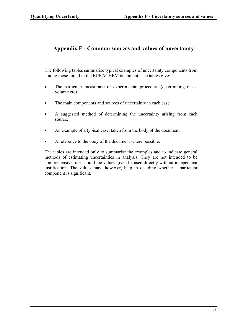# **Appendix F - Common sources and values of uncertainty**

The following tables summarise typical examples of uncertainty components from among those found in the EURACHEM document. The tables give:

- The particular measurand or experimental procedure (determining mass, volume etc)
- The main components and sources of uncertainty in each case
- A suggested method of determining the uncertainty arising from each source.
- An example of a typical case, taken from the body of the document
- A reference to the body of the document where possible.

The tables are intended only to summarise the examples and to indicate general methods of estimating uncertainties in analysis. They are not intended to be comprehensive, nor should the values given be used directly without independent justification. The values may, however, help in deciding whether a particular component is significant.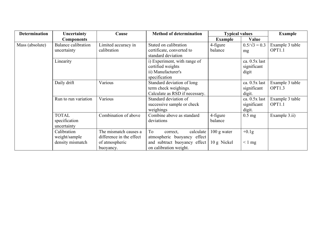| <b>Determination</b> | Uncertainty                | Cause                    | <b>Method of determination</b>                  | <b>Typical values</b> |                      | <b>Example</b>     |
|----------------------|----------------------------|--------------------------|-------------------------------------------------|-----------------------|----------------------|--------------------|
|                      | <b>Components</b>          |                          |                                                 | <b>Example</b>        | Value                |                    |
| Mass (absolute)      | <b>Balance calibration</b> | Limited accuracy in      | Stated on calibration                           | 4-figure              | $0.5/\sqrt{3} = 0.3$ | Example 3 table    |
|                      | uncertainty                | calibration              | certificate, converted to<br>standard deviation | balance               | mg                   | OPT1.1             |
|                      | Linearity                  |                          | i) Experiment, with range of                    |                       | ca. 0.5x last        |                    |
|                      |                            |                          | certified weights                               |                       | significant          |                    |
|                      |                            |                          | ii) Manufacturer's                              |                       | digit                |                    |
|                      |                            |                          | specification                                   |                       |                      |                    |
|                      | Daily drift                | Various                  | Standard deviation of long                      |                       | ca. 0.5x last        | Example 3 table    |
|                      |                            |                          | term check weighings.                           |                       | significant          | OPT1.3             |
|                      |                            |                          | Calculate as RSD if necessary.                  |                       | digit.               |                    |
|                      | Run to run variation       | Various                  | Standard deviation of                           |                       | ca. 0.5x last        | Example 3 table    |
|                      |                            |                          | successive sample or check                      |                       | significant          | OPT <sub>1.1</sub> |
|                      |                            |                          | weighings                                       |                       | digit.               |                    |
|                      | <b>TOTAL</b>               | Combination of above     | Combine above as standard                       | 4-figure              | $0.5 \text{ mg}$     | Example 3.ii)      |
|                      | specification              |                          | deviations                                      | balance               |                      |                    |
|                      | uncertainty                |                          |                                                 |                       |                      |                    |
|                      | Calibration                | The mismatch causes a    | To<br>calculate<br>correct,                     | $100$ g water         | $+0.1g$              |                    |
|                      | weight/sample              | difference in the effect | atmospheric buoyancy effect                     |                       |                      |                    |
|                      | density mismatch           | of atmospheric           | and subtract buoyancy effect                    | 10 g Nickel           | $< 1$ mg             |                    |
|                      |                            | buoyancy.                | on calibration weight.                          |                       |                      |                    |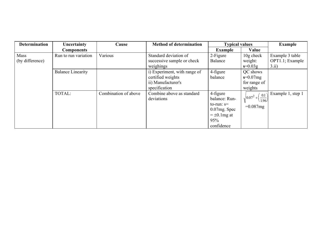| <b>Determination</b> | Uncertainty              | Cause                | <b>Method of determination</b> | <b>Typical values</b> |                                             | <b>Example</b>    |
|----------------------|--------------------------|----------------------|--------------------------------|-----------------------|---------------------------------------------|-------------------|
|                      | <b>Components</b>        |                      |                                | <b>Example</b>        | Value                                       |                   |
| Mass                 | Run to run variation     | Various              | Standard deviation of          | 2-Figure              | $10g$ check                                 | Example 3 table   |
| (by difference)      |                          |                      | successive sample or check     | Balance               | weight:                                     | OPT1.1; Example   |
|                      |                          |                      | weighings                      |                       | $s=0.03g$                                   | 3.ii)             |
|                      | <b>Balance Linearity</b> |                      | i) Experiment, with range of   | 4-figure              | QC shows                                    |                   |
|                      |                          |                      | certified weights              | balance               | $s = 0.07mg$                                |                   |
|                      |                          |                      | ii) Manufacturer's             |                       | for range of                                |                   |
|                      |                          |                      | specification                  |                       | weights                                     |                   |
|                      | TOTAL:                   | Combination of above | Combine above as standard      | 4-figure              |                                             | Example 1, step 1 |
|                      |                          |                      | deviations                     | balance: Run-         | $ 0.07^2 + \frac{0.1}{1}$<br>$\lambda$ 1.96 |                   |
|                      |                          |                      |                                | to-run: $s=$          | $=0.087mg$                                  |                   |
|                      |                          |                      |                                | $0.07$ mg. Spec       |                                             |                   |
|                      |                          |                      |                                | $= \pm 0.1$ mg at     |                                             |                   |
|                      |                          |                      |                                | 95%                   |                                             |                   |
|                      |                          |                      |                                | confidence            |                                             |                   |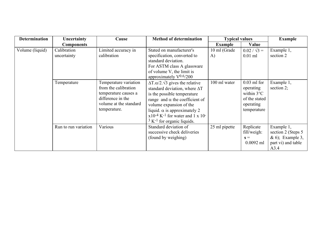| <b>Determination</b> | Uncertainty                | Cause                                                                                                                                | <b>Method of determination</b>                                                                                                                                                                                                                                                                                                                 | <b>Typical values</b> |                                                                                                 | <b>Example</b>                                                                      |
|----------------------|----------------------------|--------------------------------------------------------------------------------------------------------------------------------------|------------------------------------------------------------------------------------------------------------------------------------------------------------------------------------------------------------------------------------------------------------------------------------------------------------------------------------------------|-----------------------|-------------------------------------------------------------------------------------------------|-------------------------------------------------------------------------------------|
|                      | <b>Components</b>          |                                                                                                                                      |                                                                                                                                                                                                                                                                                                                                                | <b>Example</b>        | Value                                                                                           |                                                                                     |
| Volume (liquid)      | Calibration<br>uncertainty | Limited accuracy in<br>calibration                                                                                                   | Stated on manufacturer's<br>specification, converted to<br>standard deviation.<br>For ASTM class A glassware<br>of volume V, the limit is<br>approximately $V^{0.6/200}$                                                                                                                                                                       | 10 ml (Grade<br>A)    | $0.02 / \sqrt{3} =$<br>$0.01$ ml                                                                | Example 1,<br>section 2                                                             |
|                      | Temperature                | Temperature variation<br>from the calibration<br>temperature causes a<br>difference in the<br>volume at the standard<br>temperature. | $\Delta T \cdot \alpha/2 \cdot \sqrt{3}$ gives the relative<br>standard deviation, where $\Delta T$<br>is the possible temperature<br>range and $\alpha$ the coefficient of<br>volume expansion of the<br>liquid. $\alpha$ is approximately 2<br>$x10^{-4}$ K <sup>-1</sup> for water and 1 x 10 <sup>-1</sup><br>$3 K-1$ for organic liquids. | 100 ml water          | $0.03$ ml for<br>operating<br>within $3^{\circ}$ C<br>of the stated<br>operating<br>temperature | Example 1,<br>section $2$ ;                                                         |
|                      | Run to run variation       | Various                                                                                                                              | Standard deviation of<br>successive check deliveries<br>(found by weighing)                                                                                                                                                                                                                                                                    | 25 ml pipette         | Replicate<br>fill/weigh:<br>$s =$<br>$0.0092$ ml                                                | Example 1,<br>section 2 (Steps 5)<br>& 6); Example 3,<br>part vi) and table<br>A3.4 |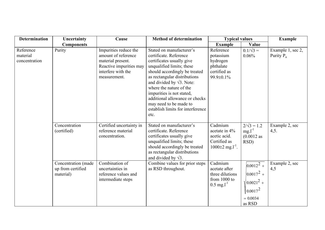| <b>Determination</b>                   | Uncertainty                                           | Cause                                                                                                                              | <b>Method of determination</b>                                                                                                                                                                                                                                                                                                                                                      | <b>Typical values</b>                                                                       |                                                                                             | <b>Example</b>                    |
|----------------------------------------|-------------------------------------------------------|------------------------------------------------------------------------------------------------------------------------------------|-------------------------------------------------------------------------------------------------------------------------------------------------------------------------------------------------------------------------------------------------------------------------------------------------------------------------------------------------------------------------------------|---------------------------------------------------------------------------------------------|---------------------------------------------------------------------------------------------|-----------------------------------|
|                                        | <b>Components</b>                                     |                                                                                                                                    |                                                                                                                                                                                                                                                                                                                                                                                     | <b>Example</b>                                                                              | Value                                                                                       |                                   |
| Reference<br>material<br>concentration | Purity                                                | Impurities reduce the<br>amount of reference<br>material present.<br>Reactive impurities may<br>interfere with the<br>measurement. | Stated on manufacturer's<br>certificate. Reference<br>certificates usually give<br>unqualified limits; these<br>should accordingly be treated<br>as rectangular distributions<br>and divided by $\sqrt{3}$ . Note:<br>where the nature of the<br>impurities is not stated,<br>additional allowance or checks<br>may need to be made to<br>establish limits for interference<br>etc. | Reference<br>potassium<br>hydrogen<br>phthalate<br>certified as<br>99.9±0.1%                | $0.1/\sqrt{3} =$<br>0.06%                                                                   | Example 1, sec 2,<br>Purity $P_a$ |
|                                        | Concentration<br>(certified)                          | Certified uncertainty in<br>reference material<br>concentration.                                                                   | Stated on manufacturer's<br>certificate. Reference<br>certificates usually give<br>unqualified limits; these<br>should accordingly be treated<br>as rectangular distributions<br>and divided by $\sqrt{3}$ .                                                                                                                                                                        | Cadmium<br>acetate in 4%<br>acetic acid.<br>Certified as<br>$1000\pm2$ mg.l <sup>-1</sup> . | $2/\sqrt{3} = 1.2$<br>$mg.l^{-1}$<br>$(0.0012$ as<br>RSD)                                   | Example 2, sec<br>4,5.            |
|                                        | Concentration (made<br>up from certified<br>material) | Combination of<br>uncertainties in<br>reference values and<br>intermediate steps                                                   | Combine values for prior steps<br>as RSD throughout.                                                                                                                                                                                                                                                                                                                                | Cadmium<br>acetate after<br>three dilutions<br>from $1000$ to<br>$0.5 \text{ mg.}1^{-1}$    | $ 0.0012^2 +$<br>$ 0.0017^2 +$<br>$10.0021^{2} +$<br>$ 0.0017^{2} $<br>$= 0.0034$<br>as RSD | Example 2, sec<br>4,5             |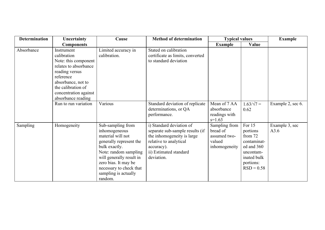| <b>Determination</b> | Uncertainty                                                                                                                                                                                          | Cause                                                                                                                                                                                                                                          | <b>Method of determination</b>                                                                                                                                            | <b>Typical values</b>                                                |                                                                                                                     | <b>Example</b>         |
|----------------------|------------------------------------------------------------------------------------------------------------------------------------------------------------------------------------------------------|------------------------------------------------------------------------------------------------------------------------------------------------------------------------------------------------------------------------------------------------|---------------------------------------------------------------------------------------------------------------------------------------------------------------------------|----------------------------------------------------------------------|---------------------------------------------------------------------------------------------------------------------|------------------------|
|                      | <b>Components</b>                                                                                                                                                                                    |                                                                                                                                                                                                                                                |                                                                                                                                                                           | <b>Example</b>                                                       | Value                                                                                                               |                        |
| Absorbance           | Instrument<br>calibration<br>Note: this component<br>relates to absorbance<br>reading versus<br>reference<br>absorbance, not to<br>the calibration of<br>concentration against<br>absorbance reading | Limited accuracy in<br>calibration.                                                                                                                                                                                                            | Stated on calibration<br>certificate as limits, converted<br>to standard deviation                                                                                        |                                                                      |                                                                                                                     |                        |
|                      | Run to run variation                                                                                                                                                                                 | Various                                                                                                                                                                                                                                        | Standard deviation of replicate<br>determinations, or QA<br>performance.                                                                                                  | Mean of 7 AA<br>absorbance<br>readings with<br>$s=1.63$              | $1.63/\sqrt{7}$ =<br>0.62                                                                                           | Example 2, sec 6.      |
| Sampling             | Homogeneity                                                                                                                                                                                          | Sub-sampling from<br>inhomogeneous<br>material will not<br>generally represent the<br>bulk exactly.<br>Note: random sampling<br>will generally result in<br>zero bias. It may be<br>necessary to check that<br>sampling is actually<br>random. | i) Standard deviation of<br>separate sub-sample results (if<br>the inhomogeneity is large<br>relative to analytical<br>accuracy).<br>ii) Estimated standard<br>deviation. | Sampling from<br>bread of<br>assumed two-<br>valued<br>inhomogeneity | For 15<br>portions<br>from 72<br>contaminat-<br>ed and 360<br>uncontam-<br>inated bulk<br>portions:<br>$RSD = 0.58$ | Example 3, sec<br>A3.6 |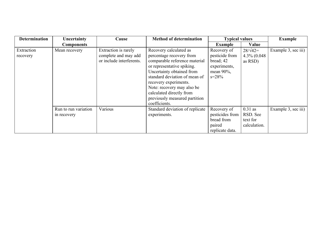| <b>Determination</b>   | Uncertainty                         | Cause                                                                    | <b>Method of determination</b>                                                                                                                                                                                                                                                                                       | <b>Typical values</b>                                                                    |                                                   | <b>Example</b>      |
|------------------------|-------------------------------------|--------------------------------------------------------------------------|----------------------------------------------------------------------------------------------------------------------------------------------------------------------------------------------------------------------------------------------------------------------------------------------------------------------|------------------------------------------------------------------------------------------|---------------------------------------------------|---------------------|
|                        | <b>Components</b>                   |                                                                          |                                                                                                                                                                                                                                                                                                                      | <b>Example</b>                                                                           | Value                                             |                     |
| Extraction<br>recovery | Mean recovery                       | Extraction is rarely<br>complete and may add<br>or include interferents. | Recovery calculated as<br>percentage recovery from<br>comparable reference material<br>or representative spiking.<br>Uncertainty obtained from<br>standard deviation of mean of<br>recovery experiments.<br>Note: recovery may also be<br>calculated directly from<br>previously measured partition<br>coefficients. | Recovery of<br>pesticide from<br>bread; 42<br>experiments,<br>mean $90\%$ ,<br>$s = 28%$ | $28/\sqrt{42}$<br>4.3% (0.048)<br>as RSD)         | Example 3, sec iii) |
|                        | Run to run variation<br>in recovery | Various                                                                  | Standard deviation of replicate<br>experiments.                                                                                                                                                                                                                                                                      | Recovery of<br>pesticides from<br>bread from<br>paired<br>replicate data.                | $0.31$ as<br>RSD. See<br>text for<br>calculation. | Example 3, sec iii) |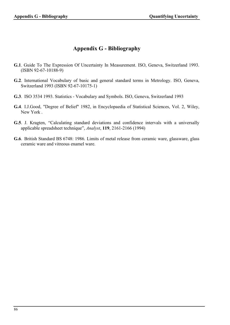# **Appendix G - Bibliography**

- **G.1**. Guide To The Expression Of Uncertainty In Measurement. ISO, Geneva, Switzerland 1993. (ISBN 92-67-10188-9)
- **G.2**. International Vocabulary of basic and general standard terms in Metrology. ISO, Geneva, Switzerland 1993 (ISBN 92-67-10175-1)
- **G.3**. ISO 3534 1993. Statistics Vocabulary and Symbols. ISO, Geneva, Switzerland 1993
- **G.4**. I.J.Good, "Degree of Belief" 1982, in Encyclopaedia of Statistical Sciences, Vol. 2, Wiley, New York .
- **G.5**. J. Kragten, "Calculating standard deviations and confidence intervals with a universally applicable spreadsheet technique", *Analyst*, **119**, 2161-2166 (1994)
- **G.6**. British Standard BS 6748: 1986. Limits of metal release from ceramic ware, glassware, glass ceramic ware and vitreous enamel ware.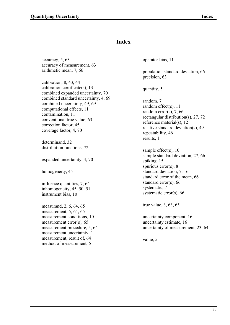# **Index**

accuracy, 5, 63 accuracy of measurement, 63 arithmetic mean, 7, 66

calibration, 8, 43, 44 calibration certificate(s), 13 combined expanded uncertainty, 70 combined standard uncertainty, 4, 69 combined uncertainty, 49, 69 computational effects, 11 contamination, 11 conventional true value, 63 correction factor, 45 coverage factor, 4, 70

determinand, 32 distribution functions, 72

expanded uncertainty, 4, 70

homogeneity, 45

influence quantities, 7, 64 inhomogeneity, 45, 50, 51 instrument bias, 10

measurand, 2, 6, 64, 65 measurement, 5, 64, 65 measurement conditions, 10 measurement error(s), 65 measurement procedure, 5, 64 measurement uncertainty, 1 measurement, result of, 64 method of measurement, 5

operator bias, 11

population standard deviation, 66 precision, 63

quantity, 5

random, 7 random effect(s), 11 random error(s), 7, 66 rectangular distribution(s), 27, 72 reference material(s), 12 relative standard deviation(s), 49 repeatability, 46 results, 1

sample effect(s), 10 sample standard deviation, 27, 66 spiking, 15 spurious error(s), 8 standard deviation, 7, 16 standard error of the mean, 66 standard error(s), 66 systematic, 7 systematic error(s), 66

true value, 3, 63, 65

uncertainty component, 16 uncertainty estimate, 16 uncertainty of measurement, 23, 64

value, 5